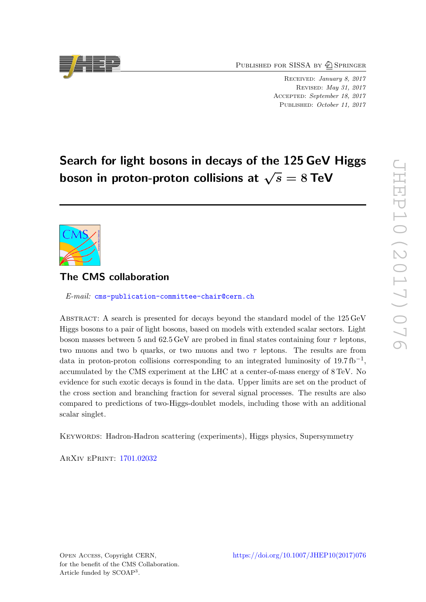PUBLISHED FOR SISSA BY 2 SPRINGER

Received: January 8, 2017 Revised: May 31, 2017 ACCEPTED: September 18, 2017 PUBLISHED: October 11, 2017

# Search for light bosons in decays of the 125 GeV Higgs boson in proton-proton collisions at  $\sqrt{s} = 8$  TeV



# The CMS collaboration

E-mail: [cms-publication-committee-chair@cern.ch](mailto:cms-publication-committee-chair@cern.ch)

Abstract: A search is presented for decays beyond the standard model of the 125 GeV Higgs bosons to a pair of light bosons, based on models with extended scalar sectors. Light boson masses between 5 and  $62.5 \,\text{GeV}$  are probed in final states containing four  $\tau$  leptons, two muons and two b quarks, or two muons and two  $\tau$  leptons. The results are from data in proton-proton collisions corresponding to an integrated luminosity of  $19.7 \text{ fb}^{-1}$ , accumulated by the CMS experiment at the LHC at a center-of-mass energy of 8 TeV. No evidence for such exotic decays is found in the data. Upper limits are set on the product of the cross section and branching fraction for several signal processes. The results are also compared to predictions of two-Higgs-doublet models, including those with an additional scalar singlet.

Keywords: Hadron-Hadron scattering (experiments), Higgs physics, Supersymmetry

ArXiv ePrint: [1701.02032](https://arxiv.org/abs/1701.02032)

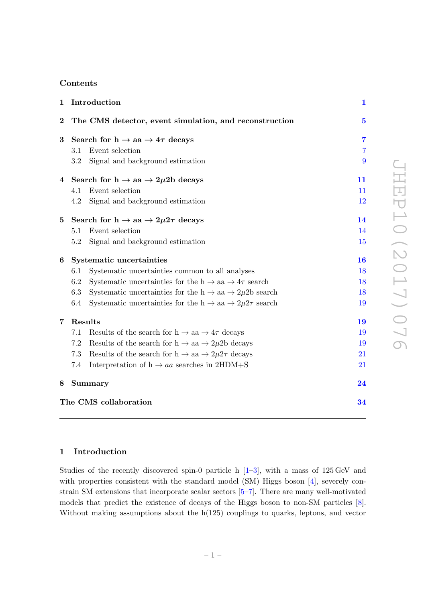# Contents

| Introduction<br>$\mathbf 1$ |                                                                  |                                                                                                                                                                                                                                                                       |
|-----------------------------|------------------------------------------------------------------|-----------------------------------------------------------------------------------------------------------------------------------------------------------------------------------------------------------------------------------------------------------------------|
|                             |                                                                  | $\mathbf{5}$                                                                                                                                                                                                                                                          |
|                             |                                                                  | $\overline{7}$                                                                                                                                                                                                                                                        |
| 3.1                         | Event selection                                                  | $\overline{7}$                                                                                                                                                                                                                                                        |
| 3.2                         | Signal and background estimation                                 | 9                                                                                                                                                                                                                                                                     |
|                             |                                                                  | 11                                                                                                                                                                                                                                                                    |
| 4.1                         | Event selection                                                  | 11                                                                                                                                                                                                                                                                    |
| 4.2                         | Signal and background estimation                                 | 12                                                                                                                                                                                                                                                                    |
|                             |                                                                  | 14                                                                                                                                                                                                                                                                    |
| 5.1                         | Event selection                                                  | 14                                                                                                                                                                                                                                                                    |
| 5.2                         | Signal and background estimation                                 | 15                                                                                                                                                                                                                                                                    |
|                             |                                                                  | <b>16</b>                                                                                                                                                                                                                                                             |
| 6.1                         | Systematic uncertainties common to all analyses                  | 18                                                                                                                                                                                                                                                                    |
| 6.2                         | Systematic uncertainties for the $h \to aa \to 4\tau$ search     | 18                                                                                                                                                                                                                                                                    |
| 6.3                         | Systematic uncertainties for the $h \to aa \to 2\mu 2b$ search   | 18                                                                                                                                                                                                                                                                    |
| 6.4                         | Systematic uncertainties for the $h \to aa \to 2\mu2\tau$ search | 19                                                                                                                                                                                                                                                                    |
|                             |                                                                  | 19                                                                                                                                                                                                                                                                    |
| 7.1                         | Results of the search for $h \to aa \to 4\tau$ decays            | 19                                                                                                                                                                                                                                                                    |
| 7.2                         | Results of the search for $h \to aa \to 2\mu 2b$ decays          | 19                                                                                                                                                                                                                                                                    |
| 7.3                         | Results of the search for $h \to aa \to 2\mu2\tau$ decays        | 21                                                                                                                                                                                                                                                                    |
| 7.4                         | Interpretation of $h \rightarrow aa$ searches in 2HDM+S          | 21                                                                                                                                                                                                                                                                    |
|                             |                                                                  | 24                                                                                                                                                                                                                                                                    |
|                             |                                                                  | 34                                                                                                                                                                                                                                                                    |
|                             |                                                                  | The CMS detector, event simulation, and reconstruction<br>Search for $h \to aa \to 4\tau$ decays<br>Search for $h \to aa \to 2\mu 2b$ decays<br>Search for $h \to aa \to 2\mu2\tau$ decays<br>Systematic uncertainties<br>Results<br>Summary<br>The CMS collaboration |

# <span id="page-1-0"></span>1 Introduction

Studies of the recently discovered spin-0 particle h  $[1-3]$  $[1-3]$ , with a mass of  $125 \text{ GeV}$  and with properties consistent with the standard model (SM) Higgs boson [\[4\]](#page-28-2), severely constrain SM extensions that incorporate scalar sectors [\[5](#page-28-3)[–7\]](#page-29-0). There are many well-motivated models that predict the existence of decays of the Higgs boson to non-SM particles [\[8\]](#page-29-1). Without making assumptions about the h(125) couplings to quarks, leptons, and vector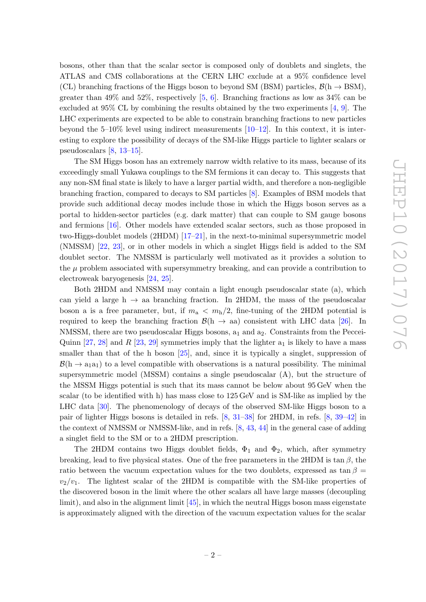bosons, other than that the scalar sector is composed only of doublets and singlets, the ATLAS and CMS collaborations at the CERN LHC exclude at a 95% confidence level (CL) branching fractions of the Higgs boson to beyond SM (BSM) particles,  $\mathcal{B}(h \to BSM)$ , greater than 49% and 52%, respectively  $[5, 6]$  $[5, 6]$ . Branching fractions as low as 34% can be excluded at  $95\%$  CL by combining the results obtained by the two experiments [\[4,](#page-28-2) [9\]](#page-29-3). The LHC experiments are expected to be able to constrain branching fractions to new particles beyond the  $5-10\%$  level using indirect measurements  $[10-12]$  $[10-12]$ . In this context, it is interesting to explore the possibility of decays of the SM-like Higgs particle to lighter scalars or pseudoscalars [\[8,](#page-29-1) [13](#page-29-6)[–15\]](#page-29-7).

The SM Higgs boson has an extremely narrow width relative to its mass, because of its exceedingly small Yukawa couplings to the SM fermions it can decay to. This suggests that any non-SM final state is likely to have a larger partial width, and therefore a non-negligible branching fraction, compared to decays to SM particles [\[8\]](#page-29-1). Examples of BSM models that provide such additional decay modes include those in which the Higgs boson serves as a portal to hidden-sector particles (e.g. dark matter) that can couple to SM gauge bosons and fermions [\[16\]](#page-29-8). Other models have extended scalar sectors, such as those proposed in two-Higgs-doublet models (2HDM) [\[17](#page-29-9)[–21\]](#page-29-10), in the next-to-minimal supersymmetric model (NMSSM) [\[22,](#page-29-11) [23\]](#page-29-12), or in other models in which a singlet Higgs field is added to the SM doublet sector. The NMSSM is particularly well motivated as it provides a solution to the  $\mu$  problem associated with supersymmetry breaking, and can provide a contribution to electroweak baryogenesis [\[24,](#page-29-13) [25\]](#page-30-0).

Both 2HDM and NMSSM may contain a light enough pseudoscalar state (a), which can yield a large h  $\rightarrow$  aa branching fraction. In 2HDM, the mass of the pseudoscalar boson a is a free parameter, but, if  $m_a < m_h/2$ , fine-tuning of the 2HDM potential is required to keep the branching fraction  $\mathcal{B}(h \to aa)$  consistent with LHC data [\[26\]](#page-30-1). In NMSSM, there are two pseudoscalar Higgs bosons,  $a_1$  and  $a_2$ . Constraints from the Peccei-Quinn [\[27,](#page-30-2) [28\]](#page-30-3) and R [\[23,](#page-29-12) [29\]](#page-30-4) symmetries imply that the lighter  $a_1$  is likely to have a mass smaller than that of the h boson  $[25]$ , and, since it is typically a singlet, suppression of  $\mathcal{B}(h \to a_1 a_1)$  to a level compatible with observations is a natural possibility. The minimal supersymmetric model (MSSM) contains a single pseudoscalar (A), but the structure of the MSSM Higgs potential is such that its mass cannot be below about 95 GeV when the scalar (to be identified with h) has mass close to 125 GeV and is SM-like as implied by the LHC data [\[30\]](#page-30-5). The phenomenology of decays of the observed SM-like Higgs boson to a pair of lighter Higgs bosons is detailed in refs. [\[8,](#page-29-1) [31](#page-30-6)[–38\]](#page-30-7) for 2HDM, in refs. [\[8,](#page-29-1) [39](#page-30-8)[–42\]](#page-30-9) in the context of NMSSM or NMSSM-like, and in refs. [\[8,](#page-29-1) [43,](#page-30-10) [44\]](#page-31-0) in the general case of adding a singlet field to the SM or to a 2HDM prescription.

The 2HDM contains two Higgs doublet fields,  $\Phi_1$  and  $\Phi_2$ , which, after symmetry breaking, lead to five physical states. One of the free parameters in the 2HDM is tan  $\beta$ , the ratio between the vacuum expectation values for the two doublets, expressed as tan  $\beta =$  $v_2/v_1$ . The lightest scalar of the 2HDM is compatible with the SM-like properties of the discovered boson in the limit where the other scalars all have large masses (decoupling limit), and also in the alignment limit [\[45\]](#page-31-1), in which the neutral Higgs boson mass eigenstate is approximately aligned with the direction of the vacuum expectation values for the scalar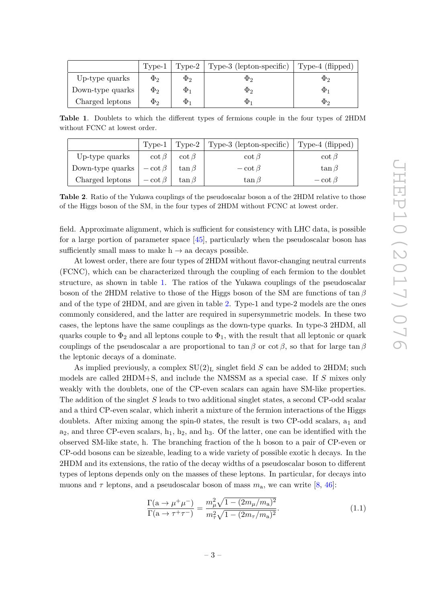|                  | Type-1 $\vert$ |          | Type-2   Type-3 (lepton-specific) | Type-4 (flipped) |
|------------------|----------------|----------|-----------------------------------|------------------|
| Up-type quarks   | $\Phi_2$       | $\Phi_2$ | $\Phi$                            | $\Phi_2$         |
| Down-type quarks | $\Phi_2$       | $\Phi_1$ | $\Phi_2$                          | $\Phi_1$         |
| Charged leptons  | $\Phi_2$       | $\Phi_1$ | $\Phi_1$                          | $\Phi_2$         |

<span id="page-3-0"></span>Table 1. Doublets to which the different types of fermions couple in the four types of 2HDM without FCNC at lowest order.

|                  |               |              | $Type-1$   Type-2   Type-3 (lepton-specific) | Type-4 (flipped) |
|------------------|---------------|--------------|----------------------------------------------|------------------|
| Up-type quarks   | $\cot \beta$  | $\cot \beta$ | $\cot \beta$                                 | $\cot \beta$     |
| Down-type quarks | $-\cot\beta$  | $\tan \beta$ | $-\cot \beta$                                | $\tan \beta$     |
| Charged leptons  | $-\cot \beta$ | $\tan \beta$ | $\tan \beta$                                 | $-\cot \beta$    |

<span id="page-3-1"></span>Table 2. Ratio of the Yukawa couplings of the pseudoscalar boson a of the 2HDM relative to those of the Higgs boson of the SM, in the four types of 2HDM without FCNC at lowest order.

field. Approximate alignment, which is sufficient for consistency with LHC data, is possible for a large portion of parameter space [\[45\]](#page-31-1), particularly when the pseudoscalar boson has sufficiently small mass to make  $h \rightarrow aa$  decays possible.

At lowest order, there are four types of 2HDM without flavor-changing neutral currents (FCNC), which can be characterized through the coupling of each fermion to the doublet structure, as shown in table [1.](#page-3-0) The ratios of the Yukawa couplings of the pseudoscalar boson of the 2HDM relative to those of the Higgs boson of the SM are functions of tan  $\beta$ and of the type of 2HDM, and are given in table [2.](#page-3-1) Type-1 and type-2 models are the ones commonly considered, and the latter are required in supersymmetric models. In these two cases, the leptons have the same couplings as the down-type quarks. In type-3 2HDM, all quarks couple to  $\Phi_2$  and all leptons couple to  $\Phi_1$ , with the result that all leptonic or quark couplings of the pseudoscalar a are proportional to tan  $\beta$  or cot  $\beta$ , so that for large tan  $\beta$ the leptonic decays of a dominate.

As implied previously, a complex  $SU(2)_L$  singlet field S can be added to 2HDM; such models are called 2HDM+S, and include the NMSSM as a special case. If S mixes only weakly with the doublets, one of the CP-even scalars can again have SM-like properties. The addition of the singlet S leads to two additional singlet states, a second CP-odd scalar and a third CP-even scalar, which inherit a mixture of the fermion interactions of the Higgs doublets. After mixing among the spin-0 states, the result is two CP-odd scalars,  $a_1$  and  $a_2$ , and three CP-even scalars,  $h_1$ ,  $h_2$ , and  $h_3$ . Of the latter, one can be identified with the observed SM-like state, h. The branching fraction of the h boson to a pair of CP-even or CP-odd bosons can be sizeable, leading to a wide variety of possible exotic h decays. In the 2HDM and its extensions, the ratio of the decay widths of a pseudoscalar boson to different types of leptons depends only on the masses of these leptons. In particular, for decays into muons and  $\tau$  leptons, and a pseudoscalar boson of mass  $m_a$ , we can write [\[8,](#page-29-1) [46\]](#page-31-2):

<span id="page-3-2"></span>
$$
\frac{\Gamma(\mathbf{a} \to \mu^+ \mu^-)}{\Gamma(\mathbf{a} \to \tau^+ \tau^-)} = \frac{m_\mu^2 \sqrt{1 - (2m_\mu/m_\mathbf{a})^2}}{m_\tau^2 \sqrt{1 - (2m_\tau/m_\mathbf{a})^2}}.
$$
(1.1)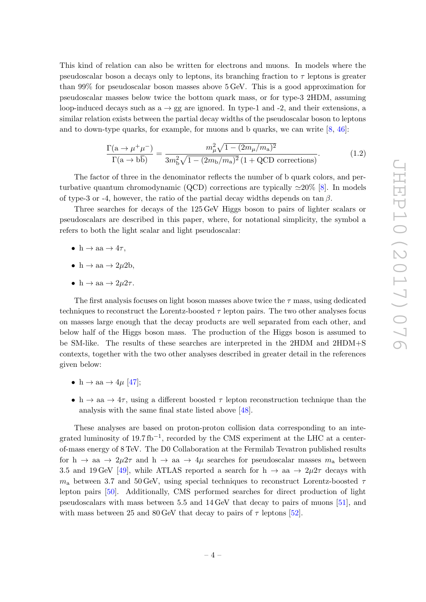This kind of relation can also be written for electrons and muons. In models where the pseudoscalar boson a decays only to leptons, its branching fraction to  $\tau$  leptons is greater than 99% for pseudoscalar boson masses above 5 GeV. This is a good approximation for pseudoscalar masses below twice the bottom quark mass, or for type-3 2HDM, assuming loop-induced decays such as  $a \rightarrow gg$  are ignored. In type-1 and -2, and their extensions, a similar relation exists between the partial decay widths of the pseudoscalar boson to leptons and to down-type quarks, for example, for muons and b quarks, we can write [\[8,](#page-29-1) [46\]](#page-31-2):

<span id="page-4-0"></span>
$$
\frac{\Gamma(\mathbf{a} \to \mu^+ \mu^-)}{\Gamma(\mathbf{a} \to \mathbf{b} \overline{\mathbf{b}})} = \frac{m_\mu^2 \sqrt{1 - (2m_\mu/m_\mathbf{a})^2}}{3m_\mathbf{b}^2 \sqrt{1 - (2m_\mathbf{b}/m_\mathbf{a})^2} \left(1 + \text{QCD corrections}\right)}.
$$
(1.2)

The factor of three in the denominator reflects the number of b quark colors, and perturbative quantum chromodynamic (QCD) corrections are typically  $\simeq 20\%$  [\[8\]](#page-29-1). In models of type-3 or -4, however, the ratio of the partial decay widths depends on tan  $\beta$ .

Three searches for decays of the 125 GeV Higgs boson to pairs of lighter scalars or pseudoscalars are described in this paper, where, for notational simplicity, the symbol a refers to both the light scalar and light pseudoscalar:

- h  $\rightarrow$  aa  $\rightarrow$  4 $\tau$ .
- h  $\rightarrow$  aa  $\rightarrow$  2 $\mu$ 2b,
- h  $\rightarrow$  aa  $\rightarrow$  2 $\mu$ 2 $\tau$ .

The first analysis focuses on light boson masses above twice the  $\tau$  mass, using dedicated techniques to reconstruct the Lorentz-boosted  $\tau$  lepton pairs. The two other analyses focus on masses large enough that the decay products are well separated from each other, and below half of the Higgs boson mass. The production of the Higgs boson is assumed to be SM-like. The results of these searches are interpreted in the 2HDM and 2HDM+S contexts, together with the two other analyses described in greater detail in the references given below:

- h  $\rightarrow$  aa  $\rightarrow$  4 $\mu$  [\[47\]](#page-31-3);
- h  $\rightarrow$  aa  $\rightarrow$  4 $\tau$ , using a different boosted  $\tau$  lepton reconstruction technique than the analysis with the same final state listed above [\[48\]](#page-31-4).

These analyses are based on proton-proton collision data corresponding to an integrated luminosity of 19.7 $fb^{-1}$ , recorded by the CMS experiment at the LHC at a centerof-mass energy of 8 TeV. The D0 Collaboration at the Fermilab Tevatron published results for h  $\rightarrow$  aa  $\rightarrow$  2 $\mu$ 2 $\tau$  and h  $\rightarrow$  aa  $\rightarrow$  4 $\mu$  searches for pseudoscalar masses  $m_a$  between 3.5 and 19 GeV [\[49\]](#page-31-5), while ATLAS reported a search for  $h \to aa \to 2\mu2\tau$  decays with  $m<sub>a</sub>$  between 3.7 and 50 GeV, using special techniques to reconstruct Lorentz-boosted  $\tau$ lepton pairs [\[50\]](#page-31-6). Additionally, CMS performed searches for direct production of light pseudoscalars with mass between 5.5 and 14 GeV that decay to pairs of muons [\[51\]](#page-31-7), and with mass between 25 and 80 GeV that decay to pairs of  $\tau$  leptons [\[52\]](#page-31-8).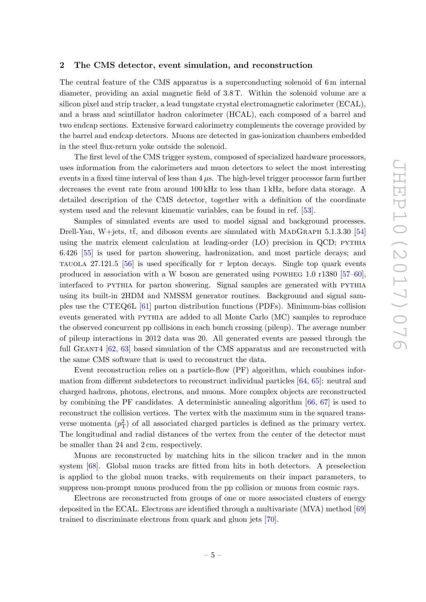### <span id="page-5-0"></span>2 The CMS detector, event simulation, and reconstruction

The central feature of the CMS apparatus is a superconducting solenoid of 6 m internal diameter, providing an axial magnetic field of 3.8 T. Within the solenoid volume are a silicon pixel and strip tracker, a lead tungstate crystal electromagnetic calorimeter (ECAL), and a brass and scintillator hadron calorimeter (HCAL), each composed of a barrel and two endcap sections. Extensive forward calorimetry complements the coverage provided by the barrel and endcap detectors. Muons are detected in gas-ionization chambers embedded in the steel flux-return yoke outside the solenoid.

The first level of the CMS trigger system, composed of specialized hardware processors, uses information from the calorimeters and muon detectors to select the most interesting events in a fixed time interval of less than  $4 \mu s$ . The high-level trigger processor farm further decreases the event rate from around 100 kHz to less than 1 kHz, before data storage. A detailed description of the CMS detector, together with a definition of the coordinate system used and the relevant kinematic variables, can be found in ref. [\[53\]](#page-31-9).

Samples of simulated events are used to model signal and background processes. Drell-Yan, W+jets,  $t\bar{t}$ , and diboson events are simulated with MADGRAPH 5.1.3.30 [\[54\]](#page-31-10) using the matrix element calculation at leading-order (LO) precision in QCD; pythia 6.426 [\[55\]](#page-31-11) is used for parton showering, hadronization, and most particle decays; and TAUOLA 27.121.5 [\[56\]](#page-31-12) is used specifically for  $\tau$  lepton decays. Single top quark events produced in association with a W boson are generated using powheg 1.0 r1380 [\[57–](#page-31-13)[60\]](#page-31-14), interfaced to PYTHIA for parton showering. Signal samples are generated with PYTHIA using its built-in 2HDM and NMSSM generator routines. Background and signal samples use the CTEQ6L [\[61\]](#page-32-0) parton distribution functions (PDFs). Minimum-bias collision events generated with pythia are added to all Monte Carlo (MC) samples to reproduce the observed concurrent pp collisions in each bunch crossing (pileup). The average number of pileup interactions in 2012 data was 20. All generated events are passed through the full GEANT4 [\[62,](#page-32-1) [63\]](#page-32-2) based simulation of the CMS apparatus and are reconstructed with the same CMS software that is used to reconstruct the data.

Event reconstruction relies on a particle-flow (PF) algorithm, which combines information from different subdetectors to reconstruct individual particles [\[64,](#page-32-3) [65\]](#page-32-4): neutral and charged hadrons, photons, electrons, and muons. More complex objects are reconstructed by combining the PF candidates. A deterministic annealing algorithm [\[66,](#page-32-5) [67\]](#page-32-6) is used to reconstruct the collision vertices. The vertex with the maximum sum in the squared transverse momenta  $(p_T^2)$  of all associated charged particles is defined as the primary vertex. The longitudinal and radial distances of the vertex from the center of the detector must be smaller than 24 and 2 cm, respectively.

Muons are reconstructed by matching hits in the silicon tracker and in the muon system [\[68\]](#page-32-7). Global muon tracks are fitted from hits in both detectors. A preselection is applied to the global muon tracks, with requirements on their impact parameters, to suppress non-prompt muons produced from the pp collision or muons from cosmic rays.

Electrons are reconstructed from groups of one or more associated clusters of energy deposited in the ECAL. Electrons are identified through a multivariate (MVA) method [\[69\]](#page-32-8) trained to discriminate electrons from quark and gluon jets [\[70\]](#page-32-9).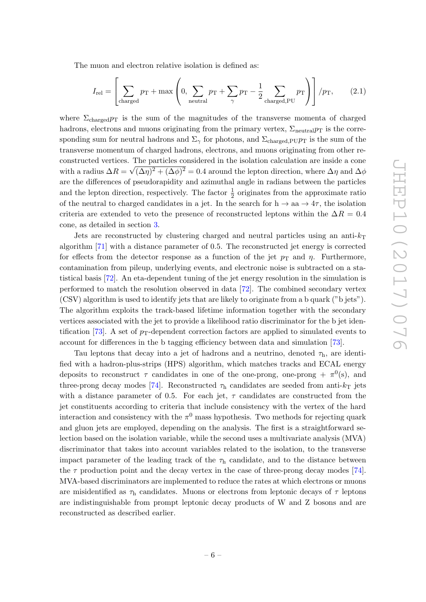The muon and electron relative isolation is defined as:

<span id="page-6-0"></span>
$$
I_{\rm rel} = \left[ \sum_{\rm charged} p_{\rm T} + \max \left( 0, \sum_{\rm neutral} p_{\rm T} + \sum_{\gamma} p_{\rm T} - \frac{1}{2} \sum_{\rm charged, PU} p_{\rm T} \right) \right] / p_{\rm T}, \qquad (2.1)
$$

where  $\Sigma_{\text{charged}}p_{\text{T}}$  is the sum of the magnitudes of the transverse momenta of charged hadrons, electrons and muons originating from the primary vertex,  $\Sigma_{\text{neutral}} p_T$  is the corresponding sum for neutral hadrons and  $\Sigma_{\gamma}$  for photons, and  $\Sigma_{\text{charged,PUPT}}$  is the sum of the transverse momentum of charged hadrons, electrons, and muons originating from other reconstructed vertices. The particles considered in the isolation calculation are inside a cone with a radius  $\Delta R = \sqrt{(\Delta \eta)^2 + (\Delta \phi)^2} = 0.4$  around the lepton direction, where  $\Delta \eta$  and  $\Delta \phi$ are the differences of pseudorapidity and azimuthal angle in radians between the particles and the lepton direction, respectively. The factor  $\frac{1}{2}$  originates from the approximate ratio of the neutral to charged candidates in a jet. In the search for  $h \to aa \to 4\tau$ , the isolation criteria are extended to veto the presence of reconstructed leptons within the  $\Delta R = 0.4$ cone, as detailed in section [3.](#page-7-0)

Jets are reconstructed by clustering charged and neutral particles using an anti- $k_T$ algorithm [\[71\]](#page-32-10) with a distance parameter of 0.5. The reconstructed jet energy is corrected for effects from the detector response as a function of the jet  $p_T$  and  $\eta$ . Furthermore, contamination from pileup, underlying events, and electronic noise is subtracted on a statistical basis [\[72\]](#page-32-11). An eta-dependent tuning of the jet energy resolution in the simulation is performed to match the resolution observed in data [\[72\]](#page-32-11). The combined secondary vertex (CSV) algorithm is used to identify jets that are likely to originate from a b quark ("b jets"). The algorithm exploits the track-based lifetime information together with the secondary vertices associated with the jet to provide a likelihood ratio discriminator for the b jet iden-tification [\[73\]](#page-32-12). A set of  $p_T$ -dependent correction factors are applied to simulated events to account for differences in the b tagging efficiency between data and simulation [\[73\]](#page-32-12).

Tau leptons that decay into a jet of hadrons and a neutrino, denoted  $\tau_h$ , are identified with a hadron-plus-strips (HPS) algorithm, which matches tracks and ECAL energy deposits to reconstruct  $\tau$  candidates in one of the one-prong, one-prong +  $\pi^0(s)$ , and three-prong decay modes [\[74\]](#page-32-13). Reconstructed  $\tau_h$  candidates are seeded from anti- $k_T$  jets with a distance parameter of 0.5. For each jet,  $\tau$  candidates are constructed from the jet constituents according to criteria that include consistency with the vertex of the hard interaction and consistency with the  $\pi^0$  mass hypothesis. Two methods for rejecting quark and gluon jets are employed, depending on the analysis. The first is a straightforward selection based on the isolation variable, while the second uses a multivariate analysis (MVA) discriminator that takes into account variables related to the isolation, to the transverse impact parameter of the leading track of the  $\tau<sub>h</sub>$  candidate, and to the distance between the  $\tau$  production point and the decay vertex in the case of three-prong decay modes [\[74\]](#page-32-13). MVA-based discriminators are implemented to reduce the rates at which electrons or muons are misidentified as  $\tau_h$  candidates. Muons or electrons from leptonic decays of  $\tau$  leptons are indistinguishable from prompt leptonic decay products of W and Z bosons and are reconstructed as described earlier.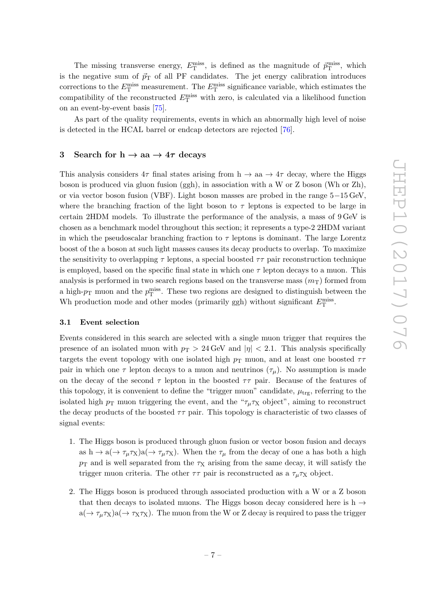The missing transverse energy,  $E_{\rm T}^{\rm miss}$ , is defined as the magnitude of  $\vec{p}_{\rm T}^{\rm miss}$ , which is the negative sum of  $\vec{p}_T$  of all PF candidates. The jet energy calibration introduces corrections to the  $E_{\rm T}^{\rm miss}$  measurement. The  $E_{\rm T}^{\rm miss}$  significance variable, which estimates the compatibility of the reconstructed  $E_{\rm T}^{\rm miss}$  with zero, is calculated via a likelihood function on an event-by-event basis [\[75\]](#page-32-14).

As part of the quality requirements, events in which an abnormally high level of noise is detected in the HCAL barrel or endcap detectors are rejected [\[76\]](#page-32-15).

### <span id="page-7-0"></span>3 Search for  $h \to aa \to 4\tau$  decays

This analysis considers  $4\tau$  final states arising from  $h \to aa \to 4\tau$  decay, where the Higgs boson is produced via gluon fusion (ggh), in association with a W or Z boson (Wh or Zh), or via vector boson fusion (VBF). Light boson masses are probed in the range 5−15 GeV, where the branching fraction of the light boson to  $\tau$  leptons is expected to be large in certain 2HDM models. To illustrate the performance of the analysis, a mass of 9 GeV is chosen as a benchmark model throughout this section; it represents a type-2 2HDM variant in which the pseudoscalar branching fraction to  $\tau$  leptons is dominant. The large Lorentz boost of the a boson at such light masses causes its decay products to overlap. To maximize the sensitivity to overlapping  $\tau$  leptons, a special boosted  $\tau\tau$  pair reconstruction technique is employed, based on the specific final state in which one  $\tau$  lepton decays to a muon. This analysis is performed in two search regions based on the transverse mass  $(m<sub>T</sub>)$  formed from a high- $p_T$  muon and the  $p_T^{\text{miss}}$ . These two regions are designed to distinguish between the Wh production mode and other modes (primarily ggh) without significant  $E_{\rm T}^{\rm miss}$ .

#### <span id="page-7-1"></span>3.1 Event selection

Events considered in this search are selected with a single muon trigger that requires the presence of an isolated muon with  $p_T > 24 \text{ GeV}$  and  $|\eta| < 2.1$ . This analysis specifically targets the event topology with one isolated high  $p_T$  muon, and at least one boosted  $\tau\tau$ pair in which one  $\tau$  lepton decays to a muon and neutrinos  $(\tau_{\mu})$ . No assumption is made on the decay of the second  $\tau$  lepton in the boosted  $\tau\tau$  pair. Because of the features of this topology, it is convenient to define the "trigger muon" candidate,  $\mu_{\text{trg}}$ , referring to the isolated high  $p_T$  muon triggering the event, and the " $\tau_\mu \tau_X$  object", aiming to reconstruct the decay products of the boosted  $\tau\tau$  pair. This topology is characteristic of two classes of signal events:

- 1. The Higgs boson is produced through gluon fusion or vector boson fusion and decays as  $h \to a(\to \tau_\mu \tau_X)a(\to \tau_\mu \tau_X)$ . When the  $\tau_\mu$  from the decay of one a has both a high  $p_{\text{T}}$  and is well separated from the  $\tau_{\text{X}}$  arising from the same decay, it will satisfy the trigger muon criteria. The other  $\tau\tau$  pair is reconstructed as a  $\tau_{\mu} \tau_{\text{X}}$  object.
- 2. The Higgs boson is produced through associated production with a W or a Z boson that then decays to isolated muons. The Higgs boson decay considered here is h  $\rightarrow$  $a(\rightarrow \tau_{\mu} \tau_X) a(\rightarrow \tau_X \tau_X)$ . The muon from the W or Z decay is required to pass the trigger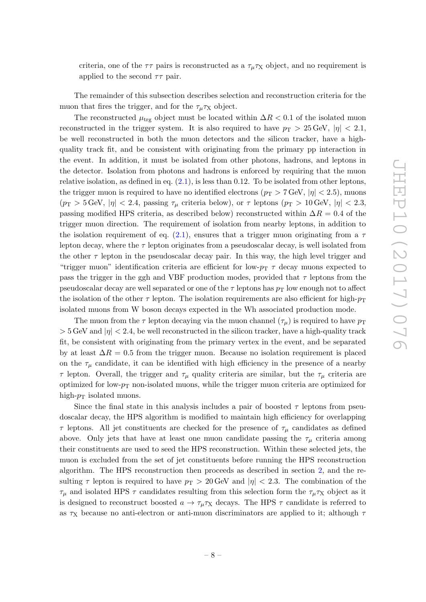criteria, one of the  $\tau\tau$  pairs is reconstructed as a  $\tau_\mu \tau_X$  object, and no requirement is applied to the second  $\tau\tau$  pair.

The remainder of this subsection describes selection and reconstruction criteria for the muon that fires the trigger, and for the  $\tau_{\mu} \tau_{\text{X}}$  object.

The reconstructed  $\mu_{\text{trg}}$  object must be located within  $\Delta R < 0.1$  of the isolated muon reconstructed in the trigger system. It is also required to have  $p_T > 25 \,\text{GeV}, |\eta| < 2.1$ , be well reconstructed in both the muon detectors and the silicon tracker, have a highquality track fit, and be consistent with originating from the primary pp interaction in the event. In addition, it must be isolated from other photons, hadrons, and leptons in the detector. Isolation from photons and hadrons is enforced by requiring that the muon relative isolation, as defined in eq.  $(2.1)$ , is less than 0.12. To be isolated from other leptons, the trigger muon is required to have no identified electrons ( $p_T > 7 \,\text{GeV}, |\eta| < 2.5$ ), muons  $(p_T > 5 \,\text{GeV}, |\eta| < 2.4$ , passing  $\tau_\mu$  criteria below), or  $\tau$  leptons  $(p_T > 10 \,\text{GeV}, |\eta| < 2.3$ , passing modified HPS criteria, as described below) reconstructed within  $\Delta R = 0.4$  of the trigger muon direction. The requirement of isolation from nearby leptons, in addition to the isolation requirement of eq.  $(2.1)$ , ensures that a trigger muon originating from a  $\tau$ lepton decay, where the  $\tau$  lepton originates from a pseudoscalar decay, is well isolated from the other  $\tau$  lepton in the pseudoscalar decay pair. In this way, the high level trigger and "trigger muon" identification criteria are efficient for low- $p_T \tau$  decay muons expected to pass the trigger in the ggh and VBF production modes, provided that  $\tau$  leptons from the pseudoscalar decay are well separated or one of the  $\tau$  leptons has  $p_T$  low enough not to affect the isolation of the other  $\tau$  lepton. The isolation requirements are also efficient for high- $p_T$ isolated muons from W boson decays expected in the Wh associated production mode.

The muon from the  $\tau$  lepton decaying via the muon channel  $(\tau_{\mu})$  is required to have  $p_T$  $>$  5 GeV and  $|\eta|$  < 2.4, be well reconstructed in the silicon tracker, have a high-quality track fit, be consistent with originating from the primary vertex in the event, and be separated by at least  $\Delta R = 0.5$  from the trigger muon. Because no isolation requirement is placed on the  $\tau_{\mu}$  candidate, it can be identified with high efficiency in the presence of a nearby  $\tau$  lepton. Overall, the trigger and  $\tau_{\mu}$  quality criteria are similar, but the  $\tau_{\mu}$  criteria are optimized for low- $p_T$  non-isolated muons, while the trigger muon criteria are optimized for high- $p_T$  isolated muons.

Since the final state in this analysis includes a pair of boosted  $\tau$  leptons from pseudoscalar decay, the HPS algorithm is modified to maintain high efficiency for overlapping  $\tau$  leptons. All jet constituents are checked for the presence of  $\tau_{\mu}$  candidates as defined above. Only jets that have at least one muon candidate passing the  $\tau_{\mu}$  criteria among their constituents are used to seed the HPS reconstruction. Within these selected jets, the muon is excluded from the set of jet constituents before running the HPS reconstruction algorithm. The HPS reconstruction then proceeds as described in section [2,](#page-5-0) and the resulting  $\tau$  lepton is required to have  $p_T > 20$  GeV and  $|\eta| < 2.3$ . The combination of the  $\tau_{\mu}$  and isolated HPS  $\tau$  candidates resulting from this selection form the  $\tau_{\mu} \tau_{\rm X}$  object as it is designed to reconstruct boosted  $a \to \tau_\mu \tau_X$  decays. The HPS  $\tau$  candidate is referred to as  $\tau_X$  because no anti-electron or anti-muon discriminators are applied to it; although  $\tau$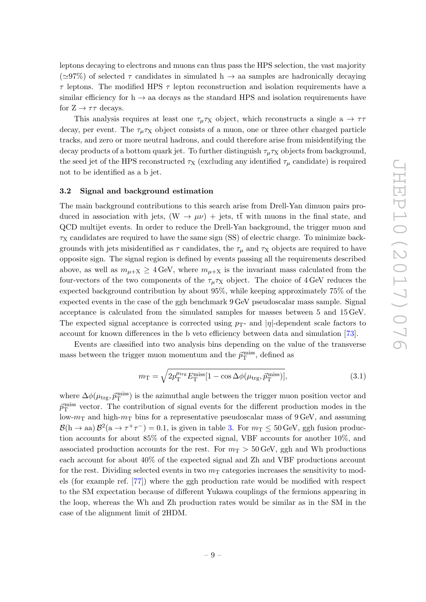leptons decaying to electrons and muons can thus pass the HPS selection, the vast majority  $(\simeq 97\%)$  of selected  $\tau$  candidates in simulated h  $\rightarrow$  aa samples are hadronically decaying  $\tau$  leptons. The modified HPS  $\tau$  lepton reconstruction and isolation requirements have a similar efficiency for  $h \rightarrow aa$  decays as the standard HPS and isolation requirements have for  $Z \rightarrow \tau \tau$  decays.

This analysis requires at least one  $\tau_{\mu} \tau_{\chi}$  object, which reconstructs a single a  $\rightarrow \tau \tau$ decay, per event. The  $\tau_{\mu} \tau_{\chi}$  object consists of a muon, one or three other charged particle tracks, and zero or more neutral hadrons, and could therefore arise from misidentifying the decay products of a bottom quark jet. To further distinguish  $\tau_{\mu} \tau_{\text{X}}$  objects from background, the seed jet of the HPS reconstructed  $\tau_X$  (excluding any identified  $\tau_\mu$  candidate) is required not to be identified as a b jet.

### <span id="page-9-0"></span>3.2 Signal and background estimation

The main background contributions to this search arise from Drell-Yan dimuon pairs produced in association with jets,  $(W \to \mu \nu)$  + jets,  $t\bar{t}$  with muons in the final state, and QCD multijet events. In order to reduce the Drell-Yan background, the trigger muon and  $\tau_X$  candidates are required to have the same sign (SS) of electric charge. To minimize backgrounds with jets misidentified as  $\tau$  candidates, the  $\tau_{\mu}$  and  $\tau_{\chi}$  objects are required to have opposite sign. The signal region is defined by events passing all the requirements described above, as well as  $m_{\mu+X} \geq 4 \text{ GeV}$ , where  $m_{\mu+X}$  is the invariant mass calculated from the four-vectors of the two components of the  $\tau_{\mu} \tau_{\text{X}}$  object. The choice of 4 GeV reduces the expected background contribution by about 95%, while keeping approximately 75% of the expected events in the case of the ggh benchmark 9 GeV pseudoscalar mass sample. Signal acceptance is calculated from the simulated samples for masses between 5 and 15 GeV. The expected signal acceptance is corrected using  $p_T$ - and  $|\eta|$ -dependent scale factors to account for known differences in the b veto efficiency between data and simulation [\[73\]](#page-32-12).

Events are classified into two analysis bins depending on the value of the transverse mass between the trigger muon momentum and the  $\vec{p}_{\rm T}^{\rm miss}$ , defined as

$$
m_{\rm T} = \sqrt{2p_{\rm T}^{\mu_{\rm trg}} E_{\rm T}^{\rm miss}[1 - \cos\Delta\phi(\mu_{\rm trg}, \vec{p}_{\rm T}^{\rm miss})]},\tag{3.1}
$$

where  $\Delta\phi(\mu_{\text{trg}}, \vec{p}_{\text{T}}^{\text{miss}})$  is the azimuthal angle between the trigger muon position vector and  $\vec{p}_{\rm T}^{\rm miss}$  vector. The contribution of signal events for the different production modes in the low- $m<sub>T</sub>$  and high- $m<sub>T</sub>$  bins for a representative pseudoscalar mass of 9 GeV, and assuming  $\mathcal{B}(\mathbf{h} \to \mathbf{a} \mathbf{a}) \mathcal{B}^2(\mathbf{a} \to \tau^+\tau^-) = 0.1$ , is given in table [3.](#page-10-0) For  $m_\text{T} \leq 50 \,\text{GeV}$ , ggh fusion production accounts for about 85% of the expected signal, VBF accounts for another 10%, and associated production accounts for the rest. For  $m<sub>T</sub> > 50$  GeV, ggh and Wh productions each account for about 40% of the expected signal and Zh and VBF productions account for the rest. Dividing selected events in two  $m<sub>T</sub>$  categories increases the sensitivity to models (for example ref. [\[77\]](#page-32-16)) where the ggh production rate would be modified with respect to the SM expectation because of different Yukawa couplings of the fermions appearing in the loop, whereas the Wh and Zh production rates would be similar as in the SM in the case of the alignment limit of 2HDM.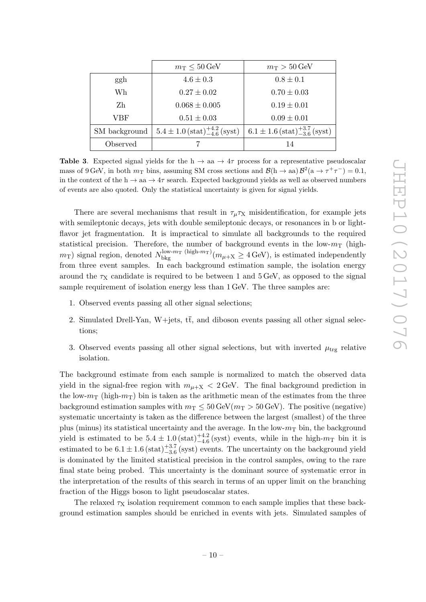|               | $m_T \leq 50 \,\text{GeV}$                                                        | $m_T > 50$ GeV                               |
|---------------|-----------------------------------------------------------------------------------|----------------------------------------------|
| ggh           | $4.6 \pm 0.3$                                                                     | $0.8 \pm 0.1$                                |
| Wh            | $0.27 \pm 0.02$                                                                   | $0.70 \pm 0.03$                              |
| Zh            | $0.068 \pm 0.005$                                                                 | $0.19 \pm 0.01$                              |
| VBF           | $0.51 \pm 0.03$                                                                   | $0.09 \pm 0.01$                              |
| SM background | $5.4 \pm 1.0 \left( \text{stat} \right)_{-4.6}^{+4.2} \left( \text{syst} \right)$ | $6.1 \pm 1.6$ (stat) $^{+3.7}_{-3.6}$ (syst) |
| Observed      |                                                                                   | 14                                           |

<span id="page-10-0"></span>**Table 3.** Expected signal yields for the h  $\rightarrow$  aa  $\rightarrow$  4 $\tau$  process for a representative pseudoscalar mass of 9 GeV, in both  $m<sub>T</sub>$  bins, assuming SM cross sections and  $\mathcal{B}(\text{h} \to \text{aa}) \mathcal{B}^2(\text{a} \to \tau^+\tau^-) = 0.1$ , in the context of the h  $\rightarrow$  aa  $\rightarrow$  4 $\tau$  search. Expected background yields as well as observed numbers of events are also quoted. Only the statistical uncertainty is given for signal yields.

There are several mechanisms that result in  $\tau_{\mu} \tau_{\text{X}}$  misidentification, for example jets with semileptonic decays, jets with double semileptonic decays, or resonances in b or lightflavor jet fragmentation. It is impractical to simulate all backgrounds to the required statistical precision. Therefore, the number of background events in the low- $m<sub>T</sub>$  (high $m_T$ ) signal region, denoted  $N_{\text{bkg}}^{\text{low-}m_T \text{ (high-}m_T)}$   $(m_{\mu+X} \geq 4 \text{ GeV})$ , is estimated independently from three event samples. In each background estimation sample, the isolation energy around the  $\tau_X$  candidate is required to be between 1 and 5 GeV, as opposed to the signal sample requirement of isolation energy less than 1 GeV. The three samples are:

- 1. Observed events passing all other signal selections;
- 2. Simulated Drell-Yan, W+jets,  $t\bar{t}$ , and diboson events passing all other signal selections;
- 3. Observed events passing all other signal selections, but with inverted  $\mu_{\text{trg}}$  relative isolation.

The background estimate from each sample is normalized to match the observed data yield in the signal-free region with  $m_{\mu+X} < 2 \text{ GeV}$ . The final background prediction in the low- $m_T$  (high- $m_T$ ) bin is taken as the arithmetic mean of the estimates from the three background estimation samples with  $m<sub>T</sub> \le 50$  GeV( $m<sub>T</sub> > 50$  GeV). The positive (negative) systematic uncertainty is taken as the difference between the largest (smallest) of the three plus (minus) its statistical uncertainty and the average. In the low- $m<sub>T</sub>$  bin, the background yield is estimated to be  $5.4 \pm 1.0 \text{ (stat)}_{-4.6}^{+4.2} \text{ (syst)}$  events, while in the high- $m<sub>T</sub>$  bin it is estimated to be  $6.1 \pm 1.6$  (stat)<sup> $+3.7$ </sup><sub>-3.6</sub> (syst) events. The uncertainty on the background yield is dominated by the limited statistical precision in the control samples, owing to the rare final state being probed. This uncertainty is the dominant source of systematic error in the interpretation of the results of this search in terms of an upper limit on the branching fraction of the Higgs boson to light pseudoscalar states.

The relaxed  $\tau_X$  isolation requirement common to each sample implies that these background estimation samples should be enriched in events with jets. Simulated samples of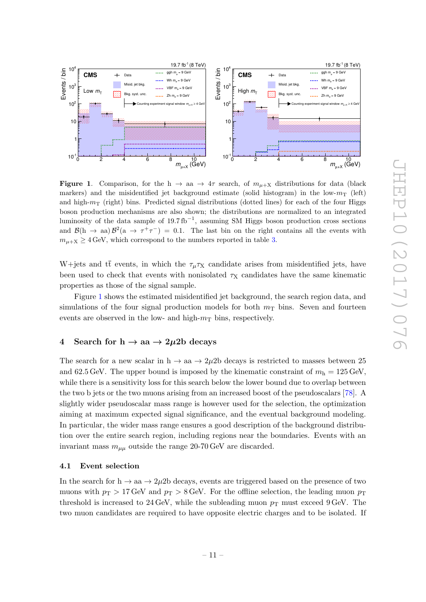

<span id="page-11-2"></span>**Figure 1.** Comparison, for the h  $\rightarrow$  aa  $\rightarrow$  4 $\tau$  search, of  $m_{\mu+\chi}$  distributions for data (black markers) and the misidentified jet background estimate (solid histogram) in the low- $m<sub>T</sub>$  (left) and high- $m<sub>T</sub>$  (right) bins. Predicted signal distributions (dotted lines) for each of the four Higgs boson production mechanisms are also shown; the distributions are normalized to an integrated luminosity of the data sample of  $19.7 \text{ fb}^{-1}$ , assuming SM Higgs boson production cross sections and  $\mathcal{B}(\mathbf{h} \to \mathbf{a} \mathbf{a}) \mathcal{B}^2(\mathbf{a} \to \tau^+\tau^-) = 0.1$ . The last bin on the right contains all the events with  $m_{\mu+X} \geq 4$  GeV, which correspond to the numbers reported in table [3.](#page-10-0)

W+jets and  $t\bar{t}$  events, in which the  $\tau_{\mu} \tau_{X}$  candidate arises from misidentified jets, have been used to check that events with nonisolated  $\tau_X$  candidates have the same kinematic properties as those of the signal sample.

Figure [1](#page-11-2) shows the estimated misidentified jet background, the search region data, and simulations of the four signal production models for both  $m<sub>T</sub>$  bins. Seven and fourteen events are observed in the low- and high- $m<sub>T</sub>$  bins, respectively.

# <span id="page-11-0"></span>4 Search for  $h \to aa \to 2\mu 2b$  decays

The search for a new scalar in h  $\rightarrow$  aa  $\rightarrow$  2µ2b decays is restricted to masses between 25 and 62.5 GeV. The upper bound is imposed by the kinematic constraint of  $m_h = 125 \,\text{GeV}$ , while there is a sensitivity loss for this search below the lower bound due to overlap between the two b jets or the two muons arising from an increased boost of the pseudoscalars [\[78\]](#page-32-17). A slightly wider pseudoscalar mass range is however used for the selection, the optimization aiming at maximum expected signal significance, and the eventual background modeling. In particular, the wider mass range ensures a good description of the background distribution over the entire search region, including regions near the boundaries. Events with an invariant mass  $m_{\mu\mu}$  outside the range 20-70 GeV are discarded.

### <span id="page-11-1"></span>4.1 Event selection

In the search for h  $\rightarrow$  aa  $\rightarrow$  2µ2b decays, events are triggered based on the presence of two muons with  $p_T > 17$  GeV and  $p_T > 8$  GeV. For the offline selection, the leading muon  $p_T$ threshold is increased to 24 GeV, while the subleading muon  $p<sub>T</sub>$  must exceed 9 GeV. The two muon candidates are required to have opposite electric charges and to be isolated. If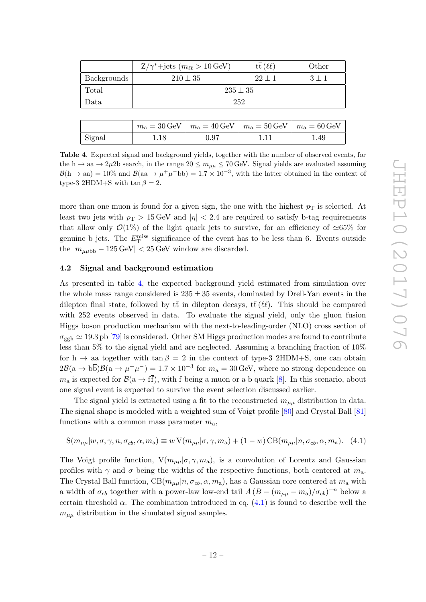|                    | $Z/\gamma^*$ +jets $(m_{\ell\ell} > 10 \,\text{GeV})$ | $t\bar{t}$ ( $\ell\ell$ ) | Other     |  |  |  |
|--------------------|-------------------------------------------------------|---------------------------|-----------|--|--|--|
| <b>Backgrounds</b> | $210 \pm 35$                                          | $22 + 1$                  | $3 \pm 1$ |  |  |  |
| Total              | $235 \pm 35$                                          |                           |           |  |  |  |
| Data               | 252                                                   |                           |           |  |  |  |

<span id="page-12-1"></span>

|        | $m_a = 30 \,\text{GeV}$   $m_a = 40 \,\text{GeV}$   $m_a = 50 \,\text{GeV}$   $m_a = 60 \,\text{GeV}$ |      |
|--------|-------------------------------------------------------------------------------------------------------|------|
| Signal | 0.97                                                                                                  | 1.49 |

Table 4. Expected signal and background yields, together with the number of observed events, for the h  $\rightarrow$  aa  $\rightarrow$  2µ2b search, in the range 20  $\leq m_{\mu\mu} \leq$  70 GeV. Signal yields are evaluated assuming  $\mathcal{B}(\text{h} \to \text{aa}) = 10\%$  and  $\mathcal{B}(\text{aa} \to \mu^+\mu^- \text{b} \overline{\text{b}}) = 1.7 \times 10^{-3}$ , with the latter obtained in the context of type-3 2HDM+S with  $\tan \beta = 2$ .

more than one muon is found for a given sign, the one with the highest  $p_T$  is selected. At least two jets with  $p_T > 15$  GeV and  $|\eta| < 2.4$  are required to satisfy b-tag requirements that allow only  $\mathcal{O}(1\%)$  of the light quark jets to survive, for an efficiency of  $\simeq 65\%$  for genuine b jets. The  $E_{\rm T}^{\rm miss}$  significance of the event has to be less than 6. Events outside the  $|m_{\mu\mu b\bar{b}} - 125 \,\text{GeV}| < 25 \,\text{GeV}$  window are discarded.

# <span id="page-12-0"></span>4.2 Signal and background estimation

As presented in table [4,](#page-12-1) the expected background yield estimated from simulation over the whole mass range considered is  $235 \pm 35$  events, dominated by Drell-Yan events in the dilepton final state, followed by  $t\bar{t}$  in dilepton decays,  $t\bar{t}(\ell\ell)$ . This should be compared with 252 events observed in data. To evaluate the signal yield, only the gluon fusion Higgs boson production mechanism with the next-to-leading-order (NLO) cross section of  $\sigma_{\text{ggh}} \simeq 19.3 \text{ pb}$  [\[79\]](#page-32-18) is considered. Other SM Higgs production modes are found to contribute less than 5% to the signal yield and are neglected. Assuming a branching fraction of 10% for h  $\rightarrow$  aa together with tan  $\beta = 2$  in the context of type-3 2HDM+S, one can obtain  $2\mathcal{B}(a \to b\overline{b})\mathcal{B}(a \to \mu^+\mu^-) = 1.7 \times 10^{-3}$  for  $m_a = 30 \,\text{GeV}$ , where no strong dependence on  $m_a$  is expected for  $\mathcal{B}(a \to f\bar{f})$ , with f being a muon or a b quark [\[8\]](#page-29-1). In this scenario, about one signal event is expected to survive the event selection discussed earlier.

The signal yield is extracted using a fit to the reconstructed  $m_{\mu\mu}$  distribution in data. The signal shape is modeled with a weighted sum of Voigt profile [\[80\]](#page-33-0) and Crystal Ball [\[81\]](#page-33-1) functions with a common mass parameter  $m_a$ ,

<span id="page-12-2"></span>
$$
S(m_{\mu\mu}|w,\sigma,\gamma,n,\sigma_{cb},\alpha,m_a) \equiv w V(m_{\mu\mu}|\sigma,\gamma,m_a) + (1-w) \text{CB}(m_{\mu\mu}|n,\sigma_{cb},\alpha,m_a). \tag{4.1}
$$

The Voigt profile function,  $V(m_{\mu\mu}|\sigma, \gamma, m_a)$ , is a convolution of Lorentz and Gaussian profiles with  $\gamma$  and  $\sigma$  being the widths of the respective functions, both centered at  $m_a$ . The Crystal Ball function,  $CB(m_{\mu\mu}|n, \sigma_{cb}, \alpha, m_a)$ , has a Gaussian core centered at  $m_a$  with a width of  $\sigma_{cb}$  together with a power-law low-end tail  $A (B - (m_{\mu\mu} - m_a)/\sigma_{cb})^{-n}$  below a certain threshold  $\alpha$ . The combination introduced in eq. [\(4.1\)](#page-12-2) is found to describe well the  $m_{\mu\mu}$  distribution in the simulated signal samples.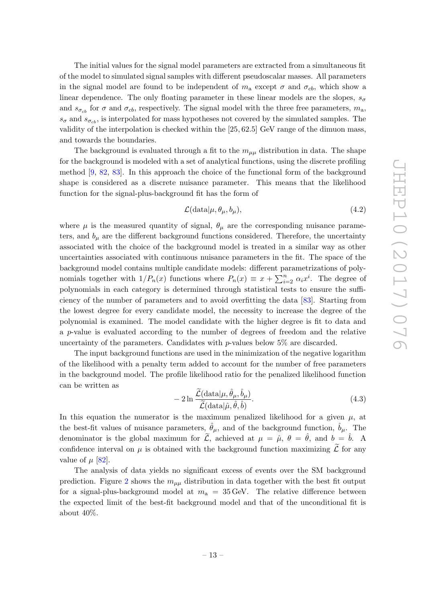The initial values for the signal model parameters are extracted from a simultaneous fit of the model to simulated signal samples with different pseudoscalar masses. All parameters in the signal model are found to be independent of  $m_a$  except  $\sigma$  and  $\sigma_{cb}$ , which show a linear dependence. The only floating parameter in these linear models are the slopes,  $s_{\sigma}$ and  $s_{\sigma_{cb}}$  for  $\sigma$  and  $\sigma_{cb}$ , respectively. The signal model with the three free parameters,  $m_{\rm a}$ ,  $s_{\sigma}$  and  $s_{\sigma_{cb}}$ , is interpolated for mass hypotheses not covered by the simulated samples. The validity of the interpolation is checked within the [25, 62.5] GeV range of the dimuon mass, and towards the boundaries.

The background is evaluated through a fit to the  $m_{\mu\mu}$  distribution in data. The shape for the background is modeled with a set of analytical functions, using the discrete profiling method [\[9,](#page-29-3) [82,](#page-33-2) [83\]](#page-33-3). In this approach the choice of the functional form of the background shape is considered as a discrete nuisance parameter. This means that the likelihood function for the signal-plus-background fit has the form of

$$
\mathcal{L}(\text{data}|\mu, \theta_{\mu}, b_{\mu}), \qquad (4.2)
$$

where  $\mu$  is the measured quantity of signal,  $\theta_{\mu}$  are the corresponding nuisance parameters, and  $b_{\mu}$  are the different background functions considered. Therefore, the uncertainty associated with the choice of the background model is treated in a similar way as other uncertainties associated with continuous nuisance parameters in the fit. The space of the background model contains multiple candidate models: different parametrizations of polynomials together with  $1/P_n(x)$  functions where  $P_n(x) \equiv x + \sum_{i=2}^n \alpha_i x^i$ . The degree of polynomials in each category is determined through statistical tests to ensure the sufficiency of the number of parameters and to avoid overfitting the data [\[83\]](#page-33-3). Starting from the lowest degree for every candidate model, the necessity to increase the degree of the polynomial is examined. The model candidate with the higher degree is fit to data and a p-value is evaluated according to the number of degrees of freedom and the relative uncertainty of the parameters. Candidates with p-values below 5% are discarded.

The input background functions are used in the minimization of the negative logarithm of the likelihood with a penalty term added to account for the number of free parameters in the background model. The profile likelihood ratio for the penalized likelihood function can be written as

$$
-2\ln\frac{\widetilde{\mathcal{L}}(\text{data}|\mu,\hat{\theta}_{\mu},\hat{b}_{\mu})}{\widetilde{\mathcal{L}}(\text{data}|\hat{\mu},\hat{\theta},\hat{b})}.
$$
\n(4.3)

In this equation the numerator is the maximum penalized likelihood for a given  $\mu$ , at the best-fit values of nuisance parameters,  $\hat{\theta}_{\mu}$ , and of the background function,  $\hat{b}_{\mu}$ . The denominator is the global maximum for  $\tilde{\mathcal{L}}$ , achieved at  $\mu = \hat{\mu}$ ,  $\theta = \hat{\theta}$ , and  $b = \hat{b}$ . A confidence interval on  $\mu$  is obtained with the background function maximizing  $\mathcal L$  for any value of  $\mu$  [\[82\]](#page-33-2).

The analysis of data yields no significant excess of events over the SM background prediction. Figure [2](#page-14-2) shows the  $m_{\mu\mu}$  distribution in data together with the best fit output for a signal-plus-background model at  $m_a = 35 \text{ GeV}$ . The relative difference between the expected limit of the best-fit background model and that of the unconditional fit is about 40%.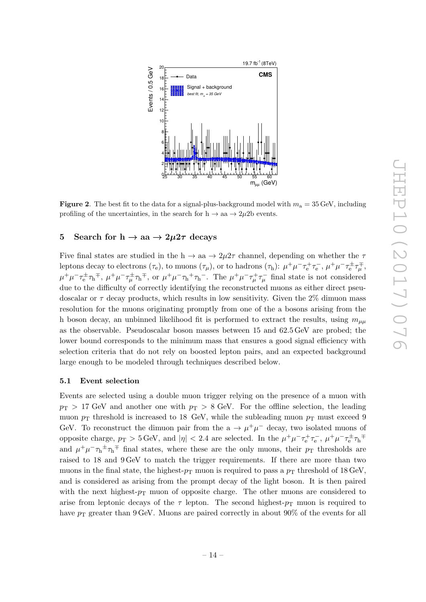

<span id="page-14-2"></span>**Figure 2.** The best fit to the data for a signal-plus-background model with  $m_a = 35$  GeV, including profiling of the uncertainties, in the search for  $h \to aa \to 2\mu 2b$  events.

### <span id="page-14-0"></span>5 Search for  $h \to aa \to 2\mu2\tau$  decays

Five final states are studied in the h  $\rightarrow$  aa  $\rightarrow 2\mu2\tau$  channel, depending on whether the  $\tau$ leptons decay to electrons  $(\tau_e)$ , to muons  $(\tau_\mu)$ , or to hadrons  $(\tau_h)$ :  $\mu^+ \mu^- \tau_e^+ \tau_e^-$ ,  $\mu^+ \mu^- \tau_e^{\pm} \tau_\mu^{\mp}$ ,  $\mu^+\mu^-\tau_{\rm e}^{\pm}\tau_{\rm h}^{\mp}$ ,  $\mu^+\mu^-\tau_{\mu}^{\mp}\tau_{\rm h}$ , or  $\mu^+\mu^-\tau_{\rm h}^{\mp}\tau_{\rm h}^-$ . The  $\mu^+\mu^-\tau_{\mu}^{\pm}\tau_{\mu}^-$  final state is not considered due to the difficulty of correctly identifying the reconstructed muons as either direct pseudoscalar or  $\tau$  decay products, which results in low sensitivity. Given the  $2\%$  dimuon mass resolution for the muons originating promptly from one of the a bosons arising from the h boson decay, an unbinned likelihood fit is performed to extract the results, using  $m_{\mu\mu}$ as the observable. Pseudoscalar boson masses between 15 and 62.5 GeV are probed; the lower bound corresponds to the minimum mass that ensures a good signal efficiency with selection criteria that do not rely on boosted lepton pairs, and an expected background large enough to be modeled through techniques described below.

#### <span id="page-14-1"></span>5.1 Event selection

Events are selected using a double muon trigger relying on the presence of a muon with  $p_{\rm T} > 17$  GeV and another one with  $p_{\rm T} > 8$  GeV. For the offline selection, the leading muon  $p_T$  threshold is increased to 18 GeV, while the subleading muon  $p_T$  must exceed 9 GeV. To reconstruct the dimuon pair from the a  $\rightarrow \mu^+\mu^-$  decay, two isolated muons of opposite charge,  $p_T > 5$  GeV, and  $|\eta| < 2.4$  are selected. In the  $\mu^+ \mu^- \tau_e^+ \tau_e^-$ ,  $\mu^+ \mu^- \tau_e^{\pm} \tau_h^{\mp}$ and  $\mu^+\mu^-\tau_h^{\pm}\tau_h^{\mp}$  final states, where these are the only muons, their  $p_T$  thresholds are raised to 18 and 9 GeV to match the trigger requirements. If there are more than two muons in the final state, the highest- $p_T$  muon is required to pass a  $p_T$  threshold of 18 GeV, and is considered as arising from the prompt decay of the light boson. It is then paired with the next highest- $p_T$  muon of opposite charge. The other muons are considered to arise from leptonic decays of the  $\tau$  lepton. The second highest- $p_T$  muon is required to have  $p_T$  greater than 9 GeV. Muons are paired correctly in about 90% of the events for all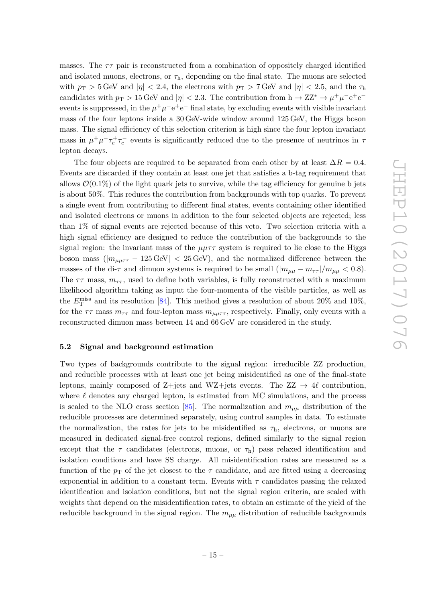masses. The  $\tau\tau$  pair is reconstructed from a combination of oppositely charged identified and isolated muons, electrons, or  $\tau_h$ , depending on the final state. The muons are selected with  $p_T > 5$  GeV and  $|\eta| < 2.4$ , the electrons with  $p_T > 7$  GeV and  $|\eta| < 2.5$ , and the  $\tau_h$ candidates with  $p_T > 15 \text{ GeV}$  and  $|\eta| < 2.3$ . The contribution from  $h \to ZZ^* \to \mu^+ \mu^- e^+ e^$ events is suppressed, in the  $\mu^+\mu^-e^+e^-$  final state, by excluding events with visible invariant mass of the four leptons inside a 30 GeV-wide window around 125 GeV, the Higgs boson mass. The signal efficiency of this selection criterion is high since the four lepton invariant mass in  $\mu^+\mu^-\tau_e^+\tau_e^-$  events is significantly reduced due to the presence of neutrinos in  $\tau$ lepton decays.

The four objects are required to be separated from each other by at least  $\Delta R = 0.4$ . Events are discarded if they contain at least one jet that satisfies a b-tag requirement that allows  $\mathcal{O}(0.1\%)$  of the light quark jets to survive, while the tag efficiency for genuine b jets is about 50%. This reduces the contribution from backgrounds with top quarks. To prevent a single event from contributing to different final states, events containing other identified and isolated electrons or muons in addition to the four selected objects are rejected; less than 1% of signal events are rejected because of this veto. Two selection criteria with a high signal efficiency are designed to reduce the contribution of the backgrounds to the signal region: the invariant mass of the  $\mu\mu\tau\tau$  system is required to lie close to the Higgs boson mass  $(|m_{\mu\mu\tau\tau} - 125 \text{ GeV}| < 25 \text{ GeV})$ , and the normalized difference between the masses of the di- $\tau$  and dimuon systems is required to be small  $(|m_{\mu\mu} - m_{\tau\tau}|/m_{\mu\mu} < 0.8)$ . The  $\tau\tau$  mass,  $m_{\tau\tau}$ , used to define both variables, is fully reconstructed with a maximum likelihood algorithm taking as input the four-momenta of the visible particles, as well as the  $E_{\rm T}^{\rm miss}$  and its resolution [\[84\]](#page-33-4). This method gives a resolution of about 20% and 10%, for the  $\tau\tau$  mass  $m_{\tau\tau}$  and four-lepton mass  $m_{\mu\mu\tau\tau}$ , respectively. Finally, only events with a reconstructed dimuon mass between 14 and 66 GeV are considered in the study.

#### <span id="page-15-0"></span>5.2 Signal and background estimation

Two types of backgrounds contribute to the signal region: irreducible ZZ production, and reducible processes with at least one jet being misidentified as one of the final-state leptons, mainly composed of Z+jets and WZ+jets events. The  $ZZ \rightarrow 4\ell$  contribution, where  $\ell$  denotes any charged lepton, is estimated from MC simulations, and the process is scaled to the NLO cross section [\[85\]](#page-33-5). The normalization and  $m_{\mu\mu}$  distribution of the reducible processes are determined separately, using control samples in data. To estimate the normalization, the rates for jets to be misidentified as  $\tau_h$ , electrons, or muons are measured in dedicated signal-free control regions, defined similarly to the signal region except that the  $\tau$  candidates (electrons, muons, or  $\tau_h$ ) pass relaxed identification and isolation conditions and have SS charge. All misidentification rates are measured as a function of the  $p<sub>T</sub>$  of the jet closest to the  $\tau$  candidate, and are fitted using a decreasing exponential in addition to a constant term. Events with  $\tau$  candidates passing the relaxed identification and isolation conditions, but not the signal region criteria, are scaled with weights that depend on the misidentification rates, to obtain an estimate of the yield of the reducible background in the signal region. The  $m_{\mu\mu}$  distribution of reducible backgrounds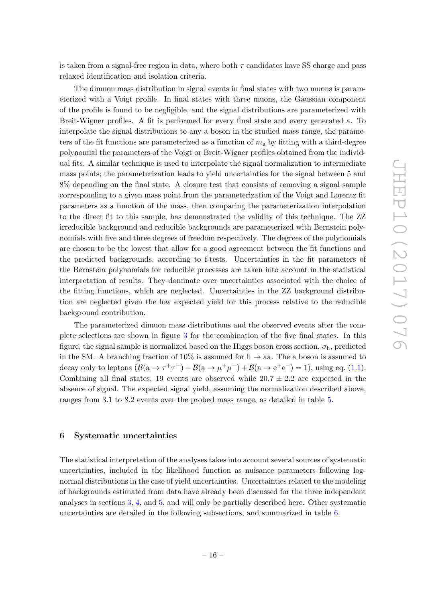is taken from a signal-free region in data, where both  $\tau$  candidates have SS charge and pass relaxed identification and isolation criteria.

The dimuon mass distribution in signal events in final states with two muons is parameterized with a Voigt profile. In final states with three muons, the Gaussian component of the profile is found to be negligible, and the signal distributions are parameterized with Breit-Wigner profiles. A fit is performed for every final state and every generated a. To interpolate the signal distributions to any a boson in the studied mass range, the parameters of the fit functions are parameterized as a function of  $m_a$  by fitting with a third-degree polynomial the parameters of the Voigt or Breit-Wigner profiles obtained from the individual fits. A similar technique is used to interpolate the signal normalization to intermediate mass points; the parameterization leads to yield uncertainties for the signal between 5 and 8% depending on the final state. A closure test that consists of removing a signal sample corresponding to a given mass point from the parameterization of the Voigt and Lorentz fit parameters as a function of the mass, then comparing the parameterization interpolation to the direct fit to this sample, has demonstrated the validity of this technique. The ZZ irreducible background and reducible backgrounds are parameterized with Bernstein polynomials with five and three degrees of freedom respectively. The degrees of the polynomials are chosen to be the lowest that allow for a good agreement between the fit functions and the predicted backgrounds, according to f-tests. Uncertainties in the fit parameters of the Bernstein polynomials for reducible processes are taken into account in the statistical interpretation of results. They dominate over uncertainties associated with the choice of the fitting functions, which are neglected. Uncertainties in the ZZ background distribution are neglected given the low expected yield for this process relative to the reducible background contribution.

The parameterized dimuon mass distributions and the observed events after the complete selections are shown in figure [3](#page-17-0) for the combination of the five final states. In this figure, the signal sample is normalized based on the Higgs boson cross section,  $\sigma_h$ , predicted in the SM. A branching fraction of  $10\%$  is assumed for h  $\rightarrow$  aa. The a boson is assumed to decay only to leptons  $(\mathcal{B}(a \to \tau^+\tau^-) + \mathcal{B}(a \to \mu^+\mu^-) + \mathcal{B}(a \to e^+e^-) = 1)$ , using eq. [\(1.1\)](#page-3-2). Combining all final states, 19 events are observed while  $20.7 \pm 2.2$  are expected in the absence of signal. The expected signal yield, assuming the normalization described above, ranges from 3.1 to 8.2 events over the probed mass range, as detailed in table [5.](#page-17-1)

# <span id="page-16-0"></span>6 Systematic uncertainties

The statistical interpretation of the analyses takes into account several sources of systematic uncertainties, included in the likelihood function as nuisance parameters following lognormal distributions in the case of yield uncertainties. Uncertainties related to the modeling of backgrounds estimated from data have already been discussed for the three independent analyses in sections  $3, 4$  $3, 4$ , and  $5$ , and will only be partially described here. Other systematic uncertainties are detailed in the following subsections, and summarized in table [6.](#page-20-0)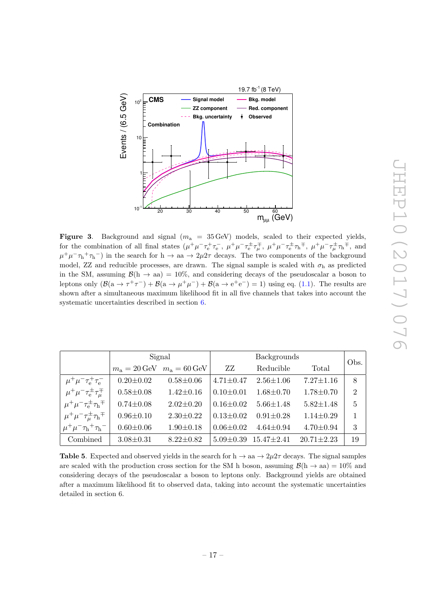

<span id="page-17-0"></span>Figure 3. Background and signal  $(m_a = 35 \text{ GeV})$  models, scaled to their expected yields, for the combination of all final states  $(\mu^+\mu^-\tau_e^+\tau_e^-, \mu^+\mu^-\tau_e^{\pm}\tau_{\mu}^{\mp}, \mu^+\mu^-\tau_e^{\pm}\tau_h^{\mp}, \mu^+\mu^-\tau_{\mu}^{\pm}\tau_h^{\mp}, \text{ and}$  $\mu^+\mu^-\tau_h^+\tau_h^-$ ) in the search for  $h \to aa \to 2\mu2\tau$  decays. The two components of the background model, ZZ and reducible processes, are drawn. The signal sample is scaled with  $\sigma_h$  as predicted in the SM, assuming  $\mathcal{B}(h \to aa) = 10\%$ , and considering decays of the pseudoscalar a boson to leptons only  $(\mathcal{B}(a \to \tau^+\tau^-)+\mathcal{B}(a \to \mu^+\mu^-)+\mathcal{B}(a \to e^+e^-)=1)$  using eq. [\(1.1\)](#page-3-2). The results are shown after a simultaneous maximum likelihood fit in all five channels that takes into account the systematic uncertainties described in section [6.](#page-16-0)

|                                                 |                                                 | Signal          | <b>Backgrounds</b> |                  |                  |                |
|-------------------------------------------------|-------------------------------------------------|-----------------|--------------------|------------------|------------------|----------------|
|                                                 | $m_a = 20 \,\text{GeV}$ $m_a = 60 \,\text{GeV}$ |                 | ZZ                 | Reducible        | Total            | Obs.           |
| $\mu^+ \mu^- \tau_{\rm e}^+ \tau_{\rm e}^-$     | $0.20 \pm 0.02$                                 | $0.58 \pm 0.06$ | $4.71 \pm 0.47$    | $2.56 \pm 1.06$  | $7.27 \pm 1.16$  | $\mathsf{R}$   |
| $\mu^+\mu^-\tau_{\rm e}^\pm\tau_{\mu}^\mp$      | $0.58 \pm 0.08$                                 | $1.42 \pm 0.16$ | $0.10 \pm 0.01$    | $1.68 \pm 0.70$  | $1.78 \pm 0.70$  | $\overline{2}$ |
| $\mu^+\mu^-\tau_{\rm e}^\pm\tau_{\rm h}^\mp$    | $0.74 \pm 0.08$                                 | $2.02 \pm 0.20$ | $0.16 \pm 0.02$    | $5.66 \pm 1.48$  | $5.82 \pm 1.48$  | 5              |
| $\mu^+\mu^-\tau_\mu^\pm\tau_\mathrm{h}^\mp$     | $0.96 \pm 0.10$                                 | $2.30 \pm 0.22$ | $0.13 \pm 0.02$    | $0.91 + 0.28$    | $1.14 \pm 0.29$  |                |
| $\mu^+ \mu^- \tau_{\rm h}{}^+ \tau_{\rm h}{}^-$ | $0.60 \pm 0.06$                                 | $1.90 \pm 0.18$ | $0.06 \pm 0.02$    | $4.64 \pm 0.94$  | $4.70 \pm 0.94$  | 3              |
| Combined                                        | $3.08 \pm 0.31$                                 | $8.22 \pm 0.82$ | $5.09 \pm 0.39$    | $15.47 \pm 2.41$ | $20.71 \pm 2.23$ | 19             |

<span id="page-17-1"></span>**Table 5.** Expected and observed yields in the search for  $h \to aa \to 2\mu2\tau$  decays. The signal samples are scaled with the production cross section for the SM h boson, assuming  $\mathcal{B}(h \to aa) = 10\%$  and considering decays of the pseudoscalar a boson to leptons only. Background yields are obtained after a maximum likelihood fit to observed data, taking into account the systematic uncertainties detailed in section 6.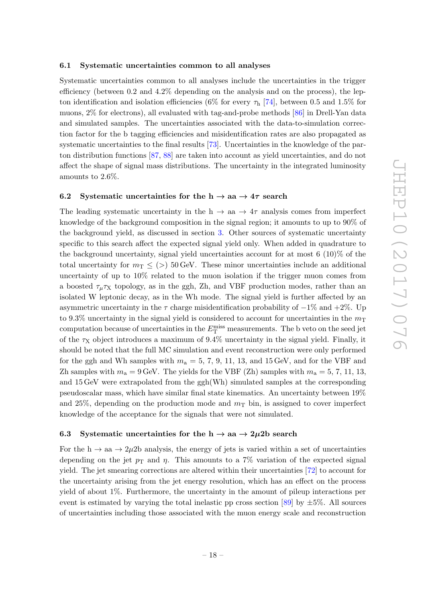#### <span id="page-18-0"></span>6.1 Systematic uncertainties common to all analyses

Systematic uncertainties common to all analyses include the uncertainties in the trigger efficiency (between 0.2 and 4.2% depending on the analysis and on the process), the lepton identification and isolation efficiencies (6% for every  $\tau_h$  [\[74\]](#page-32-13), between 0.5 and 1.5% for muons, 2% for electrons), all evaluated with tag-and-probe methods [\[86\]](#page-33-6) in Drell-Yan data and simulated samples. The uncertainties associated with the data-to-simulation correction factor for the b tagging efficiencies and misidentification rates are also propagated as systematic uncertainties to the final results [\[73\]](#page-32-12). Uncertainties in the knowledge of the parton distribution functions [\[87,](#page-33-7) [88\]](#page-33-8) are taken into account as yield uncertainties, and do not affect the shape of signal mass distributions. The uncertainty in the integrated luminosity amounts to 2.6%.

### <span id="page-18-1"></span>6.2 Systematic uncertainties for the h  $\rightarrow$  aa  $\rightarrow$  4 $\tau$  search

The leading systematic uncertainty in the h  $\rightarrow$  aa  $\rightarrow$  4 $\tau$  analysis comes from imperfect knowledge of the background composition in the signal region; it amounts to up to 90% of the background yield, as discussed in section [3.](#page-7-0) Other sources of systematic uncertainty specific to this search affect the expected signal yield only. When added in quadrature to the background uncertainty, signal yield uncertainties account for at most  $6 \ (10)\%$  of the total uncertainty for  $m<sub>T</sub> \le (>) 50$  GeV. These minor uncertainties include an additional uncertainty of up to 10% related to the muon isolation if the trigger muon comes from a boosted  $\tau_{\mu} \tau_{\text{X}}$  topology, as in the ggh, Zh, and VBF production modes, rather than an isolated W leptonic decay, as in the Wh mode. The signal yield is further affected by an asymmetric uncertainty in the  $\tau$  charge misidentification probability of  $-1\%$  and  $+2\%$ . Up to 9.3% uncertainty in the signal yield is considered to account for uncertainties in the  $m<sub>T</sub>$ computation because of uncertainties in the  $E_{\rm T}^{\rm miss}$  measurements. The b veto on the seed jet of the  $\tau_X$  object introduces a maximum of 9.4% uncertainty in the signal yield. Finally, it should be noted that the full MC simulation and event reconstruction were only performed for the ggh and Wh samples with  $m_a = 5, 7, 9, 11, 13,$  and 15 GeV, and for the VBF and Zh samples with  $m_a = 9$  GeV. The yields for the VBF (Zh) samples with  $m_a = 5, 7, 11, 13$ , and 15 GeV were extrapolated from the ggh(Wh) simulated samples at the corresponding pseudoscalar mass, which have similar final state kinematics. An uncertainty between 19% and 25%, depending on the production mode and  $m<sub>T</sub>$  bin, is assigned to cover imperfect knowledge of the acceptance for the signals that were not simulated.

### <span id="page-18-2"></span>6.3 Systematic uncertainties for the h  $\rightarrow$  aa  $\rightarrow$  2 $\mu$ 2b search

For the h  $\rightarrow$  aa  $\rightarrow$  2µ2b analysis, the energy of jets is varied within a set of uncertainties depending on the jet  $p_T$  and  $\eta$ . This amounts to a 7% variation of the expected signal yield. The jet smearing corrections are altered within their uncertainties [\[72\]](#page-32-11) to account for the uncertainty arising from the jet energy resolution, which has an effect on the process yield of about 1%. Furthermore, the uncertainty in the amount of pileup interactions per event is estimated by varying the total inelastic pp cross section [\[89\]](#page-33-9) by  $\pm 5\%$ . All sources of uncertainties including those associated with the muon energy scale and reconstruction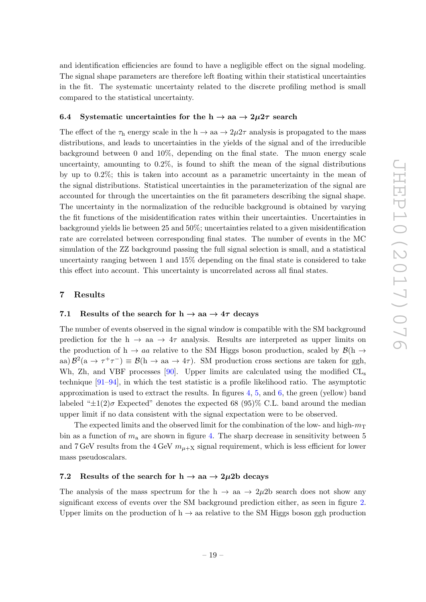and identification efficiencies are found to have a negligible effect on the signal modeling. The signal shape parameters are therefore left floating within their statistical uncertainties in the fit. The systematic uncertainty related to the discrete profiling method is small compared to the statistical uncertainty.

### <span id="page-19-0"></span>6.4 Systematic uncertainties for the h  $\rightarrow$  aa  $\rightarrow$  2 $\mu$ 2 $\tau$  search

The effect of the  $\tau_h$  energy scale in the h  $\rightarrow$  aa  $\rightarrow$  2 $\mu$ 2 $\tau$  analysis is propagated to the mass distributions, and leads to uncertainties in the yields of the signal and of the irreducible background between 0 and 10%, depending on the final state. The muon energy scale uncertainty, amounting to 0.2%, is found to shift the mean of the signal distributions by up to 0.2%; this is taken into account as a parametric uncertainty in the mean of the signal distributions. Statistical uncertainties in the parameterization of the signal are accounted for through the uncertainties on the fit parameters describing the signal shape. The uncertainty in the normalization of the reducible background is obtained by varying the fit functions of the misidentification rates within their uncertainties. Uncertainties in background yields lie between 25 and 50%; uncertainties related to a given misidentification rate are correlated between corresponding final states. The number of events in the MC simulation of the ZZ background passing the full signal selection is small, and a statistical uncertainty ranging between 1 and 15% depending on the final state is considered to take this effect into account. This uncertainty is uncorrelated across all final states.

### <span id="page-19-1"></span>7 Results

#### <span id="page-19-2"></span>7.1 Results of the search for  $h \to aa \to 4\tau$  decays

The number of events observed in the signal window is compatible with the SM background prediction for the h  $\rightarrow$  aa  $\rightarrow$  4 $\tau$  analysis. Results are interpreted as upper limits on the production of h  $\rightarrow$  aa relative to the SM Higgs boson production, scaled by  $\mathcal{B}(h \rightarrow$ aa)  $\mathcal{B}^2(a \to \tau^+\tau^-) \equiv \mathcal{B}(h \to aa \to 4\tau)$ . SM production cross sections are taken for ggh, Wh, Zh, and VBF processes  $[90]$ . Upper limits are calculated using the modified  $CL_s$ technique [\[91–](#page-33-11)[94\]](#page-33-12), in which the test statistic is a profile likelihood ratio. The asymptotic approximation is used to extract the results. In figures  $4, 5$  $4, 5$ , and  $6$ , the green (yellow) band labeled " $\pm 1(2)\sigma$  Expected" denotes the expected 68 (95)% C.L. band around the median upper limit if no data consistent with the signal expectation were to be observed.

The expected limits and the observed limit for the combination of the low- and high- $m<sub>T</sub>$ bin as a function of  $m_a$  are shown in figure [4.](#page-20-1) The sharp decrease in sensitivity between 5 and 7 GeV results from the 4 GeV  $m_{\mu+X}$  signal requirement, which is less efficient for lower mass pseudoscalars.

#### <span id="page-19-3"></span>7.2 Results of the search for  $h \to aa \to 2\mu 2b$  decays

The analysis of the mass spectrum for the h  $\rightarrow$  aa  $\rightarrow$  2µ2b search does not show any significant excess of events over the SM background prediction either, as seen in figure [2.](#page-14-2) Upper limits on the production of  $h \to aa$  relative to the SM Higgs boson ggh production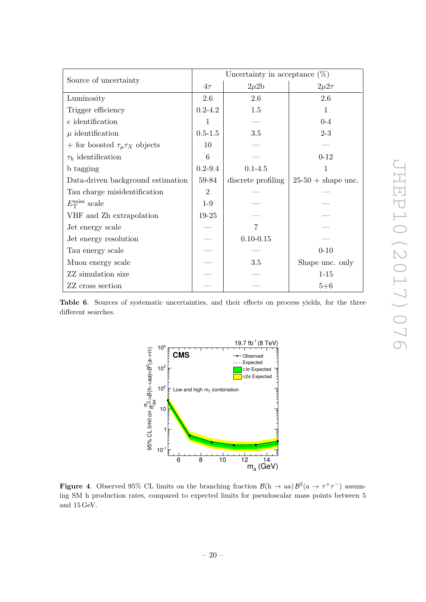| Source of uncertainty                       | Uncertainty in acceptance $(\%)$ |                    |                      |  |
|---------------------------------------------|----------------------------------|--------------------|----------------------|--|
|                                             | $4\tau$                          | $2\mu$ 2b          | $2\mu2\tau$          |  |
| Luminosity                                  | 2.6                              | 2.6                | 2.6                  |  |
| Trigger efficiency                          | $0.2 - 4.2$                      | 1.5                | 1                    |  |
| $e$ identification                          | 1                                |                    | $0-4$                |  |
| $\mu$ identification                        | $0.5 - 1.5$                      | 3.5                | $2 - 3$              |  |
| + for boosted $\tau_{\mu} \tau_{X}$ objects | 10                               |                    |                      |  |
| $\tau_h$ identification                     | 6                                |                    | $0 - 12$             |  |
| b tagging                                   | $0.2 - 9.4$                      | $0.1 - 4.5$        | 1                    |  |
| Data-driven background estimation           | 59-84                            | discrete profiling | $25-50 + shape$ unc. |  |
| Tau charge misidentification                | $\overline{2}$                   |                    |                      |  |
| $E_{\rm T}^{\rm miss}$ scale                | $1-9$                            |                    |                      |  |
| VBF and Zh extrapolation                    | 19-25                            |                    |                      |  |
| Jet energy scale                            |                                  | 7                  |                      |  |
| Jet energy resolution                       |                                  | $0.10 - 0.15$      |                      |  |
| Tau energy scale                            |                                  |                    | $0 - 10$             |  |
| Muon energy scale                           |                                  | 3.5                | Shape unc. only      |  |
| ZZ simulation size                          |                                  |                    | $1 - 15$             |  |
| ZZ cross section                            |                                  |                    | $5 + 6$              |  |

<span id="page-20-0"></span>Table 6. Sources of systematic uncertainties, and their effects on process yields, for the three different searches.



<span id="page-20-1"></span>**Figure 4.** Observed 95% CL limits on the branching fraction  $\mathcal{B}(\mathbf{h} \to \mathbf{a}\mathbf{a})\mathcal{B}^2(\mathbf{a} \to \tau^+\tau^-)$  assuming SM h production rates, compared to expected limits for pseudoscalar mass points between 5 and 15 GeV.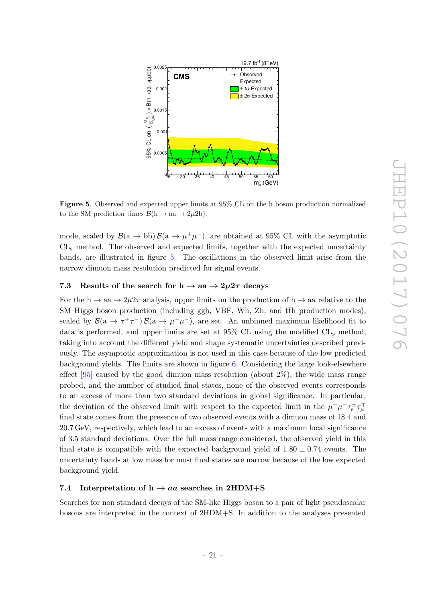

<span id="page-21-2"></span>Figure 5. Observed and expected upper limits at 95% CL on the h boson production normalized to the SM prediction times  $\mathcal{B}(h \to aa \to 2\mu 2b)$ .

mode, scaled by  $\mathcal{B}(a \to b\overline{b}) \mathcal{B}(a \to \mu^+\mu^-)$ , are obtained at 95% CL with the asymptotic CL<sup>s</sup> method. The observed and expected limits, together with the expected uncertainty bands, are illustrated in figure [5.](#page-21-2) The oscillations in the observed limit arise from the narrow dimuon mass resolution predicted for signal events.

### <span id="page-21-0"></span>7.3 Results of the search for  $h \to aa \to 2\mu2\tau$  decays

For the h  $\rightarrow$  aa  $\rightarrow$  2 $\mu$ 2 $\tau$  analysis, upper limits on the production of h  $\rightarrow$  aa relative to the SM Higgs boson production (including ggh, VBF, Wh, Zh, and  $\mathrm{t\bar{t}h}$  production modes), scaled by  $\mathcal{B}(a \to \tau^+\tau^-)\mathcal{B}(a \to \mu^+\mu^-)$ , are set. An unbinned maximum likelihood fit to data is performed, and upper limits are set at 95% CL using the modified CL<sub>s</sub> method, taking into account the different yield and shape systematic uncertainties described previously. The asymptotic approximation is not used in this case because of the low predicted background yields. The limits are shown in figure [6.](#page-22-0) Considering the large look-elsewhere effect  $[95]$  caused by the good dimuon mass resolution (about  $2\%$ ), the wide mass range probed, and the number of studied final states, none of the observed events corresponds to an excess of more than two standard deviations in global significance. In particular, the deviation of the observed limit with respect to the expected limit in the  $\mu^+\mu^-\tau_e^{\pm}\tau_{\mu}^{\mp}$ final state comes from the presence of two observed events with a dimuon mass of 18.4 and 20.7 GeV, respectively, which lead to an excess of events with a maximum local significance of 3.5 standard deviations. Over the full mass range considered, the observed yield in this final state is compatible with the expected background yield of  $1.80 \pm 0.74$  events. The uncertainty bands at low mass for most final states are narrow because of the low expected background yield.

### <span id="page-21-1"></span>7.4 Interpretation of  $h \rightarrow aa$  searches in 2HDM+S

Searches for non standard decays of the SM-like Higgs boson to a pair of light pseudoscalar bosons are interpreted in the context of 2HDM+S. In addition to the analyses presented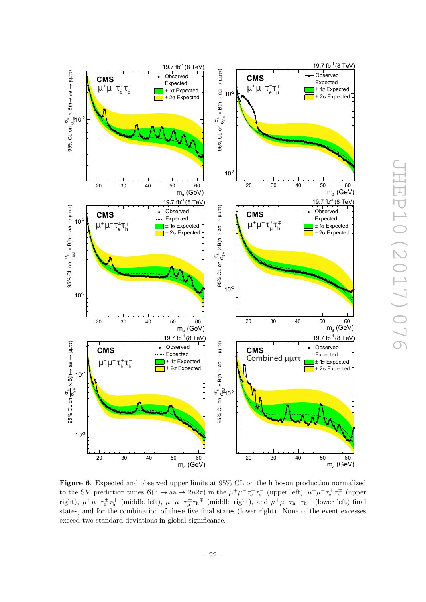

<span id="page-22-0"></span>Figure 6. Expected and observed upper limits at 95% CL on the h boson production normalized to the SM prediction times  $\mathcal{B}(\mathbf{h} \to \mathbf{a} \mathbf{a} \to 2\mu 2\tau)$  in the  $\mu^+ \mu^- \tau_e^+ \tau_e^-$  (upper left),  $\mu^+ \mu^- \tau_e^{\pm} \tau_{\mu}^{\mp}$  (upper right),  $\mu^+ \mu^- \tau_{e}^{\pm} \tau_{h}^{\mp}$  (middle left),  $\mu^+ \mu^- \tau_{\mu}^{\pm} \tau_{h}^{\mp}$  (middle right), and  $\mu^+ \mu^- \tau_{h}^+ \tau_{h}^-$  (lower left) final states, and for the combination of these five final states (lower right). None of the event excesses exceed two standard deviations in global significance.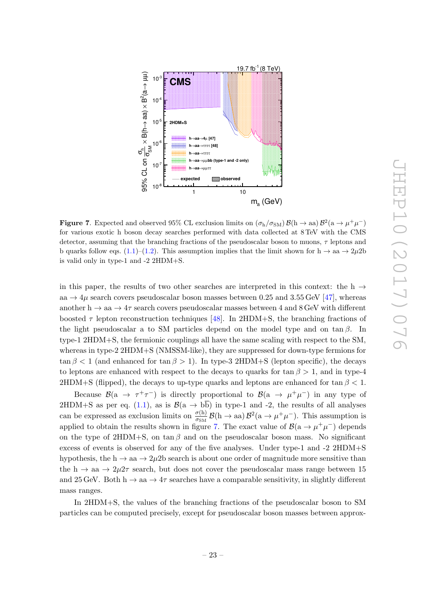

<span id="page-23-0"></span>**Figure 7.** Expected and observed 95% CL exclusion limits on  $(\sigma_h/\sigma_{SM})\mathcal{B}(h \to aa)\mathcal{B}^2(a \to \mu^+\mu^-)$ for various exotic h boson decay searches performed with data collected at 8 TeV with the CMS detector, assuming that the branching fractions of the pseudoscalar boson to muons,  $\tau$  leptons and b quarks follow eqs. [\(1.1\)](#page-3-2)–[\(1.2\)](#page-4-0). This assumption implies that the limit shown for h  $\rightarrow$  aa  $\rightarrow$  2 $\mu$ 2b is valid only in type-1 and -2 2HDM+S.

in this paper, the results of two other searches are interpreted in this context: the h  $\rightarrow$ aa  $\rightarrow$  4µ search covers pseudoscalar boson masses between 0.25 and 3.55 GeV [\[47\]](#page-31-3), whereas another h  $\rightarrow$  aa  $\rightarrow$  4 $\tau$  search covers pseudoscalar masses between 4 and 8 GeV with different boosted  $\tau$  lepton reconstruction techniques [\[48\]](#page-31-4). In 2HDM+S, the branching fractions of the light pseudoscalar a to SM particles depend on the model type and on tan  $\beta$ . In type-1 2HDM+S, the fermionic couplings all have the same scaling with respect to the SM, whereas in type-2 2HDM+S (NMSSM-like), they are suppressed for down-type fermions for  $\tan \beta < 1$  (and enhanced for  $\tan \beta > 1$ ). In type-3 2HDM+S (lepton specific), the decays to leptons are enhanced with respect to the decays to quarks for  $\tan \beta > 1$ , and in type-4 2HDM+S (flipped), the decays to up-type quarks and leptons are enhanced for tan  $\beta$  < 1.

Because  $\mathcal{B}(a \to \tau^+\tau^-)$  is directly proportional to  $\mathcal{B}(a \to \mu^+\mu^-)$  in any type of 2HDM+S as per eq. [\(1.1\)](#page-3-2), as is  $\mathcal{B}(a \to b\overline{b})$  in type-1 and -2, the results of all analyses can be expressed as exclusion limits on  $\frac{\sigma(h)}{\sigma_{SM}}$   $\mathcal{B}(h \to aa)$   $\mathcal{B}^2(a \to \mu^+\mu^-)$ . This assumption is applied to obtain the results shown in figure [7.](#page-23-0) The exact value of  $\mathcal{B}(a \to \mu^+ \mu^-)$  depends on the type of 2HDM+S, on tan  $\beta$  and on the pseudoscalar boson mass. No significant excess of events is observed for any of the five analyses. Under type-1 and -2 2HDM+S hypothesis, the h  $\rightarrow$  aa  $\rightarrow$  2µ2b search is about one order of magnitude more sensitive than the h  $\rightarrow$  aa  $\rightarrow$  2 $\mu$ 2 $\tau$  search, but does not cover the pseudoscalar mass range between 15 and 25 GeV. Both  $h \to aa \to 4\tau$  searches have a comparable sensitivity, in slightly different mass ranges.

In 2HDM+S, the values of the branching fractions of the pseudoscalar boson to SM particles can be computed precisely, except for pseudoscalar boson masses between approx-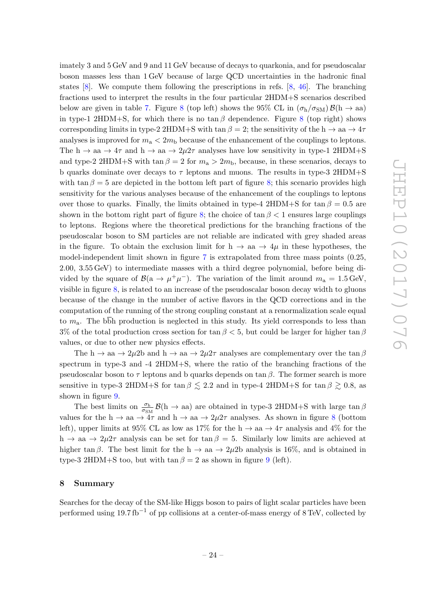imately 3 and 5 GeV and 9 and 11 GeV because of decays to quarkonia, and for pseudoscalar boson masses less than 1 GeV because of large QCD uncertainties in the hadronic final states  $[8]$ . We compute them following the prescriptions in refs.  $[8, 46]$  $[8, 46]$ . The branching fractions used to interpret the results in the four particular 2HDM+S scenarios described below are given in table [7.](#page-25-0) Figure [8](#page-26-0) (top left) shows the 95% CL in  $(\sigma_h/\sigma_{SM})\mathcal{B}(h \to aa)$ in type-1 2HDM+S, for which there is no tan  $\beta$  dependence. Figure [8](#page-26-0) (top right) shows corresponding limits in type-2 2HDM+S with tan  $\beta = 2$ ; the sensitivity of the h  $\rightarrow$  aa  $\rightarrow$  4 $\tau$ analyses is improved for  $m_a < 2m_b$  because of the enhancement of the couplings to leptons. The h  $\rightarrow$  aa  $\rightarrow$  4 $\tau$  and h  $\rightarrow$  aa  $\rightarrow$  2 $\mu$ 2 $\tau$  analyses have low sensitivity in type-1 2HDM+S and type-2 2HDM+S with tan  $\beta = 2$  for  $m_a > 2m_b$ , because, in these scenarios, decays to b quarks dominate over decays to  $\tau$  leptons and muons. The results in type-3 2HDM+S with tan  $\beta = 5$  are depicted in the bottom left part of figure [8;](#page-26-0) this scenario provides high sensitivity for the various analyses because of the enhancement of the couplings to leptons over those to quarks. Finally, the limits obtained in type-4 2HDM+S for tan  $\beta = 0.5$  are shown in the bottom right part of figure [8;](#page-26-0) the choice of  $\tan \beta < 1$  ensures large couplings to leptons. Regions where the theoretical predictions for the branching fractions of the pseudoscalar boson to SM particles are not reliable are indicated with grey shaded areas in the figure. To obtain the exclusion limit for  $h \to aa \to 4\mu$  in these hypotheses, the model-independent limit shown in figure [7](#page-23-0) is extrapolated from three mass points (0.25, 2.00, 3.55 GeV) to intermediate masses with a third degree polynomial, before being divided by the square of  $\mathcal{B}(a \to \mu^+ \mu^-)$ . The variation of the limit around  $m_a = 1.5 \,\text{GeV}$ , visible in figure [8,](#page-26-0) is related to an increase of the pseudoscalar boson decay width to gluons because of the change in the number of active flavors in the QCD corrections and in the computation of the running of the strong coupling constant at a renormalization scale equal to  $m_a$ . The bbh production is neglected in this study. Its yield corresponds to less than 3% of the total production cross section for tan  $\beta$  < 5, but could be larger for higher tan  $\beta$ values, or due to other new physics effects.

The h  $\rightarrow$  aa  $\rightarrow$  2 $\mu$ 2b and h  $\rightarrow$  aa  $\rightarrow$  2 $\mu$ 2 $\tau$  analyses are complementary over the tan  $\beta$ spectrum in type-3 and -4 2HDM+S, where the ratio of the branching fractions of the pseudoscalar boson to  $\tau$  leptons and b quarks depends on tan  $\beta$ . The former search is more sensitive in type-3 2HDM+S for tan  $\beta \lesssim 2.2$  and in type-4 2HDM+S for tan  $\beta \gtrsim 0.8$ , as shown in figure [9.](#page-27-0)

The best limits on  $\frac{\sigma_{h}}{\sigma_{SM}}$   $\mathcal{B}(h \to aa)$  are obtained in type-3 2HDM+S with large tan  $\beta$ values for the h  $\rightarrow$  aa  $\rightarrow$  4 $\tau$  and h  $\rightarrow$  aa  $\rightarrow$  2 $\mu$ 2 $\tau$  analyses. As shown in figure [8](#page-26-0) (bottom left), upper limits at 95% CL as low as 17% for the h  $\rightarrow$  aa  $\rightarrow$  4 $\tau$  analysis and 4% for the h  $\rightarrow$  aa  $\rightarrow$  2 $\mu$ 2 $\tau$  analysis can be set for tan  $\beta = 5$ . Similarly low limits are achieved at higher tan β. The best limit for the h  $\rightarrow$  aa  $\rightarrow$  2µ2b analysis is 16%, and is obtained in type-3 2HDM+S too, but with  $\tan \beta = 2$  as shown in figure [9](#page-27-0) (left).

### <span id="page-24-0"></span>8 Summary

Searches for the decay of the SM-like Higgs boson to pairs of light scalar particles have been performed using  $19.7\,\text{fb}^{-1}$  of pp collisions at a center-of-mass energy of 8 TeV, collected by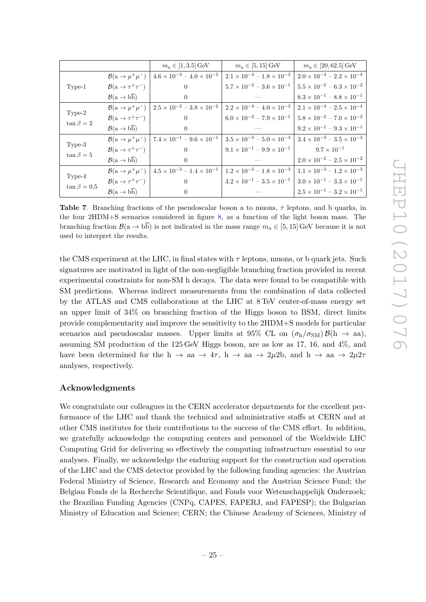|                    |                                    | $m_{\rm a} \in [1, 3.5] \,\text{GeV}$     | $m_{\rm a} \in [5, 15] \,\text{GeV}$      | $m_{\rm a} \in [20, 62.5]$ GeV            |
|--------------------|------------------------------------|-------------------------------------------|-------------------------------------------|-------------------------------------------|
|                    | $\mathcal{B}(a \to \mu^+ \mu^-)$   | $4.6 \times 10^{-3} - 4.0 \times 10^{-2}$ | $2.1 \times 10^{-4} - 1.8 \times 10^{-3}$ | $2.0 \times 10^{-4} - 2.2 \times 10^{-4}$ |
| $Type-1$           | $\mathcal{B}(a \to \tau^+ \tau^-)$ | $\Omega$                                  | $5.7 \times 10^{-2} - 3.6 \times 10^{-1}$ | $5.5 \times 10^{-2} - 6.3 \times 10^{-2}$ |
|                    | $\mathcal{B}(a \to b\overline{b})$ | $\left( \right)$                          |                                           | $8.3 \times 10^{-1} - 8.8 \times 10^{-1}$ |
|                    | $\mathcal{B}(a \to \mu^+ \mu^-)$   | $2.5 \times 10^{-2} - 3.8 \times 10^{-2}$ | $2.2 \times 10^{-4} - 4.0 \times 10^{-3}$ | $2.1 \times 10^{-4} - 2.5 \times 10^{-4}$ |
| Type-2             | $\mathcal{B}(a \to \tau^+ \tau^-)$ | $\Omega$                                  | $6.0 \times 10^{-2} - 7.9 \times 10^{-1}$ | $5.8 \times 10^{-2} - 7.0 \times 10^{-2}$ |
| $\tan \beta = 2$   | $\mathcal{B}(a \to b\overline{b})$ | $\left($                                  |                                           | $9.2 \times 10^{-1} - 9.3 \times 10^{-1}$ |
|                    | $\mathcal{B}(a \to \mu^+ \mu^-)$   | $7.4 \times 10^{-1} - 9.6 \times 10^{-1}$ | $3.5 \times 10^{-3} - 5.0 \times 10^{-3}$ | $3.4 \times 10^{-3} - 3.5 \times 10^{-3}$ |
| $Type-3$           | $\mathcal{B}(a \to \tau^+ \tau^-)$ | $\Omega$                                  | $9.1 \times 10^{-1} - 9.9 \times 10^{-1}$ | $9.7 \times 10^{-1}$                      |
| $\tan \beta = 5$   | $\mathcal{B}(a \to b\overline{b})$ | $\theta$                                  |                                           | $2.0 \times 10^{-2} - 2.5 \times 10^{-2}$ |
|                    | $\mathcal{B}(a \to \mu^+ \mu^-)$   | $4.5 \times 10^{-3} - 1.4 \times 10^{-1}$ | $1.2 \times 10^{-3} - 1.8 \times 10^{-3}$ | $1.1 \times 10^{-3} - 1.2 \times 10^{-3}$ |
| Type-4             | $\mathcal{B}(a \to \tau^+ \tau^-)$ | $\Omega$                                  | $3.2 \times 10^{-1} - 3.5 \times 10^{-1}$ | $3.0 \times 10^{-1} - 3.3 \times 10^{-1}$ |
| $\tan \beta = 0.5$ | $\mathcal{B}(a \to b\overline{b})$ | $\theta$                                  |                                           | $2.5 \times 10^{-1} - 3.2 \times 10^{-1}$ |

<span id="page-25-0"></span>Table 7. Branching fractions of the pseudoscalar boson a to muons,  $\tau$  leptons, and b quarks, in the four 2HDM+S scenarios considered in figure [8,](#page-26-0) as a function of the light boson mass. The branching fraction  $\mathcal{B}(a \to b\overline{b})$  is not indicated in the mass range  $m_a \in [5, 15]$  GeV because it is not used to interpret the results.

the CMS experiment at the LHC, in final states with  $\tau$  leptons, muons, or b quark jets. Such signatures are motivated in light of the non-negligible branching fraction provided in recent experimental constraints for non-SM h decays. The data were found to be compatible with SM predictions. Whereas indirect measurements from the combination of data collected by the ATLAS and CMS collaborations at the LHC at 8 TeV center-of-mass energy set an upper limit of 34% on branching fraction of the Higgs boson to BSM, direct limits provide complementarity and improve the sensitivity to the 2HDM+S models for particular scenarios and pseudoscalar masses. Upper limits at 95% CL on  $(\sigma_h/\sigma_{SM})\mathcal{B}(h \to aa)$ , assuming SM production of the 125 GeV Higgs boson, are as low as 17, 16, and 4%, and have been determined for the h  $\rightarrow$  aa  $\rightarrow$  4 $\tau$ , h  $\rightarrow$  aa  $\rightarrow$  2 $\mu$ 2b, and h  $\rightarrow$  aa  $\rightarrow$  2 $\mu$ 2 $\tau$ analyses, respectively.

# Acknowledgments

We congratulate our colleagues in the CERN accelerator departments for the excellent performance of the LHC and thank the technical and administrative staffs at CERN and at other CMS institutes for their contributions to the success of the CMS effort. In addition, we gratefully acknowledge the computing centers and personnel of the Worldwide LHC Computing Grid for delivering so effectively the computing infrastructure essential to our analyses. Finally, we acknowledge the enduring support for the construction and operation of the LHC and the CMS detector provided by the following funding agencies: the Austrian Federal Ministry of Science, Research and Economy and the Austrian Science Fund; the Belgian Fonds de la Recherche Scientifique, and Fonds voor Wetenschappelijk Onderzoek; the Brazilian Funding Agencies (CNPq, CAPES, FAPERJ, and FAPESP); the Bulgarian Ministry of Education and Science; CERN; the Chinese Academy of Sciences, Ministry of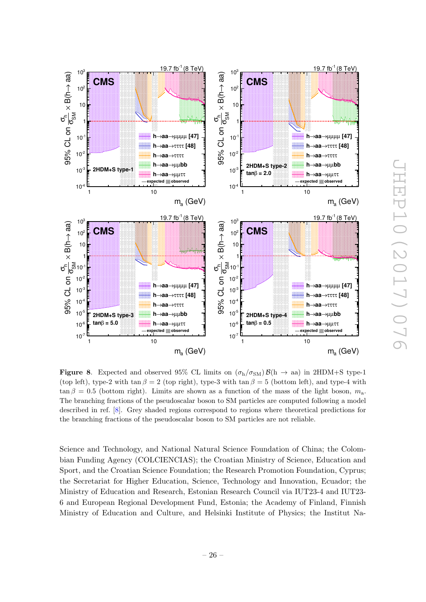

<span id="page-26-0"></span>**Figure 8.** Expected and observed 95% CL limits on  $(\sigma_h/\sigma_{SM})\mathcal{B}(h \rightarrow aa)$  in 2HDM+S type-1 (top left), type-2 with tan  $\beta = 2$  (top right), type-3 with tan  $\beta = 5$  (bottom left), and type-4 with  $\tan \beta = 0.5$  (bottom right). Limits are shown as a function of the mass of the light boson,  $m_a$ . The branching fractions of the pseudoscalar boson to SM particles are computed following a model described in ref. [\[8\]](#page-29-1). Grey shaded regions correspond to regions where theoretical predictions for the branching fractions of the pseudoscalar boson to SM particles are not reliable.

Science and Technology, and National Natural Science Foundation of China; the Colombian Funding Agency (COLCIENCIAS); the Croatian Ministry of Science, Education and Sport, and the Croatian Science Foundation; the Research Promotion Foundation, Cyprus; the Secretariat for Higher Education, Science, Technology and Innovation, Ecuador; the Ministry of Education and Research, Estonian Research Council via IUT23-4 and IUT23- 6 and European Regional Development Fund, Estonia; the Academy of Finland, Finnish Ministry of Education and Culture, and Helsinki Institute of Physics; the Institut Na-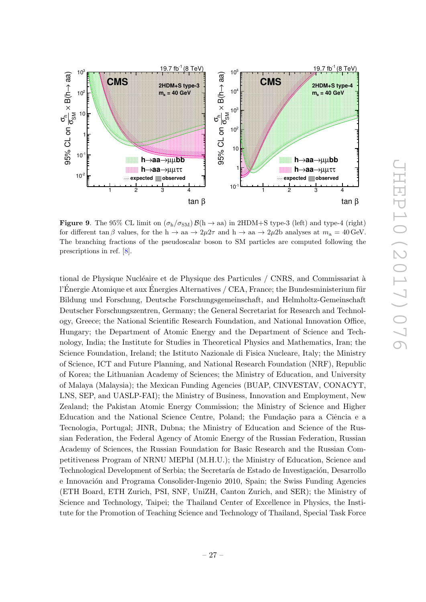

<span id="page-27-0"></span>**Figure 9.** The 95% CL limit on  $(\sigma_h/\sigma_{SM})\mathcal{B}(h \to aa)$  in 2HDM+S type-3 (left) and type-4 (right) for different tan β values, for the h  $\rightarrow$  aa  $\rightarrow 2\mu2\tau$  and h  $\rightarrow$  aa  $\rightarrow 2\mu2b$  analyses at  $m_a = 40 \text{ GeV}$ . The branching fractions of the pseudoscalar boson to SM particles are computed following the prescriptions in ref. [\[8\]](#page-29-1).

tional de Physique Nucléaire et de Physique des Particules / CNRS, and Commissariat à l'Energie Atomique et aux Energies Alternatives / CEA, France; the Bundesministerium für Bildung und Forschung, Deutsche Forschungsgemeinschaft, and Helmholtz-Gemeinschaft Deutscher Forschungszentren, Germany; the General Secretariat for Research and Technology, Greece; the National Scientific Research Foundation, and National Innovation Office, Hungary; the Department of Atomic Energy and the Department of Science and Technology, India; the Institute for Studies in Theoretical Physics and Mathematics, Iran; the Science Foundation, Ireland; the Istituto Nazionale di Fisica Nucleare, Italy; the Ministry of Science, ICT and Future Planning, and National Research Foundation (NRF), Republic of Korea; the Lithuanian Academy of Sciences; the Ministry of Education, and University of Malaya (Malaysia); the Mexican Funding Agencies (BUAP, CINVESTAV, CONACYT, LNS, SEP, and UASLP-FAI); the Ministry of Business, Innovation and Employment, New Zealand; the Pakistan Atomic Energy Commission; the Ministry of Science and Higher Education and the National Science Centre, Poland; the Fundação para a Ciência e a Tecnologia, Portugal; JINR, Dubna; the Ministry of Education and Science of the Russian Federation, the Federal Agency of Atomic Energy of the Russian Federation, Russian Academy of Sciences, the Russian Foundation for Basic Research and the Russian Competitiveness Program of NRNU MEPhI (M.H.U.); the Ministry of Education, Science and Technological Development of Serbia; the Secretaría de Estado de Investigación, Desarrollo e Innovación and Programa Consolider-Ingenio 2010, Spain; the Swiss Funding Agencies (ETH Board, ETH Zurich, PSI, SNF, UniZH, Canton Zurich, and SER); the Ministry of Science and Technology, Taipei; the Thailand Center of Excellence in Physics, the Institute for the Promotion of Teaching Science and Technology of Thailand, Special Task Force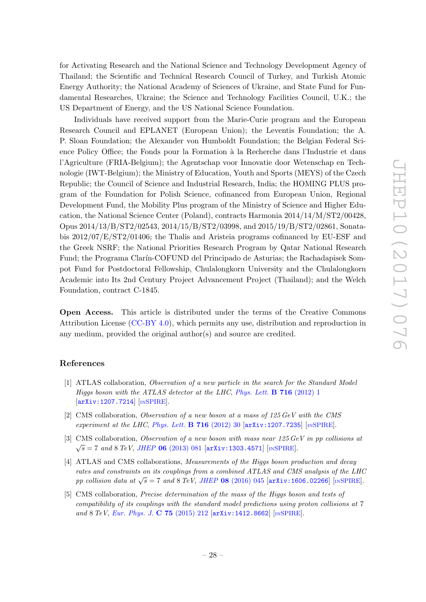for Activating Research and the National Science and Technology Development Agency of Thailand; the Scientific and Technical Research Council of Turkey, and Turkish Atomic Energy Authority; the National Academy of Sciences of Ukraine, and State Fund for Fundamental Researches, Ukraine; the Science and Technology Facilities Council, U.K.; the US Department of Energy, and the US National Science Foundation.

Individuals have received support from the Marie-Curie program and the European Research Council and EPLANET (European Union); the Leventis Foundation; the A. P. Sloan Foundation; the Alexander von Humboldt Foundation; the Belgian Federal Science Policy Office; the Fonds pour la Formation à la Recherche dans l'Industrie et dans l'Agriculture (FRIA-Belgium); the Agentschap voor Innovatie door Wetenschap en Technologie (IWT-Belgium); the Ministry of Education, Youth and Sports (MEYS) of the Czech Republic; the Council of Science and Industrial Research, India; the HOMING PLUS program of the Foundation for Polish Science, cofinanced from European Union, Regional Development Fund, the Mobility Plus program of the Ministry of Science and Higher Education, the National Science Center (Poland), contracts Harmonia 2014/14/M/ST2/00428, Opus 2014/13/B/ST2/02543, 2014/15/B/ST2/03998, and 2015/19/B/ST2/02861, Sonatabis 2012/07/E/ST2/01406; the Thalis and Aristeia programs cofinanced by EU-ESF and the Greek NSRF; the National Priorities Research Program by Qatar National Research Fund; the Programa Clarín-COFUND del Principado de Asturias; the Rachadapisek Sompot Fund for Postdoctoral Fellowship, Chulalongkorn University and the Chulalongkorn Academic into Its 2nd Century Project Advancement Project (Thailand); and the Welch Foundation, contract C-1845.

Open Access. This article is distributed under the terms of the Creative Commons Attribution License [\(CC-BY 4.0\)](https://creativecommons.org/licenses/by/4.0/), which permits any use, distribution and reproduction in any medium, provided the original author(s) and source are credited.

# References

- <span id="page-28-0"></span>[1] ATLAS collaboration, Observation of a new particle in the search for the Standard Model Higgs boson with the ATLAS detector at the LHC, [Phys. Lett.](https://doi.org/10.1016/j.physletb.2012.08.020) **B 716** (2012) 1 [[arXiv:1207.7214](https://arxiv.org/abs/1207.7214)] [IN[SPIRE](https://inspirehep.net/search?p=find+EPRINT+arXiv:1207.7214)].
- [2] CMS collaboration, Observation of a new boson at a mass of 125 GeV with the CMS experiment at the LHC, [Phys. Lett.](https://doi.org/10.1016/j.physletb.2012.08.021) **B** 716 (2012) 30  $\left[\text{arXiv:1207.7235}\right]$  $\left[\text{arXiv:1207.7235}\right]$  $\left[\text{arXiv:1207.7235}\right]$   $\left[\text{INSPIRE}\right]$  $\left[\text{INSPIRE}\right]$  $\left[\text{INSPIRE}\right]$ .
- <span id="page-28-1"></span>[3] CMS collaboration, Observation of a new boson with mass near  $125 \text{ GeV}$  in pp collisions at  $\sqrt{s}$  = 7 and 8 TeV, JHEP 06 [\(2013\) 081](https://doi.org/10.1007/JHEP06(2013)081) [[arXiv:1303.4571](https://arxiv.org/abs/1303.4571)] [IN[SPIRE](https://inspirehep.net/search?p=find+EPRINT+arXiv:1303.4571)].
- <span id="page-28-2"></span>[4] ATLAS and CMS collaborations, Measurements of the Higgs boson production and decay rates and constraints on its couplings from a combined ATLAS and CMS analysis of the LHC pp collision data at  $\sqrt{s} = 7$  and 8 TeV, JHEP 08 [\(2016\) 045](https://doi.org/10.1007/JHEP08(2016)045) [[arXiv:1606.02266](https://arxiv.org/abs/1606.02266)] [IN[SPIRE](https://inspirehep.net/search?p=find+EPRINT+arXiv:1606.02266)].
- <span id="page-28-3"></span>[5] CMS collaboration, Precise determination of the mass of the Higgs boson and tests of compatibility of its couplings with the standard model predictions using proton collisions at 7 and 8 TeV, [Eur. Phys. J.](https://doi.org/10.1140/epjc/s10052-015-3351-7) C 75 (2015) 212  $\text{arXiv:1412.8662}$  $\text{arXiv:1412.8662}$  $\text{arXiv:1412.8662}$  [IN[SPIRE](https://inspirehep.net/search?p=find+EPRINT+arXiv:1412.8662)].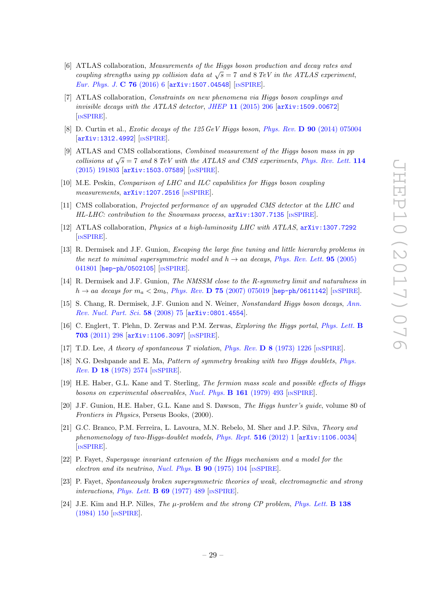- <span id="page-29-2"></span>[6] ATLAS collaboration, Measurements of the Higgs boson production and decay rates and coupling strengths using pp collision data at  $\sqrt{s} = 7$  and 8 TeV in the ATLAS experiment, [Eur. Phys. J.](https://doi.org/10.1140/epjc/s10052-015-3769-y) C 76 (2016) 6 [[arXiv:1507.04548](https://arxiv.org/abs/1507.04548)] [IN[SPIRE](https://inspirehep.net/search?p=find+EPRINT+arXiv:1507.04548)].
- <span id="page-29-0"></span>[7] ATLAS collaboration, Constraints on new phenomena via Higgs boson couplings and invisible decays with the ATLAS detector, JHEP  $11$  [\(2015\) 206](https://doi.org/10.1007/JHEP11(2015)206) [[arXiv:1509.00672](https://arxiv.org/abs/1509.00672)] [IN[SPIRE](https://inspirehep.net/search?p=find+EPRINT+arXiv:1509.00672)].
- <span id="page-29-1"></span>[8] D. Curtin et al., *Exotic decays of the 125 GeV Higgs boson, Phys. Rev.* **D** 90 [\(2014\) 075004](https://doi.org/10.1103/PhysRevD.90.075004) [[arXiv:1312.4992](https://arxiv.org/abs/1312.4992)] [IN[SPIRE](https://inspirehep.net/search?p=find+EPRINT+arXiv:1312.4992)].
- <span id="page-29-3"></span>[9] ATLAS and CMS collaborations, Combined measurement of the Higgs boson mass in pp collisions at  $\sqrt{s}$  = 7 and 8 TeV with the ATLAS and CMS experiments, [Phys. Rev. Lett.](https://doi.org/10.1103/PhysRevLett.114.191803) 114 [\(2015\) 191803](https://doi.org/10.1103/PhysRevLett.114.191803) [[arXiv:1503.07589](https://arxiv.org/abs/1503.07589)] [IN[SPIRE](https://inspirehep.net/search?p=find+EPRINT+arXiv:1503.07589)].
- <span id="page-29-4"></span>[10] M.E. Peskin, Comparison of LHC and ILC capabilities for Higgs boson coupling measurements,  $arXiv:1207.2516$  [IN[SPIRE](https://inspirehep.net/search?p=find+EPRINT+arXiv:1207.2516)].
- [11] CMS collaboration, Projected performance of an upgraded CMS detector at the LHC and HL-LHC: contribution to the Snowmass process,  $arXiv:1307.7135$  [IN[SPIRE](https://inspirehep.net/search?p=find+EPRINT+arXiv:1307.7135)].
- <span id="page-29-5"></span>[12] ATLAS collaboration, Physics at a high-luminosity LHC with ATLAS, [arXiv:1307.7292](https://arxiv.org/abs/1307.7292) [IN[SPIRE](https://inspirehep.net/search?p=find+EPRINT+arXiv:1307.7292)].
- <span id="page-29-6"></span>[13] R. Dermisek and J.F. Gunion, Escaping the large fine tuning and little hierarchy problems in the next to minimal supersymmetric model and  $h \rightarrow aa$  decays, [Phys. Rev. Lett.](https://doi.org/10.1103/PhysRevLett.95.041801) 95 (2005) [041801](https://doi.org/10.1103/PhysRevLett.95.041801) [[hep-ph/0502105](https://arxiv.org/abs/hep-ph/0502105)] [IN[SPIRE](https://inspirehep.net/search?p=find+EPRINT+hep-ph/0502105)].
- [14] R. Dermisek and J.F. Gunion, The NMSSM close to the R-symmetry limit and naturalness in  $h \rightarrow aa$  decays for  $m_a < 2m_b$ , Phys. Rev. **D** 75 [\(2007\) 075019](https://doi.org/10.1103/PhysRevD.75.075019) [[hep-ph/0611142](https://arxiv.org/abs/hep-ph/0611142)] [IN[SPIRE](https://inspirehep.net/search?p=find+EPRINT+hep-ph/0611142)].
- <span id="page-29-7"></span>[15] S. Chang, R. Dermisek, J.F. Gunion and N. Weiner, Nonstandard Higgs boson decays, [Ann.](https://doi.org/10.1146/annurev.nucl.58.110707.171200) [Rev. Nucl. Part. Sci.](https://doi.org/10.1146/annurev.nucl.58.110707.171200) 58 (2008) 75 [[arXiv:0801.4554](https://arxiv.org/abs/0801.4554)].
- <span id="page-29-8"></span>[16] C. Englert, T. Plehn, D. Zerwas and P.M. Zerwas, Exploring the Higgs portal, [Phys. Lett.](https://doi.org/10.1016/j.physletb.2011.08.002) B 703 [\(2011\) 298](https://doi.org/10.1016/j.physletb.2011.08.002) [[arXiv:1106.3097](https://arxiv.org/abs/1106.3097)] [IN[SPIRE](https://inspirehep.net/search?p=find+EPRINT+arXiv:1106.3097)].
- <span id="page-29-9"></span>[17] T.D. Lee, A theory of spontaneous T violation, Phys. Rev. D 8 [\(1973\) 1226](https://doi.org/10.1103/PhysRevD.8.1226) [IN[SPIRE](https://inspirehep.net/search?p=find+J+%22Phys.Rev.,D8,1226%22)].
- [18] N.G. Deshpande and E. Ma, Pattern of symmetry breaking with two Higgs doublets, [Phys.](https://doi.org/10.1103/PhysRevD.18.2574) Rev. D 18 [\(1978\) 2574](https://doi.org/10.1103/PhysRevD.18.2574) [IN[SPIRE](https://inspirehep.net/search?p=find+J+%22Phys.Rev.,D18,2574%22)].
- [19] H.E. Haber, G.L. Kane and T. Sterling, The fermion mass scale and possible effects of Higgs bosons on experimental observables, [Nucl. Phys.](https://doi.org/10.1016/0550-3213(79)90225-6) **B 161** (1979) 493 [IN[SPIRE](https://inspirehep.net/search?p=find+J+%22Nucl.Phys.,B161,493%22)].
- [20] J.F. Gunion, H.E. Haber, G.L. Kane and S. Dawson, The Higgs hunter's guide, volume 80 of Frontiers in Physics, Perseus Books, (2000).
- <span id="page-29-10"></span>[21] G.C. Branco, P.M. Ferreira, L. Lavoura, M.N. Rebelo, M. Sher and J.P. Silva, Theory and phenomenology of two-Higgs-doublet models, [Phys. Rept.](https://doi.org/10.1016/j.physrep.2012.02.002)  $516$  (2012) 1 [[arXiv:1106.0034](https://arxiv.org/abs/1106.0034)] [IN[SPIRE](https://inspirehep.net/search?p=find+EPRINT+arXiv:1106.0034)].
- <span id="page-29-11"></span>[22] P. Fayet, Supergauge invariant extension of the Higgs mechanism and a model for the electron and its neutrino, [Nucl. Phys.](https://doi.org/10.1016/0550-3213(75)90636-7)  $\bf{B}$  90 (1975) 104 [IN[SPIRE](https://inspirehep.net/search?p=find+J+%22Nucl.Phys.,B90,104%22)].
- <span id="page-29-12"></span>[23] P. Fayet, Spontaneously broken supersymmetric theories of weak, electromagnetic and strong interactions, [Phys. Lett.](https://doi.org/10.1016/0370-2693(77)90852-8) **B 69** (1977) 489  $\text{INSPIRE}$  $\text{INSPIRE}$  $\text{INSPIRE}$ .
- <span id="page-29-13"></span>[24] J.E. Kim and H.P. Nilles, The  $\mu$ -problem and the strong CP problem, [Phys. Lett.](https://doi.org/10.1016/0370-2693(84)91890-2) **B** 138 [\(1984\) 150](https://doi.org/10.1016/0370-2693(84)91890-2) [IN[SPIRE](https://inspirehep.net/search?p=find+J+%22Phys.Lett.,B138,150%22)].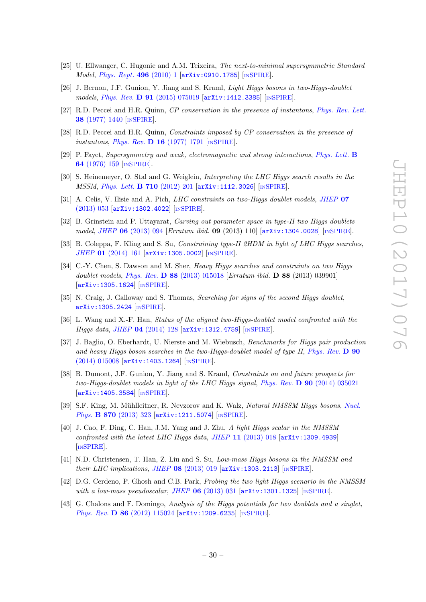- <span id="page-30-0"></span>[25] U. Ellwanger, C. Hugonie and A.M. Teixeira, The next-to-minimal supersymmetric Standard Model, [Phys. Rept.](https://doi.org/10.1016/j.physrep.2010.07.001) 496 (2010) 1 [[arXiv:0910.1785](https://arxiv.org/abs/0910.1785)] [IN[SPIRE](https://inspirehep.net/search?p=find+EPRINT+arXiv:0910.1785)].
- <span id="page-30-1"></span>[26] J. Bernon, J.F. Gunion, Y. Jiang and S. Kraml, Light Higgs bosons in two-Higgs-doublet models, Phys. Rev. D 91 [\(2015\) 075019](https://doi.org/10.1103/PhysRevD.91.075019) [[arXiv:1412.3385](https://arxiv.org/abs/1412.3385)] [IN[SPIRE](https://inspirehep.net/search?p=find+EPRINT+arXiv:1412.3385)].
- <span id="page-30-2"></span>[27] R.D. Peccei and H.R. Quinn, CP conservation in the presence of instantons, [Phys. Rev. Lett.](https://doi.org/10.1103/PhysRevLett.38.1440) 38 [\(1977\) 1440](https://doi.org/10.1103/PhysRevLett.38.1440) [IN[SPIRE](https://inspirehep.net/search?p=find+J+%22Phys.Rev.Lett.,38,1440%22)].
- <span id="page-30-3"></span>[28] R.D. Peccei and H.R. Quinn, Constraints imposed by CP conservation in the presence of *instantons, Phys. Rev.* **D** 16 [\(1977\) 1791](https://doi.org/10.1103/PhysRevD.16.1791)  $\text{INSPIRE}$  $\text{INSPIRE}$  $\text{INSPIRE}$ .
- <span id="page-30-4"></span>[29] P. Fayet, Supersymmetry and weak, electromagnetic and strong interactions, [Phys. Lett.](https://doi.org/10.1016/0370-2693(76)90319-1) B 64 [\(1976\) 159](https://doi.org/10.1016/0370-2693(76)90319-1) [IN[SPIRE](https://inspirehep.net/search?p=find+J+%22Phys.Lett.,B64,159%22)].
- <span id="page-30-5"></span>[30] S. Heinemeyer, O. Stal and G. Weiglein, Interpreting the LHC Higgs search results in the MSSM, [Phys. Lett.](https://doi.org/10.1016/j.physletb.2012.02.084) B 710 (2012) 201 [[arXiv:1112.3026](https://arxiv.org/abs/1112.3026)] [IN[SPIRE](https://inspirehep.net/search?p=find+EPRINT+arXiv:1112.3026)].
- <span id="page-30-6"></span>[31] A. Celis, V. Ilisie and A. Pich, LHC constraints on two-Higgs doublet models, [JHEP](https://doi.org/10.1007/JHEP07(2013)053) 07 [\(2013\) 053](https://doi.org/10.1007/JHEP07(2013)053) [[arXiv:1302.4022](https://arxiv.org/abs/1302.4022)] [IN[SPIRE](https://inspirehep.net/search?p=find+EPRINT+arXiv:1302.4022)].
- [32] B. Grinstein and P. Uttayarat, Carving out parameter space in type-II two Higgs doublets model, JHEP 06 [\(2013\) 094](https://doi.org/10.1007/JHEP06(2013)094) [Erratum ibid. 09 (2013) 110] [[arXiv:1304.0028](https://arxiv.org/abs/1304.0028)] [IN[SPIRE](https://inspirehep.net/search?p=find+EPRINT+arXiv:1304.0028)].
- [33] B. Coleppa, F. Kling and S. Su, Constraining type-II 2HDM in light of LHC Higgs searches, JHEP 01 [\(2014\) 161](https://doi.org/10.1007/JHEP01(2014)161) [[arXiv:1305.0002](https://arxiv.org/abs/1305.0002)] [IN[SPIRE](https://inspirehep.net/search?p=find+EPRINT+arXiv:1305.0002)].
- [34] C.-Y. Chen, S. Dawson and M. Sher, *Heavy Higgs searches and constraints on two Higgs* doublet models, *Phys. Rev.* **D 88** [\(2013\) 015018](https://doi.org/10.1103/PhysRevD.88.015018) [*Erratum ibid.* **D 88** (2013) 039901] [[arXiv:1305.1624](https://arxiv.org/abs/1305.1624)] [IN[SPIRE](https://inspirehep.net/search?p=find+EPRINT+arXiv:1305.1624)].
- [35] N. Craig, J. Galloway and S. Thomas, Searching for signs of the second Higgs doublet, [arXiv:1305.2424](https://arxiv.org/abs/1305.2424) [IN[SPIRE](https://inspirehep.net/search?p=find+EPRINT+arXiv:1305.2424)].
- [36] L. Wang and X.-F. Han, Status of the aligned two-Higgs-doublet model confronted with the Higgs data, JHEP 04 [\(2014\) 128](https://doi.org/10.1007/JHEP04(2014)128) [[arXiv:1312.4759](https://arxiv.org/abs/1312.4759)] [IN[SPIRE](https://inspirehep.net/search?p=find+EPRINT+arXiv:1312.4759)].
- [37] J. Baglio, O. Eberhardt, U. Nierste and M. Wiebusch, Benchmarks for Higgs pair production and heavy Higgs boson searches in the two-Higgs-doublet model of type II, [Phys. Rev.](https://doi.org/10.1103/PhysRevD.90.015008)  $\bf{D}$  90 [\(2014\) 015008](https://doi.org/10.1103/PhysRevD.90.015008) [[arXiv:1403.1264](https://arxiv.org/abs/1403.1264)] [IN[SPIRE](https://inspirehep.net/search?p=find+EPRINT+arXiv:1403.1264)].
- <span id="page-30-7"></span>[38] B. Dumont, J.F. Gunion, Y. Jiang and S. Kraml, Constraints on and future prospects for two-Higgs-doublet models in light of the LHC Higgs signal, Phys. Rev. D 90 [\(2014\) 035021](https://doi.org/10.1103/PhysRevD.90.035021) [[arXiv:1405.3584](https://arxiv.org/abs/1405.3584)] [IN[SPIRE](https://inspirehep.net/search?p=find+EPRINT+arXiv:1405.3584)].
- <span id="page-30-8"></span>[39] S.F. King, M. Mühlleitner, R. Nevzorov and K. Walz, Natural NMSSM Higgs bosons, [Nucl.](https://doi.org/10.1016/j.nuclphysb.2013.01.020) Phys. B 870 [\(2013\) 323](https://doi.org/10.1016/j.nuclphysb.2013.01.020) [[arXiv:1211.5074](https://arxiv.org/abs/1211.5074)] [IN[SPIRE](https://inspirehep.net/search?p=find+EPRINT+arXiv:1211.5074)].
- [40] J. Cao, F. Ding, C. Han, J.M. Yang and J. Zhu, A light Higgs scalar in the NMSSM confronted with the latest LHC Higgs data, JHEP 11 [\(2013\) 018](https://doi.org/10.1007/JHEP11(2013)018)  $\left[$ [arXiv:1309.4939](https://arxiv.org/abs/1309.4939) $\right]$ [IN[SPIRE](https://inspirehep.net/search?p=find+EPRINT+arXiv:1309.4939)].
- [41] N.D. Christensen, T. Han, Z. Liu and S. Su, *Low-mass Higgs bosons in the NMSSM and* their LHC implications, JHEP  $08$  [\(2013\) 019](https://doi.org/10.1007/JHEP08(2013)019)  $\left[$ [arXiv:1303.2113](https://arxiv.org/abs/1303.2113) $\right]$   $\left[$ IN[SPIRE](https://inspirehep.net/search?p=find+EPRINT+arXiv:1303.2113) $\right]$ .
- <span id="page-30-9"></span>[42] D.G. Cerdeno, P. Ghosh and C.B. Park, Probing the two light Higgs scenario in the NMSSM with a low-mass pseudoscalar, JHEP  $06$  [\(2013\) 031](https://doi.org/10.1007/JHEP06(2013)031)  $\text{arXiv:1301.1325}$  $\text{arXiv:1301.1325}$  $\text{arXiv:1301.1325}$  [IN[SPIRE](https://inspirehep.net/search?p=find+EPRINT+arXiv:1301.1325)].
- <span id="page-30-10"></span>[43] G. Chalons and F. Domingo, Analysis of the Higgs potentials for two doublets and a singlet, Phys. Rev. **D 86** [\(2012\) 115024](https://doi.org/10.1103/PhysRevD.86.115024)  $\left| \text{arXiv:1209.6235} \right|$  $\left| \text{arXiv:1209.6235} \right|$  $\left| \text{arXiv:1209.6235} \right|$  [IN[SPIRE](https://inspirehep.net/search?p=find+EPRINT+arXiv:1209.6235)].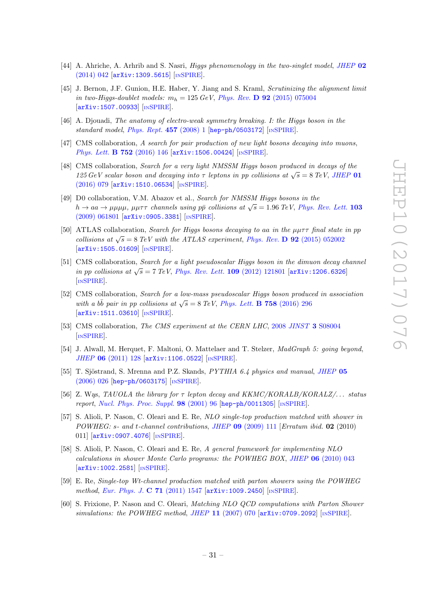- <span id="page-31-0"></span>[44] A. Ahriche, A. Arhrib and S. Nasri, *Higgs phenomenology in the two-singlet model, [JHEP](https://doi.org/10.1007/JHEP02(2014)042)* 02 [\(2014\) 042](https://doi.org/10.1007/JHEP02(2014)042) [[arXiv:1309.5615](https://arxiv.org/abs/1309.5615)] [IN[SPIRE](https://inspirehep.net/search?p=find+EPRINT+arXiv:1309.5615)].
- <span id="page-31-1"></span>[45] J. Bernon, J.F. Gunion, H.E. Haber, Y. Jiang and S. Kraml, Scrutinizing the alignment limit in two-Higgs-doublet models:  $m_h = 125 \text{ GeV}$ , Phys. Rev. **D** 92 [\(2015\) 075004](https://doi.org/10.1103/PhysRevD.92.075004) [[arXiv:1507.00933](https://arxiv.org/abs/1507.00933)] [IN[SPIRE](https://inspirehep.net/search?p=find+EPRINT+arXiv:1507.00933)].
- <span id="page-31-2"></span>[46] A. Djouadi, The anatomy of electro-weak symmetry breaking. I: the Higgs boson in the standard model, [Phys. Rept.](https://doi.org/10.1016/j.physrep.2007.10.004)  $457$  (2008) 1 [[hep-ph/0503172](https://arxiv.org/abs/hep-ph/0503172)] [IN[SPIRE](https://inspirehep.net/search?p=find+EPRINT+hep-ph/0503172)].
- <span id="page-31-3"></span>[47] CMS collaboration, A search for pair production of new light bosons decaying into muons, [Phys. Lett.](https://doi.org/10.1016/j.physletb.2015.10.067) **B 752** (2016) 146 [[arXiv:1506.00424](https://arxiv.org/abs/1506.00424)] [IN[SPIRE](https://inspirehep.net/search?p=find+EPRINT+arXiv:1506.00424)].
- <span id="page-31-4"></span>[48] CMS collaboration, Search for a very light NMSSM Higgs boson produced in decays of the 125 GeV scalar boson and decaying into  $\tau$  leptons in pp collisions at  $\sqrt{s} = 8$  TeV, [JHEP](https://doi.org/10.1007/JHEP01(2016)079) 01 [\(2016\) 079](https://doi.org/10.1007/JHEP01(2016)079) [[arXiv:1510.06534](https://arxiv.org/abs/1510.06534)] [IN[SPIRE](https://inspirehep.net/search?p=find+EPRINT+arXiv:1510.06534)].
- <span id="page-31-5"></span>[49] D0 collaboration, V.M. Abazov et al., Search for NMSSM Higgs bosons in the  $h \to aa \to \mu\mu\mu$ ,  $\mu\mu\tau\tau$  channels using  $p\bar{p}$  collisions at  $\sqrt{s} = 1.96$  TeV, [Phys. Rev. Lett.](https://doi.org/10.1103/PhysRevLett.103.061801) 103 [\(2009\) 061801](https://doi.org/10.1103/PhysRevLett.103.061801) [[arXiv:0905.3381](https://arxiv.org/abs/0905.3381)] [IN[SPIRE](https://inspirehep.net/search?p=find+EPRINT+arXiv:0905.3381)].
- <span id="page-31-6"></span>[50] ATLAS collaboration, Search for Higgs bosons decaying to aa in the  $\mu\mu\tau\tau$  final state in pp collisions at  $\sqrt{s} = 8$  TeV with the ATLAS experiment, Phys. Rev. **D** 92 [\(2015\) 052002](https://doi.org/10.1103/PhysRevD.92.052002) [[arXiv:1505.01609](https://arxiv.org/abs/1505.01609)] [IN[SPIRE](https://inspirehep.net/search?p=find+EPRINT+arXiv:1505.01609)].
- <span id="page-31-7"></span>[51] CMS collaboration, Search for a light pseudoscalar Higgs boson in the dimuon decay channel  $\mu$  pp collisions at  $\sqrt{s} = 7$  TeV, [Phys. Rev. Lett.](https://doi.org/10.1103/PhysRevLett.109.121801) 109 (2012) 121801 [[arXiv:1206.6326](https://arxiv.org/abs/1206.6326)] [IN[SPIRE](https://inspirehep.net/search?p=find+EPRINT+arXiv:1206.6326)].
- <span id="page-31-8"></span>[52] CMS collaboration, Search for a low-mass pseudoscalar Higgs boson produced in association with a  $b\bar{b}$  pair in pp collisions at  $\sqrt{s} = 8$  TeV, [Phys. Lett.](https://doi.org/10.1016/j.physletb.2016.05.003) **B** 758 (2016) 296 [[arXiv:1511.03610](https://arxiv.org/abs/1511.03610)] [IN[SPIRE](https://inspirehep.net/search?p=find+EPRINT+arXiv:1511.03610)].
- <span id="page-31-9"></span>[53] CMS collaboration, The CMS experiment at the CERN LHC, 2008 JINST 3 [S08004](https://doi.org/10.1088/1748-0221/3/08/S08004) [IN[SPIRE](https://inspirehep.net/search?p=find+J+%22JINST,3,S08004%22)].
- <span id="page-31-10"></span>[54] J. Alwall, M. Herquet, F. Maltoni, O. Mattelaer and T. Stelzer, *MadGraph 5: going beyond*, JHEP 06 [\(2011\) 128](https://doi.org/10.1007/JHEP06(2011)128) [[arXiv:1106.0522](https://arxiv.org/abs/1106.0522)] [IN[SPIRE](https://inspirehep.net/search?p=find+EPRINT+arXiv:1106.0522)].
- <span id="page-31-11"></span>[55] T. Sjöstrand, S. Mrenna and P.Z. Skands,  $PYTHIA$  6.4 physics and manual, [JHEP](https://doi.org/10.1088/1126-6708/2006/05/026) 05 [\(2006\) 026](https://doi.org/10.1088/1126-6708/2006/05/026) [[hep-ph/0603175](https://arxiv.org/abs/hep-ph/0603175)] [IN[SPIRE](https://inspirehep.net/search?p=find+EPRINT+hep-ph/0603175)].
- <span id="page-31-12"></span>[56] Z. Wąs, TAUOLA the library for  $\tau$  lepton decay and KKMC/KORALB/KORALZ/... status report, [Nucl. Phys. Proc. Suppl.](https://doi.org/10.1016/S0920-5632(01)01200-2) 98 (2001) 96 [[hep-ph/0011305](https://arxiv.org/abs/hep-ph/0011305)] [IN[SPIRE](https://inspirehep.net/search?p=find+EPRINT+hep-ph/0011305)].
- <span id="page-31-13"></span>[57] S. Alioli, P. Nason, C. Oleari and E. Re, NLO single-top production matched with shower in POWHEG: s- and t-channel contributions, JHEP 09 [\(2009\) 111](https://doi.org/10.1088/1126-6708/2009/09/111) [Erratum ibid. 02 (2010) 011] [[arXiv:0907.4076](https://arxiv.org/abs/0907.4076)] [IN[SPIRE](https://inspirehep.net/search?p=find+EPRINT+arXiv:0907.4076)].
- [58] S. Alioli, P. Nason, C. Oleari and E. Re, A general framework for implementing NLO calculations in shower Monte Carlo programs: the POWHEG BOX, JHEP  $06$  [\(2010\) 043](https://doi.org/10.1007/JHEP06(2010)043) [[arXiv:1002.2581](https://arxiv.org/abs/1002.2581)] [IN[SPIRE](https://inspirehep.net/search?p=find+EPRINT+arXiv:1002.2581)].
- [59] E. Re, Single-top Wt-channel production matched with parton showers using the POWHEG method, [Eur. Phys. J.](https://doi.org/10.1140/epjc/s10052-011-1547-z) C 71 (2011) 1547 [[arXiv:1009.2450](https://arxiv.org/abs/1009.2450)] [IN[SPIRE](https://inspirehep.net/search?p=find+EPRINT+arXiv:1009.2450)].
- <span id="page-31-14"></span>[60] S. Frixione, P. Nason and C. Oleari, Matching NLO QCD computations with Parton Shower simulations: the POWHEG method, JHEP 11 [\(2007\) 070](https://doi.org/10.1088/1126-6708/2007/11/070)  $\ar{xiv:}$  0709.2092]  $\ln$ [SPIRE](https://inspirehep.net/search?p=find+EPRINT+arXiv:0709.2092).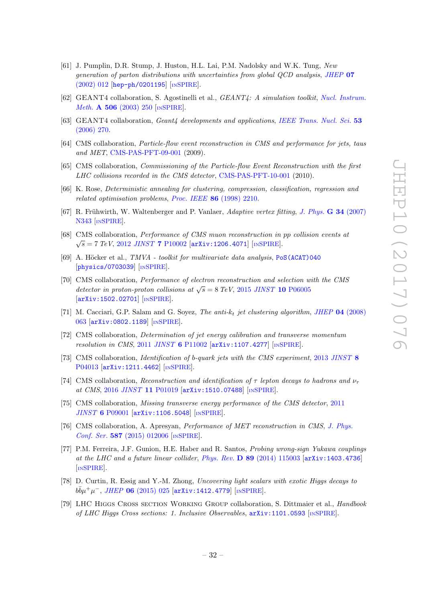- <span id="page-32-0"></span>[61] J. Pumplin, D.R. Stump, J. Huston, H.L. Lai, P.M. Nadolsky and W.K. Tung, New generation of parton distributions with uncertainties from global QCD analysis, [JHEP](https://doi.org/10.1088/1126-6708/2002/07/012) 07 [\(2002\) 012](https://doi.org/10.1088/1126-6708/2002/07/012) [[hep-ph/0201195](https://arxiv.org/abs/hep-ph/0201195)] [IN[SPIRE](https://inspirehep.net/search?p=find+EPRINT+hep-ph/0201195)].
- <span id="page-32-1"></span>[62] GEANT4 collaboration, S. Agostinelli et al., GEANT4: A simulation toolkit, [Nucl. Instrum.](https://doi.org/10.1016/S0168-9002(03)01368-8) Meth. **A 506** [\(2003\) 250](https://doi.org/10.1016/S0168-9002(03)01368-8) [IN[SPIRE](https://inspirehep.net/search?p=find+J+%22Nucl.Instrum.Meth.,A506,250%22)].
- <span id="page-32-2"></span>[63] GEANT4 collaboration, *Geant4 developments and applications, [IEEE Trans. Nucl. Sci.](https://doi.org/10.1109/TNS.2006.869826)* 53 [\(2006\) 270.](https://doi.org/10.1109/TNS.2006.869826)
- <span id="page-32-3"></span>[64] CMS collaboration, Particle-flow event reconstruction in CMS and performance for jets, taus and MET, [CMS-PAS-PFT-09-001](http://cds.cern.ch/record/1194487) (2009).
- <span id="page-32-4"></span>[65] CMS collaboration, Commissioning of the Particle-flow Event Reconstruction with the first LHC collisions recorded in the CMS detector, [CMS-PAS-PFT-10-001](http://cds.cern.ch/record/1247373) (2010).
- <span id="page-32-5"></span>[66] K. Rose, Deterministic annealing for clustering, compression, classification, regression and related optimisation problems, Proc. IEEE 86 [\(1998\) 2210.](https://doi.org/10.1109/5.726788)
- <span id="page-32-6"></span>[67] R. Frühwirth, W. Waltenberger and P. Vanlaer, Adaptive vertex fitting, [J. Phys.](https://doi.org/10.1088/0954-3899/34/12/N01) **G 34** (2007) [N343](https://doi.org/10.1088/0954-3899/34/12/N01) [IN[SPIRE](https://inspirehep.net/search?p=find+J+%22J.Phys.,G34,N343%22)].
- <span id="page-32-7"></span>[68] CMS collaboration, Performance of CMS muon reconstruction in pp collision events at  $\sqrt{s}$  = 7 TeV, 2012 JINST 7 [P10002](https://doi.org/10.1088/1748-0221/7/10/P10002) [[arXiv:1206.4071](https://arxiv.org/abs/1206.4071)] [IN[SPIRE](https://inspirehep.net/search?p=find+EPRINT+arXiv:1206.4071)].
- <span id="page-32-8"></span>[69] A. Höcker et al.,  $TMVA$  - toolkit for multivariate data analysis, [PoS\(ACAT\)040](https://pos.sissa.it/contribution?id=PoS(ACAT)040) [[physics/0703039](https://arxiv.org/abs/physics/0703039)] [IN[SPIRE](https://inspirehep.net/search?p=find+EPRINT+physics/0703039)].
- <span id="page-32-9"></span>[70] CMS collaboration, Performance of electron reconstruction and selection with the CMS  $\alpha$  detector in proton-proton collisions at  $\sqrt{s} = 8 \text{ TeV}$ , 2015 JINST 10 [P06005](https://doi.org/10.1088/1748-0221/10/06/P06005) [[arXiv:1502.02701](https://arxiv.org/abs/1502.02701)] [IN[SPIRE](https://inspirehep.net/search?p=find+EPRINT+arXiv:1502.02701)].
- <span id="page-32-10"></span>[71] M. Cacciari, G.P. Salam and G. Soyez, The anti- $k_t$  jet clustering algorithm, JHEP 04 [\(2008\)](https://doi.org/10.1088/1126-6708/2008/04/063) [063](https://doi.org/10.1088/1126-6708/2008/04/063) [[arXiv:0802.1189](https://arxiv.org/abs/0802.1189)] [IN[SPIRE](https://inspirehep.net/search?p=find+EPRINT+arXiv:0802.1189)].
- <span id="page-32-11"></span>[72] CMS collaboration, Determination of jet energy calibration and transverse momentum resolution in CMS, 2011 JINST 6 [P11002](https://doi.org/10.1088/1748-0221/6/11/P11002) [[arXiv:1107.4277](https://arxiv.org/abs/1107.4277)] [IN[SPIRE](https://inspirehep.net/search?p=find+EPRINT+arXiv:1107.4277)].
- <span id="page-32-12"></span>[73] CMS collaboration, Identification of b-quark jets with the CMS experiment, 2013 [JINST](https://doi.org/10.1088/1748-0221/8/04/P04013) 8 [P04013](https://doi.org/10.1088/1748-0221/8/04/P04013) [[arXiv:1211.4462](https://arxiv.org/abs/1211.4462)] [IN[SPIRE](https://inspirehep.net/search?p=find+EPRINT+arXiv:1211.4462)].
- <span id="page-32-13"></span>[74] CMS collaboration, Reconstruction and identification of  $\tau$  lepton decays to hadrons and  $\nu_{\tau}$ at CMS, 2016 JINST 11 [P01019](https://doi.org/10.1088/1748-0221/11/01/P01019) [[arXiv:1510.07488](https://arxiv.org/abs/1510.07488)] [IN[SPIRE](https://inspirehep.net/search?p=find+EPRINT+arXiv:1510.07488)].
- <span id="page-32-14"></span>[75] CMS collaboration, *Missing transverse energy performance of the CMS detector*, [2011](https://doi.org/10.1088/1748-0221/6/09/P09001) JINST 6 [P09001](https://doi.org/10.1088/1748-0221/6/09/P09001) [[arXiv:1106.5048](https://arxiv.org/abs/1106.5048)] [IN[SPIRE](https://inspirehep.net/search?p=find+EPRINT+arXiv:1106.5048)].
- <span id="page-32-15"></span>[76] CMS collaboration, A. Apresyan, Performance of MET reconstruction in CMS, [J. Phys.](https://doi.org/10.1088/1742-6596/587/1/012006) Conf. Ser. 587 [\(2015\) 012006](https://doi.org/10.1088/1742-6596/587/1/012006) [IN[SPIRE](https://inspirehep.net/search?p=find+J+%22J.Phys.Conf.Ser.,587,012006%22)].
- <span id="page-32-16"></span>[77] P.M. Ferreira, J.F. Gunion, H.E. Haber and R. Santos, Probing wrong-sign Yukawa couplings at the LHC and a future linear collider, Phys. Rev.  $\bf{D}$  89 [\(2014\) 115003](https://doi.org/10.1103/PhysRevD.89.115003) [[arXiv:1403.4736](https://arxiv.org/abs/1403.4736)] [IN[SPIRE](https://inspirehep.net/search?p=find+EPRINT+arXiv:1403.4736)].
- <span id="page-32-17"></span>[78] D. Curtin, R. Essig and Y.-M. Zhong, Uncovering light scalars with exotic Higgs decays to  $b\bar{b}\mu^{+}\mu^{-}$ , JHEP 06 [\(2015\) 025](https://doi.org/10.1007/JHEP06(2015)025) [[arXiv:1412.4779](https://arxiv.org/abs/1412.4779)] [IN[SPIRE](https://inspirehep.net/search?p=find+EPRINT+arXiv:1412.4779)].
- <span id="page-32-18"></span>[79] LHC HIGGS CROSS SECTION WORKING GROUP collaboration, S. Dittmaier et al., Handbook of LHC Higgs Cross sections: 1. Inclusive Observables, [arXiv:1101.0593](https://arxiv.org/abs/1101.0593) [IN[SPIRE](https://inspirehep.net/search?p=find+EPRINT+arXiv:1101.0593)].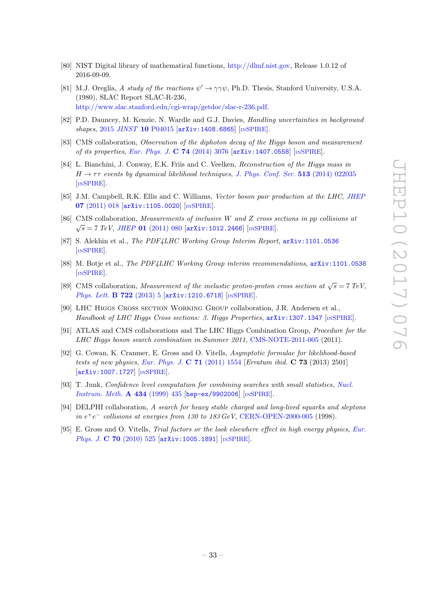- <span id="page-33-0"></span>[80] NIST Digital library of mathematical functions, [http://dlmf.nist.gov,](http://dlmf.nist.gov) Release 1.0.12 of 2016-09-09.
- <span id="page-33-1"></span>[81] M.J. Oreglia, A study of the reactions  $\psi' \rightarrow \gamma \gamma \psi$ , Ph.D. Thesis, Stanford University, U.S.A. (1980), SLAC Report SLAC-R-236, [http://www.slac.stanford.edu/cgi-wrap/getdoc/slac-r-236.pdf.](http://www.slac.stanford.edu/cgi-wrap/getdoc/slac-r-236.pdf)
- <span id="page-33-2"></span>[82] P.D. Dauncey, M. Kenzie, N. Wardle and G.J. Davies, *Handling uncertainties in background* shapes, 2015 JINST 10 [P04015](https://doi.org/10.1088/1748-0221/10/04/P04015) [[arXiv:1408.6865](https://arxiv.org/abs/1408.6865)] [IN[SPIRE](https://inspirehep.net/search?p=find+EPRINT+arXiv:1408.6865)].
- <span id="page-33-3"></span>[83] CMS collaboration, Observation of the diphoton decay of the Higgs boson and measurement of its properties, [Eur. Phys. J.](https://doi.org/10.1140/epjc/s10052-014-3076-z) C 74 (2014) 3076 [[arXiv:1407.0558](https://arxiv.org/abs/1407.0558)] [IN[SPIRE](https://inspirehep.net/search?p=find+EPRINT+arXiv:1407.0558)].
- <span id="page-33-4"></span>[84] L. Bianchini, J. Conway, E.K. Friis and C. Veelken, Reconstruction of the Higgs mass in  $H \rightarrow \tau\tau$  events by dynamical likelihood techniques, [J. Phys. Conf. Ser.](https://doi.org/10.1088/1742-6596/513/2/022035) 513 (2014) 022035 [IN[SPIRE](https://inspirehep.net/search?p=find+J+%22J.Phys.Conf.Ser.,513,022035%22)].
- <span id="page-33-5"></span>[85] J.M. Campbell, R.K. Ellis and C. Williams, Vector boson pair production at the LHC, [JHEP](https://doi.org/10.1007/JHEP07(2011)018) 07 [\(2011\) 018](https://doi.org/10.1007/JHEP07(2011)018) [[arXiv:1105.0020](https://arxiv.org/abs/1105.0020)] [IN[SPIRE](https://inspirehep.net/search?p=find+EPRINT+arXiv:1105.0020)].
- <span id="page-33-6"></span>[86] CMS collaboration, Measurements of inclusive W and Z cross sections in pp collisions at  $\sqrt{s}$  = 7 TeV, JHEP 01 [\(2011\) 080](https://doi.org/10.1007/JHEP01(2011)080) [[arXiv:1012.2466](https://arxiv.org/abs/1012.2466)] [IN[SPIRE](https://inspirehep.net/search?p=find+EPRINT+arXiv:1012.2466)].
- <span id="page-33-7"></span>[87] S. Alekhin et al., The PDF4LHC Working Group Interim Report,  $arXiv:1101.0536$ [IN[SPIRE](https://inspirehep.net/search?p=find+EPRINT+arXiv:1101.0536)].
- <span id="page-33-8"></span>[88] M. Botje et al., The PDF4LHC Working Group interim recommendations,  $arXiv:1101.0538$ [IN[SPIRE](https://inspirehep.net/search?p=find+EPRINT+arXiv:1101.0538)].
- <span id="page-33-9"></span>[89] CMS collaboration, *Measurement of the inelastic proton-proton cross section at*  $\sqrt{s} = 7 \text{ TeV}$ , [Phys. Lett.](https://doi.org/10.1016/j.physletb.2013.03.024) **B 722** (2013) 5 [[arXiv:1210.6718](https://arxiv.org/abs/1210.6718)] [IN[SPIRE](https://inspirehep.net/search?p=find+EPRINT+arXiv:1210.6718)].
- <span id="page-33-10"></span>[90] LHC Higgs Cross section Working Group collaboration, J.R. Andersen et al., Handbook of LHC Higgs Cross sections: 3. Higgs Properties, [arXiv:1307.1347](https://arxiv.org/abs/1307.1347) [IN[SPIRE](https://inspirehep.net/search?p=find+EPRINT+arXiv:1307.1347)].
- <span id="page-33-11"></span>[91] ATLAS and CMS collaborations and The LHC Higgs Combination Group, Procedure for the LHC Higgs boson search combination in Summer 2011, [CMS-NOTE-2011-005](http://cds.cern.ch/record/1379837) (2011).
- [92] G. Cowan, K. Cranmer, E. Gross and O. Vitells, Asymptotic formulae for likelihood-based tests of new physics, [Eur. Phys. J.](https://doi.org/10.1140/epjc/s10052-011-1554-0) C 71 (2011) 1554 [Erratum ibid. C 73 (2013) 2501] [[arXiv:1007.1727](https://arxiv.org/abs/1007.1727)] [IN[SPIRE](https://inspirehep.net/search?p=find+EPRINT+arXiv:1007.1727)].
- [93] T. Junk, Confidence level computation for combining searches with small statistics, [Nucl.](https://doi.org/10.1016/S0168-9002(99)00498-2) [Instrum. Meth.](https://doi.org/10.1016/S0168-9002(99)00498-2) A 434 (1999) 435 [[hep-ex/9902006](https://arxiv.org/abs/hep-ex/9902006)] [IN[SPIRE](https://inspirehep.net/search?p=find+EPRINT+hep-ex/9902006)].
- <span id="page-33-12"></span>[94] DELPHI collaboration, A search for heavy stable charged and long-lived squarks and sleptons in  $e^+e^-$  collisions at energies from 130 to 183 GeV, [CERN-OPEN-2000-005](http://cds.cern.ch/record/420245) (1998).
- <span id="page-33-13"></span>[95] E. Gross and O. Vitells, Trial factors or the look elsewhere effect in high energy physics, [Eur.](https://doi.org/10.1140/epjc/s10052-010-1470-8) *Phys. J.* **C** 70 [\(2010\) 525](https://doi.org/10.1140/epjc/s10052-010-1470-8)  $\left[ \text{arXiv:1005.1891} \right]$  $\left[ \text{arXiv:1005.1891} \right]$  $\left[ \text{arXiv:1005.1891} \right]$   $\left[ \text{INSPIRE} \right]$  $\left[ \text{INSPIRE} \right]$  $\left[ \text{INSPIRE} \right]$ .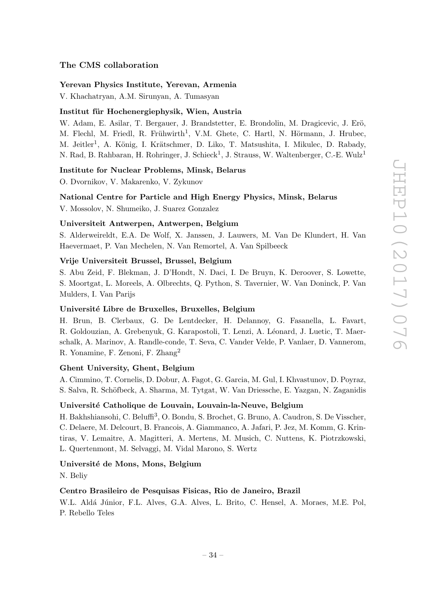# The CMS collaboration

### <span id="page-34-0"></span>Yerevan Physics Institute, Yerevan, Armenia

V. Khachatryan, A.M. Sirunyan, A. Tumasyan

#### Institut für Hochenergiephysik, Wien, Austria

W. Adam, E. Asilar, T. Bergauer, J. Brandstetter, E. Brondolin, M. Dragicevic, J. Erö, M. Flechl, M. Friedl, R. Frühwirth<sup>1</sup>, V.M. Ghete, C. Hartl, N. Hörmann, J. Hrubec, M. Jeitler<sup>1</sup>, A. König, I. Krätschmer, D. Liko, T. Matsushita, I. Mikulec, D. Rabady, N. Rad, B. Rahbaran, H. Rohringer, J. Schieck<sup>1</sup>, J. Strauss, W. Waltenberger, C.-E. Wulz<sup>1</sup>

#### Institute for Nuclear Problems, Minsk, Belarus

O. Dvornikov, V. Makarenko, V. Zykunov

#### National Centre for Particle and High Energy Physics, Minsk, Belarus

V. Mossolov, N. Shumeiko, J. Suarez Gonzalez

### Universiteit Antwerpen, Antwerpen, Belgium

S. Alderweireldt, E.A. De Wolf, X. Janssen, J. Lauwers, M. Van De Klundert, H. Van Haevermaet, P. Van Mechelen, N. Van Remortel, A. Van Spilbeeck

### Vrije Universiteit Brussel, Brussel, Belgium

S. Abu Zeid, F. Blekman, J. D'Hondt, N. Daci, I. De Bruyn, K. Deroover, S. Lowette, S. Moortgat, L. Moreels, A. Olbrechts, Q. Python, S. Tavernier, W. Van Doninck, P. Van Mulders, I. Van Parijs

### Universit´e Libre de Bruxelles, Bruxelles, Belgium

H. Brun, B. Clerbaux, G. De Lentdecker, H. Delannoy, G. Fasanella, L. Favart, R. Goldouzian, A. Grebenyuk, G. Karapostoli, T. Lenzi, A. Léonard, J. Luetic, T. Maerschalk, A. Marinov, A. Randle-conde, T. Seva, C. Vander Velde, P. Vanlaer, D. Vannerom, R. Yonamine, F. Zenoni, F. Zhang<sup>2</sup>

### Ghent University, Ghent, Belgium

A. Cimmino, T. Cornelis, D. Dobur, A. Fagot, G. Garcia, M. Gul, I. Khvastunov, D. Poyraz, S. Salva, R. Schöfbeck, A. Sharma, M. Tytgat, W. Van Driessche, E. Yazgan, N. Zaganidis

### Université Catholique de Louvain, Louvain-la-Neuve, Belgium

H. Bakhshiansohi, C. Beluffi<sup>3</sup>, O. Bondu, S. Brochet, G. Bruno, A. Caudron, S. De Visscher, C. Delaere, M. Delcourt, B. Francois, A. Giammanco, A. Jafari, P. Jez, M. Komm, G. Krintiras, V. Lemaitre, A. Magitteri, A. Mertens, M. Musich, C. Nuttens, K. Piotrzkowski, L. Quertenmont, M. Selvaggi, M. Vidal Marono, S. Wertz

### Université de Mons, Mons, Belgium

N. Beliy

### Centro Brasileiro de Pesquisas Fisicas, Rio de Janeiro, Brazil

W.L. Aldá Júnior, F.L. Alves, G.A. Alves, L. Brito, C. Hensel, A. Moraes, M.E. Pol, P. Rebello Teles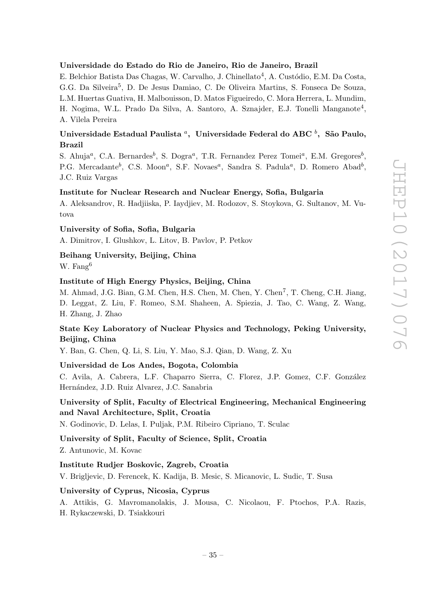### Universidade do Estado do Rio de Janeiro, Rio de Janeiro, Brazil

E. Belchior Batista Das Chagas, W. Carvalho, J. Chinellato<sup>4</sup>, A. Custódio, E.M. Da Costa, G.G. Da Silveira<sup>5</sup>, D. De Jesus Damiao, C. De Oliveira Martins, S. Fonseca De Souza, L.M. Huertas Guativa, H. Malbouisson, D. Matos Figueiredo, C. Mora Herrera, L. Mundim, H. Nogima, W.L. Prado Da Silva, A. Santoro, A. Sznajder, E.J. Tonelli Manganote<sup>4</sup>, A. Vilela Pereira

# Universidade Estadual Paulista <sup>a</sup>, Universidade Federal do ABC  $^b$ , São Paulo, Brazil

S. Ahuja<sup>a</sup>, C.A. Bernardes<sup>b</sup>, S. Dogra<sup>a</sup>, T.R. Fernandez Perez Tomei<sup>a</sup>, E.M. Gregores<sup>b</sup>, P.G. Mercadante<sup>b</sup>, C.S. Moon<sup>a</sup>, S.F. Novaes<sup>a</sup>, Sandra S. Padula<sup>a</sup>, D. Romero Abad<sup>b</sup>, J.C. Ruiz Vargas

### Institute for Nuclear Research and Nuclear Energy, Sofia, Bulgaria

A. Aleksandrov, R. Hadjiiska, P. Iaydjiev, M. Rodozov, S. Stoykova, G. Sultanov, M. Vutova

#### University of Sofia, Sofia, Bulgaria

A. Dimitrov, I. Glushkov, L. Litov, B. Pavlov, P. Petkov

# Beihang University, Beijing, China

W. Fang<sup>6</sup>

# Institute of High Energy Physics, Beijing, China

M. Ahmad, J.G. Bian, G.M. Chen, H.S. Chen, M. Chen, Y. Chen<sup>7</sup>, T. Cheng, C.H. Jiang, D. Leggat, Z. Liu, F. Romeo, S.M. Shaheen, A. Spiezia, J. Tao, C. Wang, Z. Wang, H. Zhang, J. Zhao

# State Key Laboratory of Nuclear Physics and Technology, Peking University, Beijing, China

Y. Ban, G. Chen, Q. Li, S. Liu, Y. Mao, S.J. Qian, D. Wang, Z. Xu

### Universidad de Los Andes, Bogota, Colombia

C. Avila, A. Cabrera, L.F. Chaparro Sierra, C. Florez, J.P. Gomez, C.F. González Hernández, J.D. Ruiz Alvarez, J.C. Sanabria

# University of Split, Faculty of Electrical Engineering, Mechanical Engineering and Naval Architecture, Split, Croatia

N. Godinovic, D. Lelas, I. Puljak, P.M. Ribeiro Cipriano, T. Sculac

#### University of Split, Faculty of Science, Split, Croatia

Z. Antunovic, M. Kovac

### Institute Rudjer Boskovic, Zagreb, Croatia

V. Brigljevic, D. Ferencek, K. Kadija, B. Mesic, S. Micanovic, L. Sudic, T. Susa

#### University of Cyprus, Nicosia, Cyprus

A. Attikis, G. Mavromanolakis, J. Mousa, C. Nicolaou, F. Ptochos, P.A. Razis, H. Rykaczewski, D. Tsiakkouri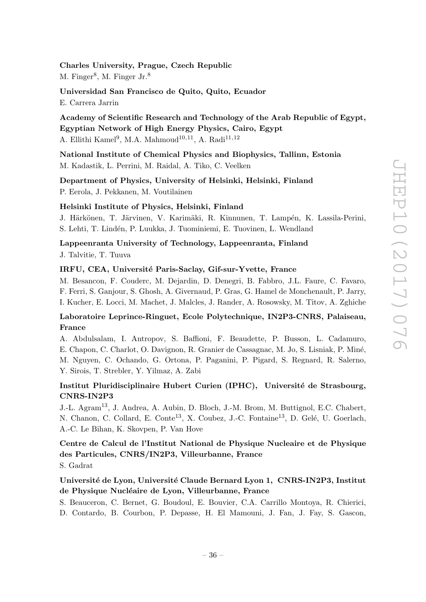# Charles University, Prague, Czech Republic

M. Finger<sup>8</sup>, M. Finger  $Jr.^8$ 

Universidad San Francisco de Quito, Quito, Ecuador E. Carrera Jarrin

Academy of Scientific Research and Technology of the Arab Republic of Egypt, Egyptian Network of High Energy Physics, Cairo, Egypt A. Ellithi Kamel<sup>9</sup>, M.A. Mahmoud<sup>10,11</sup>, A. Radi<sup>11,12</sup>

National Institute of Chemical Physics and Biophysics, Tallinn, Estonia M. Kadastik, L. Perrini, M. Raidal, A. Tiko, C. Veelken

Department of Physics, University of Helsinki, Helsinki, Finland

P. Eerola, J. Pekkanen, M. Voutilainen

# Helsinki Institute of Physics, Helsinki, Finland

J. Härkönen, T. Järvinen, V. Karimäki, R. Kinnunen, T. Lampén, K. Lassila-Perini, S. Lehti, T. Lind´en, P. Luukka, J. Tuominiemi, E. Tuovinen, L. Wendland

Lappeenranta University of Technology, Lappeenranta, Finland J. Talvitie, T. Tuuva

### IRFU, CEA, Université Paris-Saclay, Gif-sur-Yvette, France

M. Besancon, F. Couderc, M. Dejardin, D. Denegri, B. Fabbro, J.L. Faure, C. Favaro, F. Ferri, S. Ganjour, S. Ghosh, A. Givernaud, P. Gras, G. Hamel de Monchenault, P. Jarry, I. Kucher, E. Locci, M. Machet, J. Malcles, J. Rander, A. Rosowsky, M. Titov, A. Zghiche

# Laboratoire Leprince-Ringuet, Ecole Polytechnique, IN2P3-CNRS, Palaiseau, France

A. Abdulsalam, I. Antropov, S. Baffioni, F. Beaudette, P. Busson, L. Cadamuro, E. Chapon, C. Charlot, O. Davignon, R. Granier de Cassagnac, M. Jo, S. Lisniak, P. Miné, M. Nguyen, C. Ochando, G. Ortona, P. Paganini, P. Pigard, S. Regnard, R. Salerno, Y. Sirois, T. Strebler, Y. Yilmaz, A. Zabi

# Institut Pluridisciplinaire Hubert Curien (IPHC), Université de Strasbourg, CNRS-IN2P3

J.-L. Agram13, J. Andrea, A. Aubin, D. Bloch, J.-M. Brom, M. Buttignol, E.C. Chabert, N. Chanon, C. Collard, E. Conte<sup>13</sup>, X. Coubez, J.-C. Fontaine<sup>13</sup>, D. Gelé, U. Goerlach, A.-C. Le Bihan, K. Skovpen, P. Van Hove

# Centre de Calcul de l'Institut National de Physique Nucleaire et de Physique des Particules, CNRS/IN2P3, Villeurbanne, France S. Gadrat

# Université de Lyon, Université Claude Bernard Lyon 1, CNRS-IN2P3, Institut de Physique Nucléaire de Lyon, Villeurbanne, France

S. Beauceron, C. Bernet, G. Boudoul, E. Bouvier, C.A. Carrillo Montoya, R. Chierici, D. Contardo, B. Courbon, P. Depasse, H. El Mamouni, J. Fan, J. Fay, S. Gascon,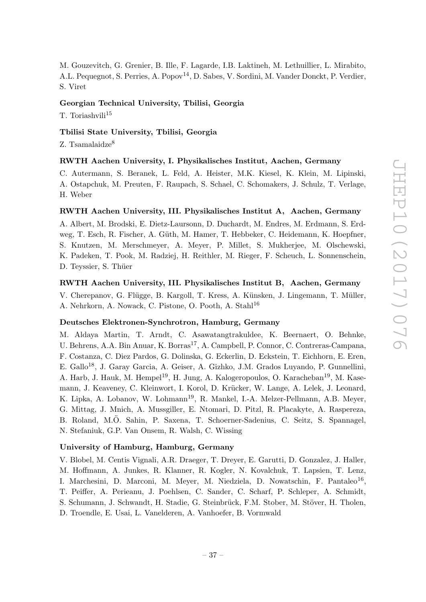M. Gouzevitch, G. Grenier, B. Ille, F. Lagarde, I.B. Laktineh, M. Lethuillier, L. Mirabito, A.L. Pequegnot, S. Perries, A. Popov<sup>14</sup>, D. Sabes, V. Sordini, M. Vander Donckt, P. Verdier, S. Viret

### Georgian Technical University, Tbilisi, Georgia

T. Toriashvili<sup>15</sup>

### Tbilisi State University, Tbilisi, Georgia

Z. Tsamalaidze<sup>8</sup>

# RWTH Aachen University, I. Physikalisches Institut, Aachen, Germany

C. Autermann, S. Beranek, L. Feld, A. Heister, M.K. Kiesel, K. Klein, M. Lipinski, A. Ostapchuk, M. Preuten, F. Raupach, S. Schael, C. Schomakers, J. Schulz, T. Verlage, H. Weber

### RWTH Aachen University, III. Physikalisches Institut A, Aachen, Germany

A. Albert, M. Brodski, E. Dietz-Laursonn, D. Duchardt, M. Endres, M. Erdmann, S. Erdweg, T. Esch, R. Fischer, A. Güth, M. Hamer, T. Hebbeker, C. Heidemann, K. Hoepfner, S. Knutzen, M. Merschmeyer, A. Meyer, P. Millet, S. Mukherjee, M. Olschewski, K. Padeken, T. Pook, M. Radziej, H. Reithler, M. Rieger, F. Scheuch, L. Sonnenschein, D. Teyssier, S. Thüer

#### RWTH Aachen University, III. Physikalisches Institut B, Aachen, Germany

V. Cherepanov, G. Flügge, B. Kargoll, T. Kress, A. Künsken, J. Lingemann, T. Müller, A. Nehrkorn, A. Nowack, C. Pistone, O. Pooth, A. Stahl<sup>16</sup>

### Deutsches Elektronen-Synchrotron, Hamburg, Germany

M. Aldaya Martin, T. Arndt, C. Asawatangtrakuldee, K. Beernaert, O. Behnke, U. Behrens, A.A. Bin Anuar, K. Borras<sup>17</sup>, A. Campbell, P. Connor, C. Contreras-Campana, F. Costanza, C. Diez Pardos, G. Dolinska, G. Eckerlin, D. Eckstein, T. Eichhorn, E. Eren, E. Gallo<sup>18</sup>, J. Garay Garcia, A. Geiser, A. Gizhko, J.M. Grados Luyando, P. Gunnellini, A. Harb, J. Hauk, M. Hempel<sup>19</sup>, H. Jung, A. Kalogeropoulos, O. Karacheban<sup>19</sup>, M. Kasemann, J. Keaveney, C. Kleinwort, I. Korol, D. Krücker, W. Lange, A. Lelek, J. Leonard, K. Lipka, A. Lobanov, W. Lohmann<sup>19</sup>, R. Mankel, I.-A. Melzer-Pellmann, A.B. Meyer, G. Mittag, J. Mnich, A. Mussgiller, E. Ntomari, D. Pitzl, R. Placakyte, A. Raspereza, B. Roland, M.O. Sahin, P. Saxena, T. Schoerner-Sadenius, C. Seitz, S. Spannagel, ¨ N. Stefaniuk, G.P. Van Onsem, R. Walsh, C. Wissing

### University of Hamburg, Hamburg, Germany

V. Blobel, M. Centis Vignali, A.R. Draeger, T. Dreyer, E. Garutti, D. Gonzalez, J. Haller, M. Hoffmann, A. Junkes, R. Klanner, R. Kogler, N. Kovalchuk, T. Lapsien, T. Lenz, I. Marchesini, D. Marconi, M. Meyer, M. Niedziela, D. Nowatschin, F. Pantaleo<sup>16</sup>, T. Peiffer, A. Perieanu, J. Poehlsen, C. Sander, C. Scharf, P. Schleper, A. Schmidt, S. Schumann, J. Schwandt, H. Stadie, G. Steinbrück, F.M. Stober, M. Stöver, H. Tholen, D. Troendle, E. Usai, L. Vanelderen, A. Vanhoefer, B. Vormwald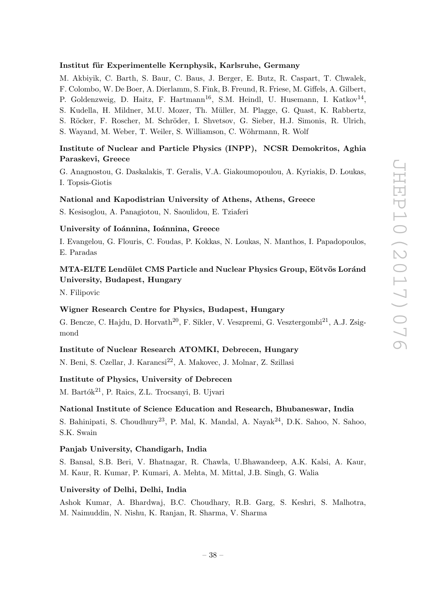### Institut für Experimentelle Kernphysik, Karlsruhe, Germany

M. Akbiyik, C. Barth, S. Baur, C. Baus, J. Berger, E. Butz, R. Caspart, T. Chwalek, F. Colombo, W. De Boer, A. Dierlamm, S. Fink, B. Freund, R. Friese, M. Giffels, A. Gilbert, P. Goldenzweig, D. Haitz, F. Hartmann<sup>16</sup>, S.M. Heindl, U. Husemann, I. Katkov<sup>14</sup>, S. Kudella, H. Mildner, M.U. Mozer, Th. Müller, M. Plagge, G. Quast, K. Rabbertz, S. Röcker, F. Roscher, M. Schröder, I. Shvetsov, G. Sieber, H.J. Simonis, R. Ulrich, S. Wayand, M. Weber, T. Weiler, S. Williamson, C. Wöhrmann, R. Wolf

# Institute of Nuclear and Particle Physics (INPP), NCSR Demokritos, Aghia Paraskevi, Greece

G. Anagnostou, G. Daskalakis, T. Geralis, V.A. Giakoumopoulou, A. Kyriakis, D. Loukas, I. Topsis-Giotis

### National and Kapodistrian University of Athens, Athens, Greece

S. Kesisoglou, A. Panagiotou, N. Saoulidou, E. Tziaferi

#### University of Ioánnina, Ioánnina, Greece

I. Evangelou, G. Flouris, C. Foudas, P. Kokkas, N. Loukas, N. Manthos, I. Papadopoulos, E. Paradas

# MTA-ELTE Lendület CMS Particle and Nuclear Physics Group, Eötvös Loránd University, Budapest, Hungary

N. Filipovic

### Wigner Research Centre for Physics, Budapest, Hungary

G. Bencze, C. Hajdu, D. Horvath<sup>20</sup>, F. Sikler, V. Veszpremi, G. Vesztergombi<sup>21</sup>, A.J. Zsigmond

# Institute of Nuclear Research ATOMKI, Debrecen, Hungary

N. Beni, S. Czellar, J. Karancsi<sup>22</sup>, A. Makovec, J. Molnar, Z. Szillasi

### Institute of Physics, University of Debrecen

M. Bartók<sup>21</sup>, P. Raics, Z.L. Trocsanyi, B. Ujvari

### National Institute of Science Education and Research, Bhubaneswar, India

S. Bahinipati, S. Choudhury<sup>23</sup>, P. Mal, K. Mandal, A. Nayak<sup>24</sup>, D.K. Sahoo, N. Sahoo, S.K. Swain

### Panjab University, Chandigarh, India

S. Bansal, S.B. Beri, V. Bhatnagar, R. Chawla, U.Bhawandeep, A.K. Kalsi, A. Kaur, M. Kaur, R. Kumar, P. Kumari, A. Mehta, M. Mittal, J.B. Singh, G. Walia

### University of Delhi, Delhi, India

Ashok Kumar, A. Bhardwaj, B.C. Choudhary, R.B. Garg, S. Keshri, S. Malhotra, M. Naimuddin, N. Nishu, K. Ranjan, R. Sharma, V. Sharma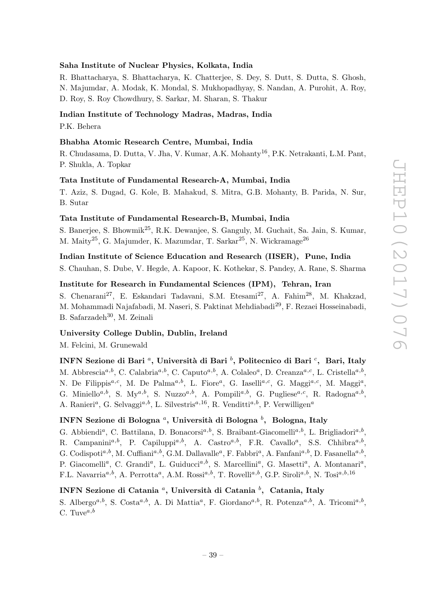### Saha Institute of Nuclear Physics, Kolkata, India

R. Bhattacharya, S. Bhattacharya, K. Chatterjee, S. Dey, S. Dutt, S. Dutta, S. Ghosh, N. Majumdar, A. Modak, K. Mondal, S. Mukhopadhyay, S. Nandan, A. Purohit, A. Roy, D. Roy, S. Roy Chowdhury, S. Sarkar, M. Sharan, S. Thakur

### Indian Institute of Technology Madras, Madras, India

P.K. Behera

#### Bhabha Atomic Research Centre, Mumbai, India

R. Chudasama, D. Dutta, V. Jha, V. Kumar, A.K. Mohanty16, P.K. Netrakanti, L.M. Pant, P. Shukla, A. Topkar

#### Tata Institute of Fundamental Research-A, Mumbai, India

T. Aziz, S. Dugad, G. Kole, B. Mahakud, S. Mitra, G.B. Mohanty, B. Parida, N. Sur, B. Sutar

### Tata Institute of Fundamental Research-B, Mumbai, India

S. Banerjee, S. Bhowmik25, R.K. Dewanjee, S. Ganguly, M. Guchait, Sa. Jain, S. Kumar, M. Maity<sup>25</sup>, G. Majumder, K. Mazumdar, T. Sarkar<sup>25</sup>, N. Wickramage<sup>26</sup>

### Indian Institute of Science Education and Research (IISER), Pune, India

S. Chauhan, S. Dube, V. Hegde, A. Kapoor, K. Kothekar, S. Pandey, A. Rane, S. Sharma

### Institute for Research in Fundamental Sciences (IPM), Tehran, Iran

S. Chenarani<sup>27</sup>, E. Eskandari Tadavani, S.M. Etesami<sup>27</sup>, A. Fahim<sup>28</sup>, M. Khakzad, M. Mohammadi Najafabadi, M. Naseri, S. Paktinat Mehdiabadi<sup>29</sup>, F. Rezaei Hosseinabadi, B. Safarzadeh<sup>30</sup>, M. Zeinali

### University College Dublin, Dublin, Ireland

M. Felcini, M. Grunewald

INFN Sezione di Bari <sup>a</sup>, Università di Bari  $^b$ , Politecnico di Bari  $^c$ , Bari, Italy M. Abbrescia<sup>a,b</sup>, C. Calabria<sup>a,b</sup>, C. Caputo<sup>a,b</sup>, A. Colaleo<sup>a</sup>, D. Creanza<sup>a,c</sup>, L. Cristella<sup>a,b</sup>, N. De Filippis<sup>a,c</sup>, M. De Palma<sup>a,b</sup>, L. Fiore<sup>a</sup>, G. Iaselli<sup>a,c</sup>, G. Maggi<sup>a,c</sup>, M. Maggi<sup>a</sup>, G. Miniello<sup>a,b</sup>, S. My<sup>a,b</sup>, S. Nuzzo<sup>a,b</sup>, A. Pompili<sup>a,b</sup>, G. Pugliese<sup>a,c</sup>, R. Radogna<sup>a,b</sup>, A. Ranieri<sup>a</sup>, G. Selvaggi<sup>a,b</sup>, L. Silvestris<sup>a, 16</sup>, R. Venditti<sup>a,b</sup>, P. Verwilligen<sup>a</sup>

# INFN Sezione di Bologna <sup>a</sup>, Università di Bologna  $^b$ , Bologna, Italy

G. Abbiendi<sup>a</sup>, C. Battilana, D. Bonacorsi<sup>a,b</sup>, S. Braibant-Giacomelli<sup>a,b</sup>, L. Brigliadori<sup>a,b</sup>, R. Campanini<sup>a,b</sup>, P. Capiluppi<sup>a,b</sup>, A. Castro<sup>a,b</sup>, F.R. Cavallo<sup>a</sup>, S.S. Chhibra<sup>a,b</sup>, G. Codispoti<sup>a,b</sup>, M. Cuffiani<sup>a,b</sup>, G.M. Dallavalle<sup>a</sup>, F. Fabbri<sup>a</sup>, A. Fanfani<sup>a,b</sup>, D. Fasanella<sup>a,b</sup>, P. Giacomelli<sup>a</sup>, C. Grandi<sup>a</sup>, L. Guiducci<sup>a,b</sup>, S. Marcellini<sup>a</sup>, G. Masetti<sup>a</sup>, A. Montanari<sup>a</sup>, F.L. Navarria<sup>a,b</sup>, A. Perrotta<sup>a</sup>, A.M. Rossi<sup>a,b</sup>, T. Rovelli<sup>a,b</sup>, G.P. Siroli<sup>a,b</sup>, N. Tosi<sup>a,b,16</sup>

# INFN Sezione di Catania <sup>a</sup>, Università di Catania  $^b$ , Catania, Italy

S. Albergo<sup>a,b</sup>, S. Costa<sup>a,b</sup>, A. Di Mattia<sup>a</sup>, F. Giordano<sup>a,b</sup>, R. Potenza<sup>a,b</sup>, A. Tricomi<sup>a,b</sup>, C. Tuve<sup> $a,b$ </sup>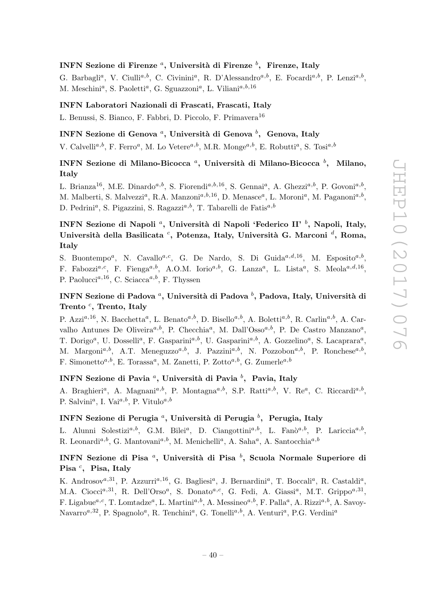# INFN Sezione di Firenze  $^a,$  Università di Firenze  $^b, \,$  Firenze, Italy

G. Barbagli<sup>a</sup>, V. Ciulli<sup>a,b</sup>, C. Civinini<sup>a</sup>, R. D'Alessandro<sup>a,b</sup>, E. Focardi<sup>a,b</sup>, P. Lenzi<sup>a,b</sup>, M. Meschini<sup>a</sup>, S. Paoletti<sup>a</sup>, G. Sguazzoni<sup>a</sup>, L. Viliani<sup>a,b,16</sup>

# INFN Laboratori Nazionali di Frascati, Frascati, Italy

L. Benussi, S. Bianco, F. Fabbri, D. Piccolo, F. Primavera<sup>16</sup>

# INFN Sezione di Genova  $^a,$  Università di Genova  $^b, \,$  Genova, Italy

V. Calvelli<sup>a,b</sup>, F. Ferro<sup>a</sup>, M. Lo Vetere<sup>a,b</sup>, M.R. Monge<sup>a,b</sup>, E. Robutti<sup>a</sup>, S. Tosi<sup>a,b</sup>

# INFN Sezione di Milano-Bicocca <sup>a</sup>, Università di Milano-Bicocca <sup>b</sup>, Milano, Italy

L. Brianza<sup>16</sup>, M.E. Dinardo<sup>a,b</sup>, S. Fiorendi<sup>a,b,16</sup>, S. Gennai<sup>a</sup>, A. Ghezzi<sup>a,b</sup>, P. Govoni<sup>a,b</sup>, M. Malberti, S. Malvezzi<sup>a</sup>, R.A. Manzoni<sup>a,b,16</sup>, D. Menasce<sup>a</sup>, L. Moroni<sup>a</sup>, M. Paganoni<sup>a,b</sup>, D. Pedrini<sup>a</sup>, S. Pigazzini, S. Ragazzi<sup>a,b</sup>, T. Tabarelli de Fatis<sup>a,b</sup>

# INFN Sezione di Napoli <sup>a</sup>, Università di Napoli 'Federico II'  $^b$ , Napoli, Italy, Università della Basilicata  $^c$ , Potenza, Italy, Università G. Marconi  $^d$ , Roma, Italy

S. Buontempo<sup>a</sup>, N. Cavallo<sup>a,c</sup>, G. De Nardo, S. Di Guida<sup>a,d,16</sup>, M. Esposito<sup>a,b</sup>, F. Fabozzi<sup>a,c</sup>, F. Fienga<sup>a,b</sup>, A.O.M. Iorio<sup>a,b</sup>, G. Lanza<sup>a</sup>, L. Lista<sup>a</sup>, S. Meola<sup>a,d,16</sup>, P. Paolucci<sup>a, 16</sup>, C. Sciacca<sup>a,b</sup>, F. Thyssen

# INFN Sezione di Padova <sup>a</sup>, Università di Padova  $^b$ , Padova, Italy, Università di  $Trento<sup>c</sup>$ , Trento, Italy

P. Azzi<sup>a, 16</sup>, N. Bacchetta<sup>a</sup>, L. Benato<sup>a,b</sup>, D. Bisello<sup>a,b</sup>, A. Boletti<sup>a,b</sup>, R. Carlin<sup>a,b</sup>, A. Carvalho Antunes De Oliveira<sup>a,b</sup>, P. Checchia<sup>a</sup>, M. Dall'Osso<sup>a,b</sup>, P. De Castro Manzano<sup>a</sup>, T. Dorigo<sup>a</sup>, U. Dosselli<sup>a</sup>, F. Gasparini<sup>a,b</sup>, U. Gasparini<sup>a,b</sup>, A. Gozzelino<sup>a</sup>, S. Lacaprara<sup>a</sup>, M. Margoni<sup>a,b</sup>, A.T. Meneguzzo<sup>a,b</sup>, J. Pazzini<sup>a,b</sup>, N. Pozzobon<sup>a,b</sup>, P. Ronchese<sup>a,b</sup>, F. Simonetto<sup>a,b</sup>, E. Torassa<sup>a</sup>, M. Zanetti, P. Zotto<sup>a,b</sup>, G. Zumerle<sup>a,b</sup>

# INFN Sezione di Pavia <sup>a</sup>, Università di Pavia  $^b$ , Pavia, Italy

A. Braghieri<sup>a</sup>, A. Magnani<sup>a,b</sup>, P. Montagna<sup>a,b</sup>, S.P. Ratti<sup>a,b</sup>, V. Re<sup>a</sup>, C. Riccardi<sup>a,b</sup>, P. Salvini<sup>a</sup>, I. Vai<sup> $a,b$ </sup>, P. Vitulo $a,b$ 

# INFN Sezione di Perugia  $^a,$  Università di Perugia  $^b, \,$  Perugia, Italy

L. Alunni Solestizi<sup>a,b</sup>, G.M. Bilei<sup>a</sup>, D. Ciangottini<sup>a,b</sup>, L. Fanò<sup>a,b</sup>, P. Lariccia<sup>a,b</sup>, R. Leonardi<sup>a, b</sup>, G. Mantovani<sup>a, b</sup>, M. Menichelli<sup>a</sup>, A. Saha<sup>a</sup>, A. Santocchia<sup>a, b</sup>

# INFN Sezione di Pisa <sup>a</sup>, Università di Pisa <sup>b</sup>, Scuola Normale Superiore di Pisa<sup>c</sup>, Pisa, Italy

K. Androsov<sup>a, 31</sup>, P. Azzurri<sup>a, 16</sup>, G. Bagliesi<sup>a</sup>, J. Bernardini<sup>a</sup>, T. Boccali<sup>a</sup>, R. Castaldi<sup>a</sup>, M.A. Ciocci<sup>a,31</sup>, R. Dell'Orso<sup>a</sup>, S. Donato<sup>a,c</sup>, G. Fedi, A. Giassi<sup>a</sup>, M.T. Grippo<sup>a,31</sup>, F. Ligabue<sup>a, c</sup>, T. Lomtadze<sup>a</sup>, L. Martini<sup>a, b</sup>, A. Messineo<sup>a, b</sup>, F. Palla<sup>a</sup>, A. Rizzi<sup>a, b</sup>, A. Savoy-Navarro<sup>a, 32</sup>, P. Spagnolo<sup>a</sup>, R. Tenchini<sup>a</sup>, G. Tonelli<sup>a, b</sup>, A. Venturi<sup>a</sup>, P.G. Verdini<sup>a</sup>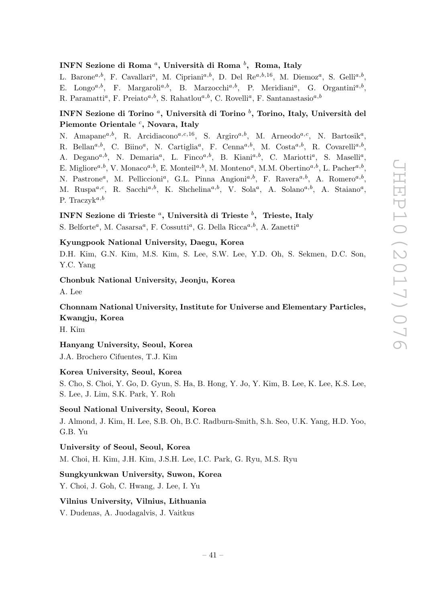# INFN Sezione di Roma  $^a,$  Università di Roma  $^b, \, \,$  Roma, Italy

L. Barone<sup>a,b</sup>, F. Cavallari<sup>a</sup>, M. Cipriani<sup>a,b</sup>, D. Del Re<sup>a,b,16</sup>, M. Diemoz<sup>a</sup>, S. Gelli<sup>a,b</sup>, E. Longo<sup>a,b</sup>, F. Margaroli<sup>a,b</sup>, B. Marzocchi<sup>a,b</sup>, P. Meridiani<sup>a</sup>, G. Organtini<sup>a,b</sup>, R. Paramatti<sup>a</sup>, F. Preiato<sup>a,b</sup>, S. Rahatlou<sup>a,b</sup>, C. Rovelli<sup>a</sup>, F. Santanastasio<sup>a,b</sup>

# INFN Sezione di Torino <sup>a</sup>, Università di Torino  $^b,$  Torino, Italy, Università del Piemonte Orientale  $^c$ , Novara, Italy

N. Amapane<sup>a,b</sup>, R. Arcidiacono<sup>a,c,16</sup>, S. Argiro<sup>a,b</sup>, M. Arneodo<sup>a,c</sup>, N. Bartosik<sup>a</sup>, R. Bellan<sup>a,b</sup>, C. Biino<sup>a</sup>, N. Cartiglia<sup>a</sup>, F. Cenna<sup>a,b</sup>, M. Costa<sup>a,b</sup>, R. Covarelli<sup>a,b</sup>, A. Degano<sup>a,b</sup>, N. Demaria<sup>a</sup>, L. Finco<sup>a,b</sup>, B. Kiani<sup>a,b</sup>, C. Mariotti<sup>a</sup>, S. Maselli<sup>a</sup>, E. Migliore<sup>a,b</sup>, V. Monaco<sup>a,b</sup>, E. Monteil<sup>a,b</sup>, M. Monteno<sup>a</sup>, M.M. Obertino<sup>a,b</sup>, L. Pacher<sup>a,b</sup>, N. Pastrone<sup>a</sup>, M. Pelliccioni<sup>a</sup>, G.L. Pinna Angioni<sup>a,b</sup>, F. Ravera<sup>a,b</sup>, A. Romero<sup>a,b</sup>, M. Ruspa<sup>a,c</sup>, R. Sacchi<sup>a,b</sup>, K. Shchelina<sup>a,b</sup>, V. Sola<sup>a</sup>, A. Solano<sup>a,b</sup>, A. Staiano<sup>a</sup>, P. Traczyk $a,b$ 

# INFN Sezione di Trieste <sup>a</sup>, Università di Trieste  $^b$ , Trieste, Italy

S. Belforte<sup>a</sup>, M. Casarsa<sup>a</sup>, F. Cossutti<sup>a</sup>, G. Della Ricca<sup>a,b</sup>, A. Zanetti<sup>a</sup>

# Kyungpook National University, Daegu, Korea

D.H. Kim, G.N. Kim, M.S. Kim, S. Lee, S.W. Lee, Y.D. Oh, S. Sekmen, D.C. Son, Y.C. Yang

Chonbuk National University, Jeonju, Korea

A. Lee

# Chonnam National University, Institute for Universe and Elementary Particles, Kwangju, Korea

H. Kim

# Hanyang University, Seoul, Korea

J.A. Brochero Cifuentes, T.J. Kim

### Korea University, Seoul, Korea

S. Cho, S. Choi, Y. Go, D. Gyun, S. Ha, B. Hong, Y. Jo, Y. Kim, B. Lee, K. Lee, K.S. Lee, S. Lee, J. Lim, S.K. Park, Y. Roh

### Seoul National University, Seoul, Korea

J. Almond, J. Kim, H. Lee, S.B. Oh, B.C. Radburn-Smith, S.h. Seo, U.K. Yang, H.D. Yoo, G.B. Yu

University of Seoul, Seoul, Korea M. Choi, H. Kim, J.H. Kim, J.S.H. Lee, I.C. Park, G. Ryu, M.S. Ryu

#### Sungkyunkwan University, Suwon, Korea

Y. Choi, J. Goh, C. Hwang, J. Lee, I. Yu

### Vilnius University, Vilnius, Lithuania

V. Dudenas, A. Juodagalvis, J. Vaitkus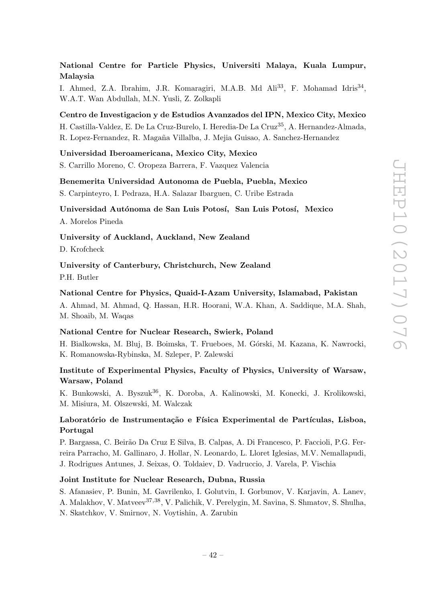# National Centre for Particle Physics, Universiti Malaya, Kuala Lumpur, Malaysia

I. Ahmed, Z.A. Ibrahim, J.R. Komaragiri, M.A.B. Md Ali<sup>33</sup>, F. Mohamad Idris<sup>34</sup>, W.A.T. Wan Abdullah, M.N. Yusli, Z. Zolkapli

Centro de Investigacion y de Estudios Avanzados del IPN, Mexico City, Mexico

H. Castilla-Valdez, E. De La Cruz-Burelo, I. Heredia-De La Cruz<sup>35</sup>, A. Hernandez-Almada, R. Lopez-Fernandez, R. Magaña Villalba, J. Mejia Guisao, A. Sanchez-Hernandez

### Universidad Iberoamericana, Mexico City, Mexico

S. Carrillo Moreno, C. Oropeza Barrera, F. Vazquez Valencia

#### Benemerita Universidad Autonoma de Puebla, Puebla, Mexico

S. Carpinteyro, I. Pedraza, H.A. Salazar Ibarguen, C. Uribe Estrada

### Universidad Autónoma de San Luis Potosí, San Luis Potosí, Mexico

A. Morelos Pineda

# University of Auckland, Auckland, New Zealand

D. Krofcheck

# University of Canterbury, Christchurch, New Zealand P.H. Butler

#### National Centre for Physics, Quaid-I-Azam University, Islamabad, Pakistan

A. Ahmad, M. Ahmad, Q. Hassan, H.R. Hoorani, W.A. Khan, A. Saddique, M.A. Shah, M. Shoaib, M. Waqas

### National Centre for Nuclear Research, Swierk, Poland

H. Bialkowska, M. Bluj, B. Boimska, T. Frueboes, M. G´orski, M. Kazana, K. Nawrocki, K. Romanowska-Rybinska, M. Szleper, P. Zalewski

# Institute of Experimental Physics, Faculty of Physics, University of Warsaw, Warsaw, Poland

K. Bunkowski, A. Byszuk36, K. Doroba, A. Kalinowski, M. Konecki, J. Krolikowski, M. Misiura, M. Olszewski, M. Walczak

# Laboratório de Instrumentação e Física Experimental de Partículas, Lisboa, Portugal

P. Bargassa, C. Beirão Da Cruz E Silva, B. Calpas, A. Di Francesco, P. Faccioli, P.G. Ferreira Parracho, M. Gallinaro, J. Hollar, N. Leonardo, L. Lloret Iglesias, M.V. Nemallapudi, J. Rodrigues Antunes, J. Seixas, O. Toldaiev, D. Vadruccio, J. Varela, P. Vischia

### Joint Institute for Nuclear Research, Dubna, Russia

S. Afanasiev, P. Bunin, M. Gavrilenko, I. Golutvin, I. Gorbunov, V. Karjavin, A. Lanev,

A. Malakhov, V. Matveev<sup>37,38</sup>, V. Palichik, V. Perelygin, M. Savina, S. Shmatov, S. Shulha,

N. Skatchkov, V. Smirnov, N. Voytishin, A. Zarubin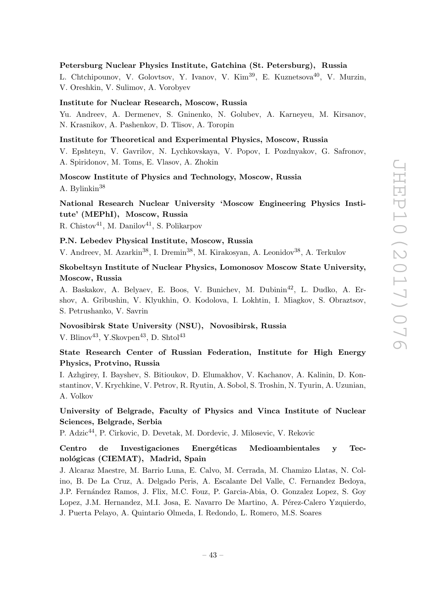### Petersburg Nuclear Physics Institute, Gatchina (St. Petersburg), Russia

L. Chtchipounov, V. Golovtsov, Y. Ivanov, V. Kim<sup>39</sup>, E. Kuznetsova<sup>40</sup>, V. Murzin, V. Oreshkin, V. Sulimov, A. Vorobyev

### Institute for Nuclear Research, Moscow, Russia

Yu. Andreev, A. Dermenev, S. Gninenko, N. Golubev, A. Karneyeu, M. Kirsanov, N. Krasnikov, A. Pashenkov, D. Tlisov, A. Toropin

#### Institute for Theoretical and Experimental Physics, Moscow, Russia

V. Epshteyn, V. Gavrilov, N. Lychkovskaya, V. Popov, I. Pozdnyakov, G. Safronov, A. Spiridonov, M. Toms, E. Vlasov, A. Zhokin

Moscow Institute of Physics and Technology, Moscow, Russia A. Bylinkin<sup>38</sup>

# National Research Nuclear University 'Moscow Engineering Physics Institute' (MEPhI), Moscow, Russia

R. Chistov<sup>41</sup>, M. Danilov<sup>41</sup>, S. Polikarpov

P.N. Lebedev Physical Institute, Moscow, Russia

V. Andreev, M. Azarkin<sup>38</sup>, I. Dremin<sup>38</sup>, M. Kirakosyan, A. Leonidov<sup>38</sup>, A. Terkulov

Skobeltsyn Institute of Nuclear Physics, Lomonosov Moscow State University, Moscow, Russia

A. Baskakov, A. Belyaev, E. Boos, V. Bunichev, M. Dubinin<sup>42</sup>, L. Dudko, A. Ershov, A. Gribushin, V. Klyukhin, O. Kodolova, I. Lokhtin, I. Miagkov, S. Obraztsov, S. Petrushanko, V. Savrin

Novosibirsk State University (NSU), Novosibirsk, Russia V. Blinov<sup>43</sup>, Y.Skovpen<sup>43</sup>, D. Shtol<sup>43</sup>

# State Research Center of Russian Federation, Institute for High Energy Physics, Protvino, Russia

I. Azhgirey, I. Bayshev, S. Bitioukov, D. Elumakhov, V. Kachanov, A. Kalinin, D. Konstantinov, V. Krychkine, V. Petrov, R. Ryutin, A. Sobol, S. Troshin, N. Tyurin, A. Uzunian, A. Volkov

# University of Belgrade, Faculty of Physics and Vinca Institute of Nuclear Sciences, Belgrade, Serbia

P. Adzic<sup>44</sup>, P. Cirkovic, D. Devetak, M. Dordevic, J. Milosevic, V. Rekovic

# Centro de Investigaciones Energéticas Medioambientales y Tecnológicas (CIEMAT), Madrid, Spain

J. Alcaraz Maestre, M. Barrio Luna, E. Calvo, M. Cerrada, M. Chamizo Llatas, N. Colino, B. De La Cruz, A. Delgado Peris, A. Escalante Del Valle, C. Fernandez Bedoya, J.P. Fern´andez Ramos, J. Flix, M.C. Fouz, P. Garcia-Abia, O. Gonzalez Lopez, S. Goy Lopez, J.M. Hernandez, M.I. Josa, E. Navarro De Martino, A. Pérez-Calero Yzquierdo, J. Puerta Pelayo, A. Quintario Olmeda, I. Redondo, L. Romero, M.S. Soares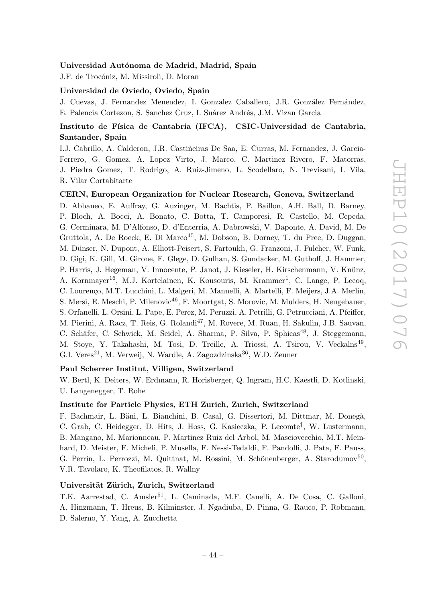### Universidad Autónoma de Madrid, Madrid, Spain

J.F. de Trocóniz, M. Missiroli, D. Moran

### Universidad de Oviedo, Oviedo, Spain

J. Cuevas, J. Fernandez Menendez, I. Gonzalez Caballero, J.R. González Fernández, E. Palencia Cortezon, S. Sanchez Cruz, I. Suárez Andrés, J.M. Vizan Garcia

# Instituto de Física de Cantabria (IFCA), CSIC-Universidad de Cantabria, Santander, Spain

I.J. Cabrillo, A. Calderon, J.R. Castiñeiras De Saa, E. Curras, M. Fernandez, J. Garcia-Ferrero, G. Gomez, A. Lopez Virto, J. Marco, C. Martinez Rivero, F. Matorras, J. Piedra Gomez, T. Rodrigo, A. Ruiz-Jimeno, L. Scodellaro, N. Trevisani, I. Vila, R. Vilar Cortabitarte

#### CERN, European Organization for Nuclear Research, Geneva, Switzerland

D. Abbaneo, E. Auffray, G. Auzinger, M. Bachtis, P. Baillon, A.H. Ball, D. Barney, P. Bloch, A. Bocci, A. Bonato, C. Botta, T. Camporesi, R. Castello, M. Cepeda, G. Cerminara, M. D'Alfonso, D. d'Enterria, A. Dabrowski, V. Daponte, A. David, M. De Gruttola, A. De Roeck, E. Di Marco<sup>45</sup>, M. Dobson, B. Dorney, T. du Pree, D. Duggan, M. Dünser, N. Dupont, A. Elliott-Peisert, S. Fartoukh, G. Franzoni, J. Fulcher, W. Funk, D. Gigi, K. Gill, M. Girone, F. Glege, D. Gulhan, S. Gundacker, M. Guthoff, J. Hammer, P. Harris, J. Hegeman, V. Innocente, P. Janot, J. Kieseler, H. Kirschenmann, V. Knünz, A. Kornmayer<sup>16</sup>, M.J. Kortelainen, K. Kousouris, M. Krammer<sup>1</sup>, C. Lange, P. Lecoq, C. Lourenço, M.T. Lucchini, L. Malgeri, M. Mannelli, A. Martelli, F. Meijers, J.A. Merlin, S. Mersi, E. Meschi, P. Milenovic46, F. Moortgat, S. Morovic, M. Mulders, H. Neugebauer, S. Orfanelli, L. Orsini, L. Pape, E. Perez, M. Peruzzi, A. Petrilli, G. Petrucciani, A. Pfeiffer, M. Pierini, A. Racz, T. Reis, G. Rolandi<sup>47</sup>, M. Rovere, M. Ruan, H. Sakulin, J.B. Sauvan, C. Schäfer, C. Schwick, M. Seidel, A. Sharma, P. Silva, P. Sphicas<sup>48</sup>, J. Steggemann, M. Stoye, Y. Takahashi, M. Tosi, D. Treille, A. Triossi, A. Tsirou, V. Veckalns<sup>49</sup>, G.I. Veres<sup>21</sup>, M. Verweij, N. Wardle, A. Zagozdzinska<sup>36</sup>, W.D. Zeuner

### Paul Scherrer Institut, Villigen, Switzerland

W. Bertl, K. Deiters, W. Erdmann, R. Horisberger, Q. Ingram, H.C. Kaestli, D. Kotlinski, U. Langenegger, T. Rohe

### Institute for Particle Physics, ETH Zurich, Zurich, Switzerland

F. Bachmair, L. Bäni, L. Bianchini, B. Casal, G. Dissertori, M. Dittmar, M. Donegà, C. Grab, C. Heidegger, D. Hits, J. Hoss, G. Kasieczka, P. Lecomte† , W. Lustermann, B. Mangano, M. Marionneau, P. Martinez Ruiz del Arbol, M. Masciovecchio, M.T. Meinhard, D. Meister, F. Micheli, P. Musella, F. Nessi-Tedaldi, F. Pandolfi, J. Pata, F. Pauss, G. Perrin, L. Perrozzi, M. Quittnat, M. Rossini, M. Schönenberger, A. Starodumov<sup>50</sup>, V.R. Tavolaro, K. Theofilatos, R. Wallny

#### Universität Zürich, Zurich, Switzerland

T.K. Aarrestad, C. Amsler<sup>51</sup>, L. Caminada, M.F. Canelli, A. De Cosa, C. Galloni, A. Hinzmann, T. Hreus, B. Kilminster, J. Ngadiuba, D. Pinna, G. Rauco, P. Robmann, D. Salerno, Y. Yang, A. Zucchetta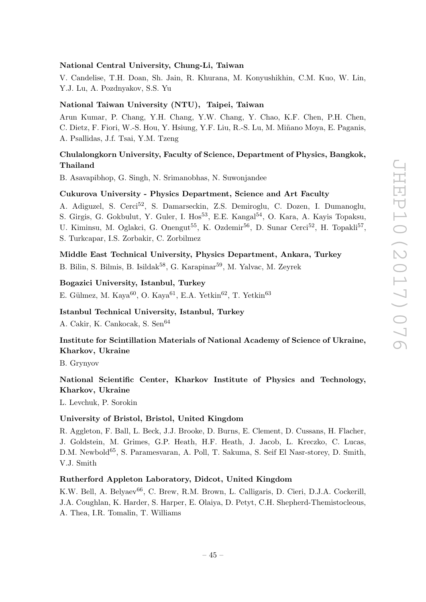### National Central University, Chung-Li, Taiwan

V. Candelise, T.H. Doan, Sh. Jain, R. Khurana, M. Konyushikhin, C.M. Kuo, W. Lin, Y.J. Lu, A. Pozdnyakov, S.S. Yu

### National Taiwan University (NTU), Taipei, Taiwan

Arun Kumar, P. Chang, Y.H. Chang, Y.W. Chang, Y. Chao, K.F. Chen, P.H. Chen, C. Dietz, F. Fiori, W.-S. Hou, Y. Hsiung, Y.F. Liu, R.-S. Lu, M. Miñano Moya, E. Paganis, A. Psallidas, J.f. Tsai, Y.M. Tzeng

# Chulalongkorn University, Faculty of Science, Department of Physics, Bangkok, Thailand

B. Asavapibhop, G. Singh, N. Srimanobhas, N. Suwonjandee

### Cukurova University - Physics Department, Science and Art Faculty

A. Adiguzel, S. Cerci<sup>52</sup>, S. Damarseckin, Z.S. Demiroglu, C. Dozen, I. Dumanoglu, S. Girgis, G. Gokbulut, Y. Guler, I. Hos<sup>53</sup>, E.E. Kangal<sup>54</sup>, O. Kara, A. Kayis Topaksu, U. Kiminsu, M. Oglakci, G. Onengut<sup>55</sup>, K. Ozdemir<sup>56</sup>, D. Sunar Cerci<sup>52</sup>, H. Topakli<sup>57</sup>, S. Turkcapar, I.S. Zorbakir, C. Zorbilmez

### Middle East Technical University, Physics Department, Ankara, Turkey

B. Bilin, S. Bilmis, B. Isildak<sup>58</sup>, G. Karapinar<sup>59</sup>, M. Yalvac, M. Zeyrek

### Bogazici University, Istanbul, Turkey

E. Gülmez, M. Kaya<sup>60</sup>, O. Kaya<sup>61</sup>, E.A. Yetkin<sup>62</sup>, T. Yetkin<sup>63</sup>

### Istanbul Technical University, Istanbul, Turkey

A. Cakir, K. Cankocak, S. Sen<sup>64</sup>

# Institute for Scintillation Materials of National Academy of Science of Ukraine, Kharkov, Ukraine

B. Grynyov

# National Scientific Center, Kharkov Institute of Physics and Technology, Kharkov, Ukraine

L. Levchuk, P. Sorokin

# University of Bristol, Bristol, United Kingdom

R. Aggleton, F. Ball, L. Beck, J.J. Brooke, D. Burns, E. Clement, D. Cussans, H. Flacher, J. Goldstein, M. Grimes, G.P. Heath, H.F. Heath, J. Jacob, L. Kreczko, C. Lucas, D.M. Newbold<sup>65</sup>, S. Paramesvaran, A. Poll, T. Sakuma, S. Seif El Nasr-storey, D. Smith, V.J. Smith

### Rutherford Appleton Laboratory, Didcot, United Kingdom

K.W. Bell, A. Belyaev<sup>66</sup>, C. Brew, R.M. Brown, L. Calligaris, D. Cieri, D.J.A. Cockerill, J.A. Coughlan, K. Harder, S. Harper, E. Olaiya, D. Petyt, C.H. Shepherd-Themistocleous, A. Thea, I.R. Tomalin, T. Williams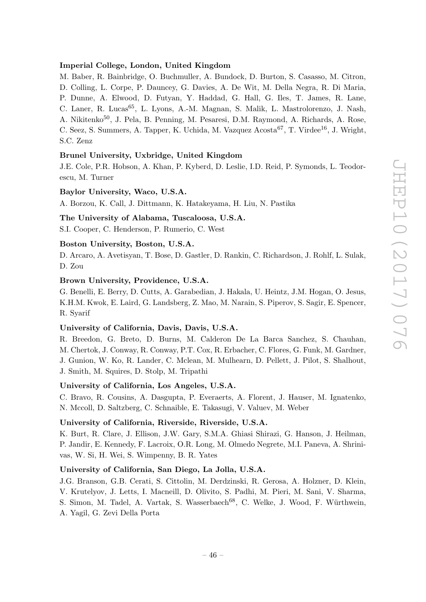### Imperial College, London, United Kingdom

M. Baber, R. Bainbridge, O. Buchmuller, A. Bundock, D. Burton, S. Casasso, M. Citron, D. Colling, L. Corpe, P. Dauncey, G. Davies, A. De Wit, M. Della Negra, R. Di Maria, P. Dunne, A. Elwood, D. Futyan, Y. Haddad, G. Hall, G. Iles, T. James, R. Lane, C. Laner, R. Lucas<sup>65</sup>, L. Lyons, A.-M. Magnan, S. Malik, L. Mastrolorenzo, J. Nash, A. Nikitenko<sup>50</sup>, J. Pela, B. Penning, M. Pesaresi, D.M. Raymond, A. Richards, A. Rose, C. Seez, S. Summers, A. Tapper, K. Uchida, M. Vazquez Acosta<sup>67</sup>, T. Virdee<sup>16</sup>, J. Wright, S.C. Zenz

### Brunel University, Uxbridge, United Kingdom

J.E. Cole, P.R. Hobson, A. Khan, P. Kyberd, D. Leslie, I.D. Reid, P. Symonds, L. Teodorescu, M. Turner

### Baylor University, Waco, U.S.A.

A. Borzou, K. Call, J. Dittmann, K. Hatakeyama, H. Liu, N. Pastika

#### The University of Alabama, Tuscaloosa, U.S.A.

S.I. Cooper, C. Henderson, P. Rumerio, C. West

#### Boston University, Boston, U.S.A.

D. Arcaro, A. Avetisyan, T. Bose, D. Gastler, D. Rankin, C. Richardson, J. Rohlf, L. Sulak, D. Zou

#### Brown University, Providence, U.S.A.

G. Benelli, E. Berry, D. Cutts, A. Garabedian, J. Hakala, U. Heintz, J.M. Hogan, O. Jesus, K.H.M. Kwok, E. Laird, G. Landsberg, Z. Mao, M. Narain, S. Piperov, S. Sagir, E. Spencer, R. Syarif

### University of California, Davis, Davis, U.S.A.

R. Breedon, G. Breto, D. Burns, M. Calderon De La Barca Sanchez, S. Chauhan, M. Chertok, J. Conway, R. Conway, P.T. Cox, R. Erbacher, C. Flores, G. Funk, M. Gardner, J. Gunion, W. Ko, R. Lander, C. Mclean, M. Mulhearn, D. Pellett, J. Pilot, S. Shalhout, J. Smith, M. Squires, D. Stolp, M. Tripathi

### University of California, Los Angeles, U.S.A.

C. Bravo, R. Cousins, A. Dasgupta, P. Everaerts, A. Florent, J. Hauser, M. Ignatenko, N. Mccoll, D. Saltzberg, C. Schnaible, E. Takasugi, V. Valuev, M. Weber

#### University of California, Riverside, Riverside, U.S.A.

K. Burt, R. Clare, J. Ellison, J.W. Gary, S.M.A. Ghiasi Shirazi, G. Hanson, J. Heilman, P. Jandir, E. Kennedy, F. Lacroix, O.R. Long, M. Olmedo Negrete, M.I. Paneva, A. Shrinivas, W. Si, H. Wei, S. Wimpenny, B. R. Yates

### University of California, San Diego, La Jolla, U.S.A.

J.G. Branson, G.B. Cerati, S. Cittolin, M. Derdzinski, R. Gerosa, A. Holzner, D. Klein, V. Krutelyov, J. Letts, I. Macneill, D. Olivito, S. Padhi, M. Pieri, M. Sani, V. Sharma, S. Simon, M. Tadel, A. Vartak, S. Wasserbaech<sup>68</sup>, C. Welke, J. Wood, F. Würthwein, A. Yagil, G. Zevi Della Porta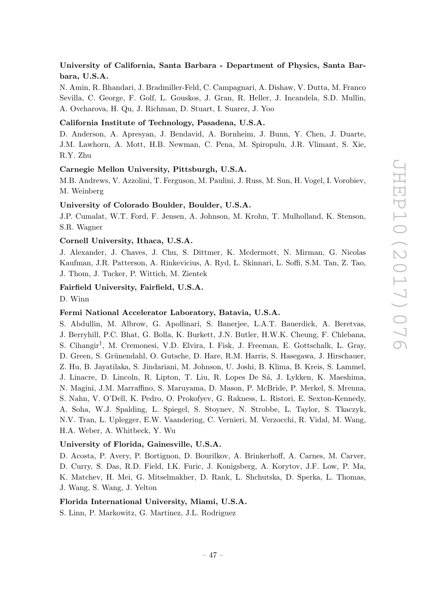# University of California, Santa Barbara - Department of Physics, Santa Barbara, U.S.A.

N. Amin, R. Bhandari, J. Bradmiller-Feld, C. Campagnari, A. Dishaw, V. Dutta, M. Franco Sevilla, C. George, F. Golf, L. Gouskos, J. Gran, R. Heller, J. Incandela, S.D. Mullin, A. Ovcharova, H. Qu, J. Richman, D. Stuart, I. Suarez, J. Yoo

### California Institute of Technology, Pasadena, U.S.A.

D. Anderson, A. Apresyan, J. Bendavid, A. Bornheim, J. Bunn, Y. Chen, J. Duarte, J.M. Lawhorn, A. Mott, H.B. Newman, C. Pena, M. Spiropulu, J.R. Vlimant, S. Xie, R.Y. Zhu

# Carnegie Mellon University, Pittsburgh, U.S.A.

M.B. Andrews, V. Azzolini, T. Ferguson, M. Paulini, J. Russ, M. Sun, H. Vogel, I. Vorobiev, M. Weinberg

### University of Colorado Boulder, Boulder, U.S.A.

J.P. Cumalat, W.T. Ford, F. Jensen, A. Johnson, M. Krohn, T. Mulholland, K. Stenson, S.R. Wagner

# Cornell University, Ithaca, U.S.A.

J. Alexander, J. Chaves, J. Chu, S. Dittmer, K. Mcdermott, N. Mirman, G. Nicolas Kaufman, J.R. Patterson, A. Rinkevicius, A. Ryd, L. Skinnari, L. Soffi, S.M. Tan, Z. Tao, J. Thom, J. Tucker, P. Wittich, M. Zientek

### Fairfield University, Fairfield, U.S.A.

D. Winn

### Fermi National Accelerator Laboratory, Batavia, U.S.A.

S. Abdullin, M. Albrow, G. Apollinari, S. Banerjee, L.A.T. Bauerdick, A. Beretvas, J. Berryhill, P.C. Bhat, G. Bolla, K. Burkett, J.N. Butler, H.W.K. Cheung, F. Chlebana, S. Cihangir† , M. Cremonesi, V.D. Elvira, I. Fisk, J. Freeman, E. Gottschalk, L. Gray, D. Green, S. Grünendahl, O. Gutsche, D. Hare, R.M. Harris, S. Hasegawa, J. Hirschauer, Z. Hu, B. Jayatilaka, S. Jindariani, M. Johnson, U. Joshi, B. Klima, B. Kreis, S. Lammel, J. Linacre, D. Lincoln, R. Lipton, T. Liu, R. Lopes De S´a, J. Lykken, K. Maeshima, N. Magini, J.M. Marraffino, S. Maruyama, D. Mason, P. McBride, P. Merkel, S. Mrenna, S. Nahn, V. O'Dell, K. Pedro, O. Prokofyev, G. Rakness, L. Ristori, E. Sexton-Kennedy, A. Soha, W.J. Spalding, L. Spiegel, S. Stoynev, N. Strobbe, L. Taylor, S. Tkaczyk, N.V. Tran, L. Uplegger, E.W. Vaandering, C. Vernieri, M. Verzocchi, R. Vidal, M. Wang, H.A. Weber, A. Whitbeck, Y. Wu

### University of Florida, Gainesville, U.S.A.

D. Acosta, P. Avery, P. Bortignon, D. Bourilkov, A. Brinkerhoff, A. Carnes, M. Carver, D. Curry, S. Das, R.D. Field, I.K. Furic, J. Konigsberg, A. Korytov, J.F. Low, P. Ma, K. Matchev, H. Mei, G. Mitselmakher, D. Rank, L. Shchutska, D. Sperka, L. Thomas, J. Wang, S. Wang, J. Yelton

### Florida International University, Miami, U.S.A.

S. Linn, P. Markowitz, G. Martinez, J.L. Rodriguez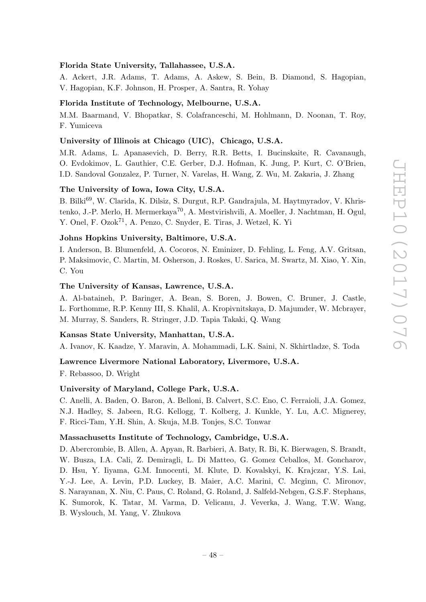### Florida State University, Tallahassee, U.S.A.

A. Ackert, J.R. Adams, T. Adams, A. Askew, S. Bein, B. Diamond, S. Hagopian, V. Hagopian, K.F. Johnson, H. Prosper, A. Santra, R. Yohay

### Florida Institute of Technology, Melbourne, U.S.A.

M.M. Baarmand, V. Bhopatkar, S. Colafranceschi, M. Hohlmann, D. Noonan, T. Roy, F. Yumiceva

### University of Illinois at Chicago (UIC), Chicago, U.S.A.

M.R. Adams, L. Apanasevich, D. Berry, R.R. Betts, I. Bucinskaite, R. Cavanaugh, O. Evdokimov, L. Gauthier, C.E. Gerber, D.J. Hofman, K. Jung, P. Kurt, C. O'Brien, I.D. Sandoval Gonzalez, P. Turner, N. Varelas, H. Wang, Z. Wu, M. Zakaria, J. Zhang

### The University of Iowa, Iowa City, U.S.A.

B. Bilki<sup>69</sup>, W. Clarida, K. Dilsiz, S. Durgut, R.P. Gandrajula, M. Haytmyradov, V. Khristenko, J.-P. Merlo, H. Mermerkaya<sup>70</sup>, A. Mestvirishvili, A. Moeller, J. Nachtman, H. Ogul, Y. Onel, F. Ozok<sup>71</sup>, A. Penzo, C. Snyder, E. Tiras, J. Wetzel, K. Yi

### Johns Hopkins University, Baltimore, U.S.A.

I. Anderson, B. Blumenfeld, A. Cocoros, N. Eminizer, D. Fehling, L. Feng, A.V. Gritsan, P. Maksimovic, C. Martin, M. Osherson, J. Roskes, U. Sarica, M. Swartz, M. Xiao, Y. Xin, C. You

### The University of Kansas, Lawrence, U.S.A.

A. Al-bataineh, P. Baringer, A. Bean, S. Boren, J. Bowen, C. Bruner, J. Castle, L. Forthomme, R.P. Kenny III, S. Khalil, A. Kropivnitskaya, D. Majumder, W. Mcbrayer, M. Murray, S. Sanders, R. Stringer, J.D. Tapia Takaki, Q. Wang

#### Kansas State University, Manhattan, U.S.A.

A. Ivanov, K. Kaadze, Y. Maravin, A. Mohammadi, L.K. Saini, N. Skhirtladze, S. Toda

#### Lawrence Livermore National Laboratory, Livermore, U.S.A.

F. Rebassoo, D. Wright

### University of Maryland, College Park, U.S.A.

C. Anelli, A. Baden, O. Baron, A. Belloni, B. Calvert, S.C. Eno, C. Ferraioli, J.A. Gomez, N.J. Hadley, S. Jabeen, R.G. Kellogg, T. Kolberg, J. Kunkle, Y. Lu, A.C. Mignerey, F. Ricci-Tam, Y.H. Shin, A. Skuja, M.B. Tonjes, S.C. Tonwar

#### Massachusetts Institute of Technology, Cambridge, U.S.A.

D. Abercrombie, B. Allen, A. Apyan, R. Barbieri, A. Baty, R. Bi, K. Bierwagen, S. Brandt, W. Busza, I.A. Cali, Z. Demiragli, L. Di Matteo, G. Gomez Ceballos, M. Goncharov, D. Hsu, Y. Iiyama, G.M. Innocenti, M. Klute, D. Kovalskyi, K. Krajczar, Y.S. Lai, Y.-J. Lee, A. Levin, P.D. Luckey, B. Maier, A.C. Marini, C. Mcginn, C. Mironov, S. Narayanan, X. Niu, C. Paus, C. Roland, G. Roland, J. Salfeld-Nebgen, G.S.F. Stephans, K. Sumorok, K. Tatar, M. Varma, D. Velicanu, J. Veverka, J. Wang, T.W. Wang, B. Wyslouch, M. Yang, V. Zhukova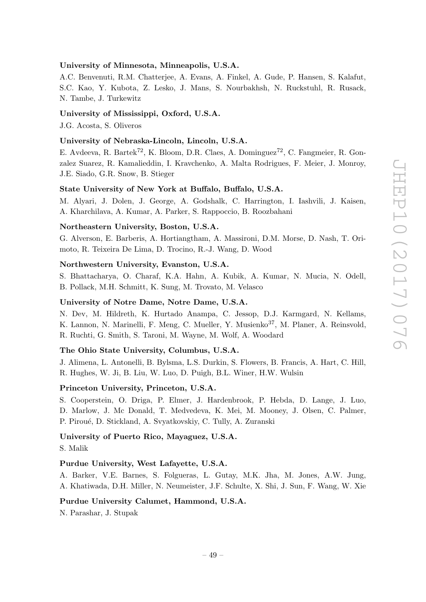### University of Minnesota, Minneapolis, U.S.A.

A.C. Benvenuti, R.M. Chatterjee, A. Evans, A. Finkel, A. Gude, P. Hansen, S. Kalafut, S.C. Kao, Y. Kubota, Z. Lesko, J. Mans, S. Nourbakhsh, N. Ruckstuhl, R. Rusack, N. Tambe, J. Turkewitz

### University of Mississippi, Oxford, U.S.A.

J.G. Acosta, S. Oliveros

### University of Nebraska-Lincoln, Lincoln, U.S.A.

E. Avdeeva, R. Bartek<sup>72</sup>, K. Bloom, D.R. Claes, A. Dominguez<sup>72</sup>, C. Fangmeier, R. Gonzalez Suarez, R. Kamalieddin, I. Kravchenko, A. Malta Rodrigues, F. Meier, J. Monroy, J.E. Siado, G.R. Snow, B. Stieger

#### State University of New York at Buffalo, Buffalo, U.S.A.

M. Alyari, J. Dolen, J. George, A. Godshalk, C. Harrington, I. Iashvili, J. Kaisen, A. Kharchilava, A. Kumar, A. Parker, S. Rappoccio, B. Roozbahani

### Northeastern University, Boston, U.S.A.

G. Alverson, E. Barberis, A. Hortiangtham, A. Massironi, D.M. Morse, D. Nash, T. Orimoto, R. Teixeira De Lima, D. Trocino, R.-J. Wang, D. Wood

### Northwestern University, Evanston, U.S.A.

S. Bhattacharya, O. Charaf, K.A. Hahn, A. Kubik, A. Kumar, N. Mucia, N. Odell, B. Pollack, M.H. Schmitt, K. Sung, M. Trovato, M. Velasco

### University of Notre Dame, Notre Dame, U.S.A.

N. Dev, M. Hildreth, K. Hurtado Anampa, C. Jessop, D.J. Karmgard, N. Kellams, K. Lannon, N. Marinelli, F. Meng, C. Mueller, Y. Musienko<sup>37</sup>, M. Planer, A. Reinsvold, R. Ruchti, G. Smith, S. Taroni, M. Wayne, M. Wolf, A. Woodard

### The Ohio State University, Columbus, U.S.A.

J. Alimena, L. Antonelli, B. Bylsma, L.S. Durkin, S. Flowers, B. Francis, A. Hart, C. Hill, R. Hughes, W. Ji, B. Liu, W. Luo, D. Puigh, B.L. Winer, H.W. Wulsin

### Princeton University, Princeton, U.S.A.

S. Cooperstein, O. Driga, P. Elmer, J. Hardenbrook, P. Hebda, D. Lange, J. Luo, D. Marlow, J. Mc Donald, T. Medvedeva, K. Mei, M. Mooney, J. Olsen, C. Palmer, P. Piroué, D. Stickland, A. Svyatkovskiy, C. Tully, A. Zuranski

### University of Puerto Rico, Mayaguez, U.S.A.

S. Malik

# Purdue University, West Lafayette, U.S.A.

A. Barker, V.E. Barnes, S. Folgueras, L. Gutay, M.K. Jha, M. Jones, A.W. Jung, A. Khatiwada, D.H. Miller, N. Neumeister, J.F. Schulte, X. Shi, J. Sun, F. Wang, W. Xie

#### Purdue University Calumet, Hammond, U.S.A.

N. Parashar, J. Stupak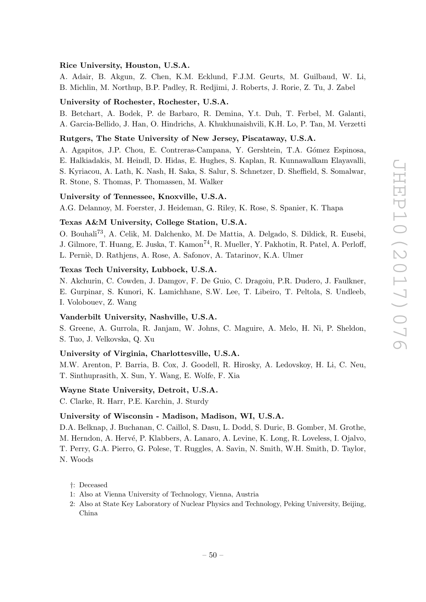### Rice University, Houston, U.S.A.

A. Adair, B. Akgun, Z. Chen, K.M. Ecklund, F.J.M. Geurts, M. Guilbaud, W. Li, B. Michlin, M. Northup, B.P. Padley, R. Redjimi, J. Roberts, J. Rorie, Z. Tu, J. Zabel

#### University of Rochester, Rochester, U.S.A.

B. Betchart, A. Bodek, P. de Barbaro, R. Demina, Y.t. Duh, T. Ferbel, M. Galanti, A. Garcia-Bellido, J. Han, O. Hindrichs, A. Khukhunaishvili, K.H. Lo, P. Tan, M. Verzetti

### Rutgers, The State University of New Jersey, Piscataway, U.S.A.

A. Agapitos, J.P. Chou, E. Contreras-Campana, Y. Gershtein, T.A. Gómez Espinosa, E. Halkiadakis, M. Heindl, D. Hidas, E. Hughes, S. Kaplan, R. Kunnawalkam Elayavalli, S. Kyriacou, A. Lath, K. Nash, H. Saka, S. Salur, S. Schnetzer, D. Sheffield, S. Somalwar, R. Stone, S. Thomas, P. Thomassen, M. Walker

# University of Tennessee, Knoxville, U.S.A.

A.G. Delannoy, M. Foerster, J. Heideman, G. Riley, K. Rose, S. Spanier, K. Thapa

### Texas A&M University, College Station, U.S.A.

O. Bouhali73, A. Celik, M. Dalchenko, M. De Mattia, A. Delgado, S. Dildick, R. Eusebi, J. Gilmore, T. Huang, E. Juska, T. Kamon<sup>74</sup>, R. Mueller, Y. Pakhotin, R. Patel, A. Perloff, L. Perniè, D. Rathjens, A. Rose, A. Safonov, A. Tatarinov, K.A. Ulmer

### Texas Tech University, Lubbock, U.S.A.

N. Akchurin, C. Cowden, J. Damgov, F. De Guio, C. Dragoiu, P.R. Dudero, J. Faulkner, E. Gurpinar, S. Kunori, K. Lamichhane, S.W. Lee, T. Libeiro, T. Peltola, S. Undleeb, I. Volobouev, Z. Wang

### Vanderbilt University, Nashville, U.S.A.

S. Greene, A. Gurrola, R. Janjam, W. Johns, C. Maguire, A. Melo, H. Ni, P. Sheldon, S. Tuo, J. Velkovska, Q. Xu

### University of Virginia, Charlottesville, U.S.A.

M.W. Arenton, P. Barria, B. Cox, J. Goodell, R. Hirosky, A. Ledovskoy, H. Li, C. Neu, T. Sinthuprasith, X. Sun, Y. Wang, E. Wolfe, F. Xia

#### Wayne State University, Detroit, U.S.A.

C. Clarke, R. Harr, P.E. Karchin, J. Sturdy

#### University of Wisconsin - Madison, Madison, WI, U.S.A.

D.A. Belknap, J. Buchanan, C. Caillol, S. Dasu, L. Dodd, S. Duric, B. Gomber, M. Grothe, M. Herndon, A. Hervé, P. Klabbers, A. Lanaro, A. Levine, K. Long, R. Loveless, I. Ojalvo, T. Perry, G.A. Pierro, G. Polese, T. Ruggles, A. Savin, N. Smith, W.H. Smith, D. Taylor, N. Woods

- †: Deceased
- 1: Also at Vienna University of Technology, Vienna, Austria
- 2: Also at State Key Laboratory of Nuclear Physics and Technology, Peking University, Beijing, China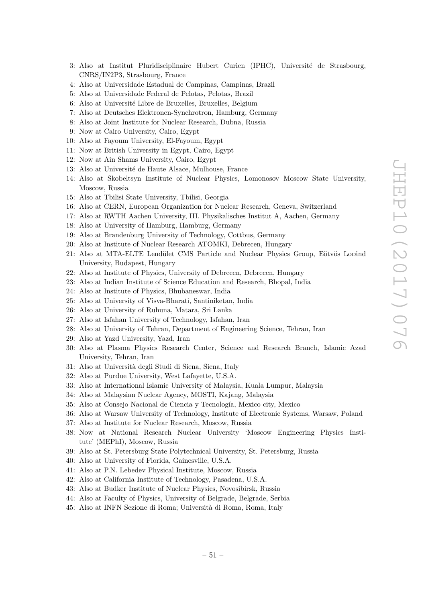- 3: Also at Institut Pluridisciplinaire Hubert Curien (IPHC), Université de Strasbourg, CNRS/IN2P3, Strasbourg, France
- 4: Also at Universidade Estadual de Campinas, Campinas, Brazil
- 5: Also at Universidade Federal de Pelotas, Pelotas, Brazil
- 6: Also at Université Libre de Bruxelles, Bruxelles, Belgium
- 7: Also at Deutsches Elektronen-Synchrotron, Hamburg, Germany
- 8: Also at Joint Institute for Nuclear Research, Dubna, Russia
- 9: Now at Cairo University, Cairo, Egypt
- 10: Also at Fayoum University, El-Fayoum, Egypt
- 11: Now at British University in Egypt, Cairo, Egypt
- 12: Now at Ain Shams University, Cairo, Egypt
- 13: Also at Université de Haute Alsace, Mulhouse, France
- 14: Also at Skobeltsyn Institute of Nuclear Physics, Lomonosov Moscow State University, Moscow, Russia
- 15: Also at Tbilisi State University, Tbilisi, Georgia
- 16: Also at CERN, European Organization for Nuclear Research, Geneva, Switzerland
- 17: Also at RWTH Aachen University, III. Physikalisches Institut A, Aachen, Germany
- 18: Also at University of Hamburg, Hamburg, Germany
- 19: Also at Brandenburg University of Technology, Cottbus, Germany
- 20: Also at Institute of Nuclear Research ATOMKI, Debrecen, Hungary
- 21: Also at MTA-ELTE Lendület CMS Particle and Nuclear Physics Group, Eötvös Loránd University, Budapest, Hungary
- 22: Also at Institute of Physics, University of Debrecen, Debrecen, Hungary
- 23: Also at Indian Institute of Science Education and Research, Bhopal, India
- 24: Also at Institute of Physics, Bhubaneswar, India
- 25: Also at University of Visva-Bharati, Santiniketan, India
- 26: Also at University of Ruhuna, Matara, Sri Lanka
- 27: Also at Isfahan University of Technology, Isfahan, Iran
- 28: Also at University of Tehran, Department of Engineering Science, Tehran, Iran
- 29: Also at Yazd University, Yazd, Iran
- 30: Also at Plasma Physics Research Center, Science and Research Branch, Islamic Azad University, Tehran, Iran
- 31: Also at Università degli Studi di Siena, Siena, Italy
- 32: Also at Purdue University, West Lafayette, U.S.A.
- 33: Also at International Islamic University of Malaysia, Kuala Lumpur, Malaysia
- 34: Also at Malaysian Nuclear Agency, MOSTI, Kajang, Malaysia
- 35: Also at Consejo Nacional de Ciencia y Tecnología, Mexico city, Mexico
- 36: Also at Warsaw University of Technology, Institute of Electronic Systems, Warsaw, Poland
- 37: Also at Institute for Nuclear Research, Moscow, Russia
- 38: Now at National Research Nuclear University 'Moscow Engineering Physics Institute' (MEPhI), Moscow, Russia
- 39: Also at St. Petersburg State Polytechnical University, St. Petersburg, Russia
- 40: Also at University of Florida, Gainesville, U.S.A.
- 41: Also at P.N. Lebedev Physical Institute, Moscow, Russia
- 42: Also at California Institute of Technology, Pasadena, U.S.A.
- 43: Also at Budker Institute of Nuclear Physics, Novosibirsk, Russia
- 44: Also at Faculty of Physics, University of Belgrade, Belgrade, Serbia
- 45: Also at INFN Sezione di Roma; Università di Roma, Roma, Italy